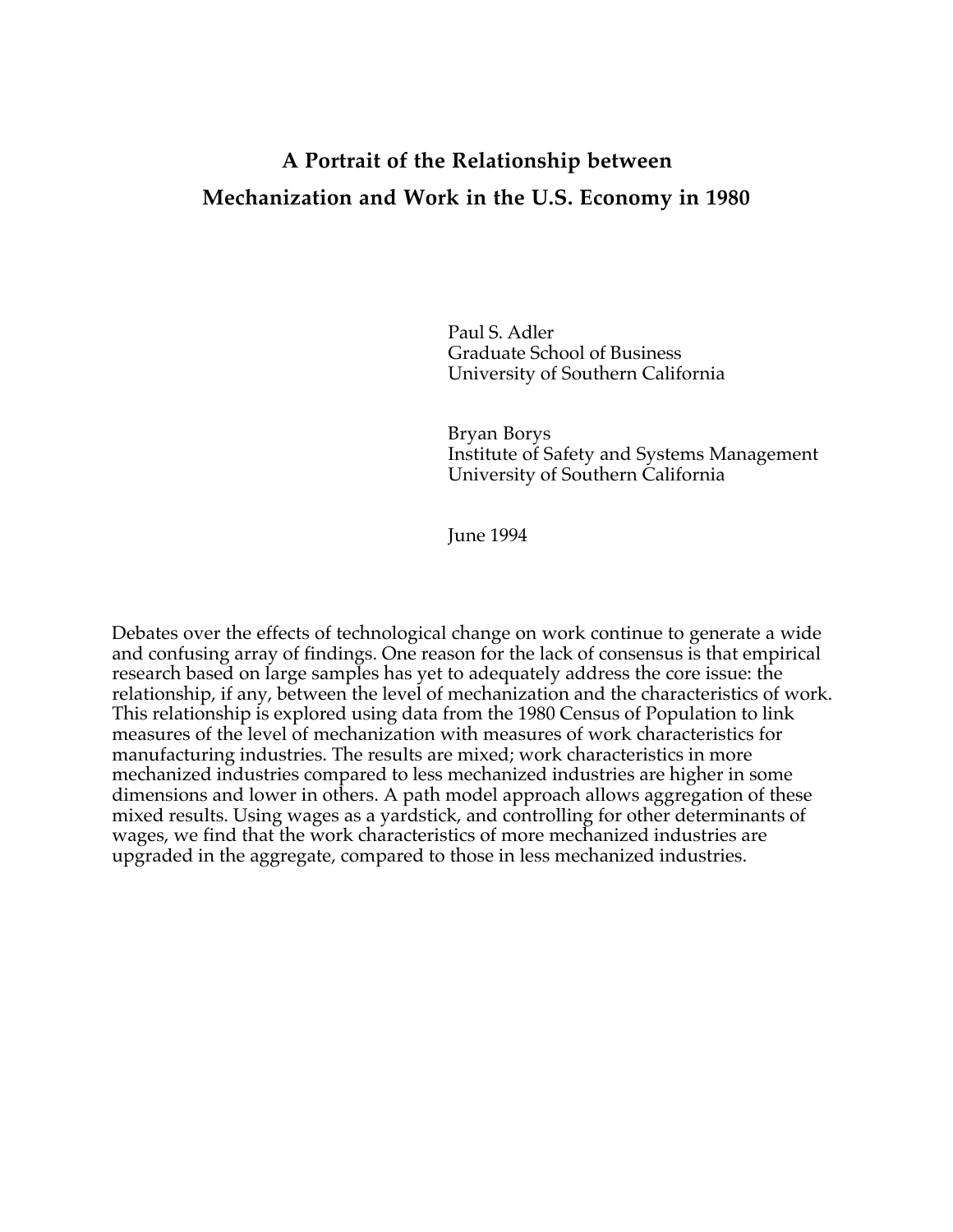# **A Portrait of the Relationship between Mechanization and Work in the U.S. Economy in 1980**

Paul S. Adler Graduate School of Business University of Southern California

Bryan Borys Institute of Safety and Systems Management University of Southern California

June 1994

Debates over the effects of technological change on work continue to generate a wide and confusing array of findings. One reason for the lack of consensus is that empirical research based on large samples has yet to adequately address the core issue: the relationship, if any, between the level of mechanization and the characteristics of work. This relationship is explored using data from the 1980 Census of Population to link measures of the level of mechanization with measures of work characteristics for manufacturing industries. The results are mixed; work characteristics in more mechanized industries compared to less mechanized industries are higher in some dimensions and lower in others. A path model approach allows aggregation of these mixed results. Using wages as a yardstick, and controlling for other determinants of wages, we find that the work characteristics of more mechanized industries are upgraded in the aggregate, compared to those in less mechanized industries.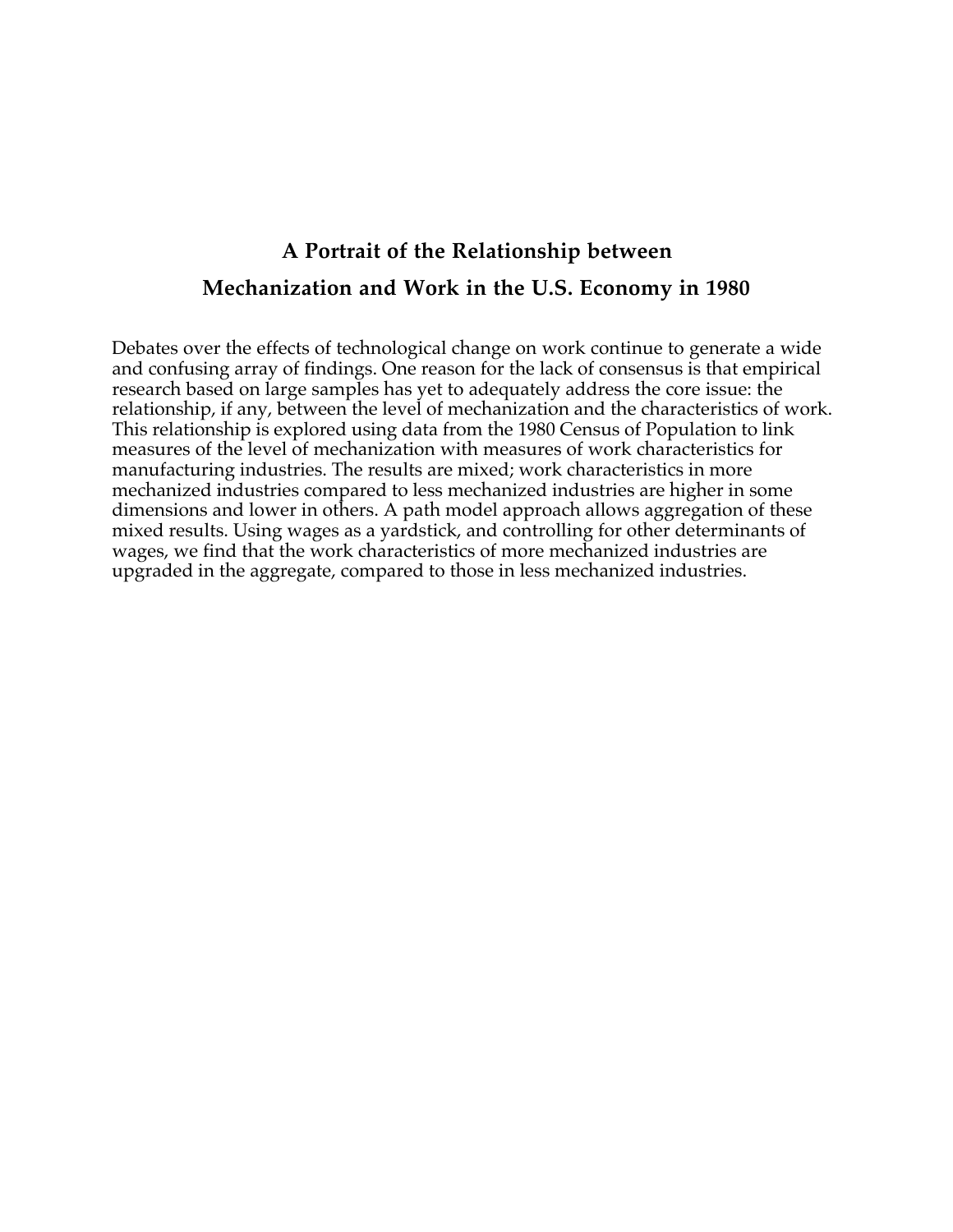# **A Portrait of the Relationship between Mechanization and Work in the U.S. Economy in 1980**

Debates over the effects of technological change on work continue to generate a wide and confusing array of findings. One reason for the lack of consensus is that empirical research based on large samples has yet to adequately address the core issue: the relationship, if any, between the level of mechanization and the characteristics of work. This relationship is explored using data from the 1980 Census of Population to link measures of the level of mechanization with measures of work characteristics for manufacturing industries. The results are mixed; work characteristics in more mechanized industries compared to less mechanized industries are higher in some dimensions and lower in others. A path model approach allows aggregation of these mixed results. Using wages as a yardstick, and controlling for other determinants of wages, we find that the work characteristics of more mechanized industries are upgraded in the aggregate, compared to those in less mechanized industries.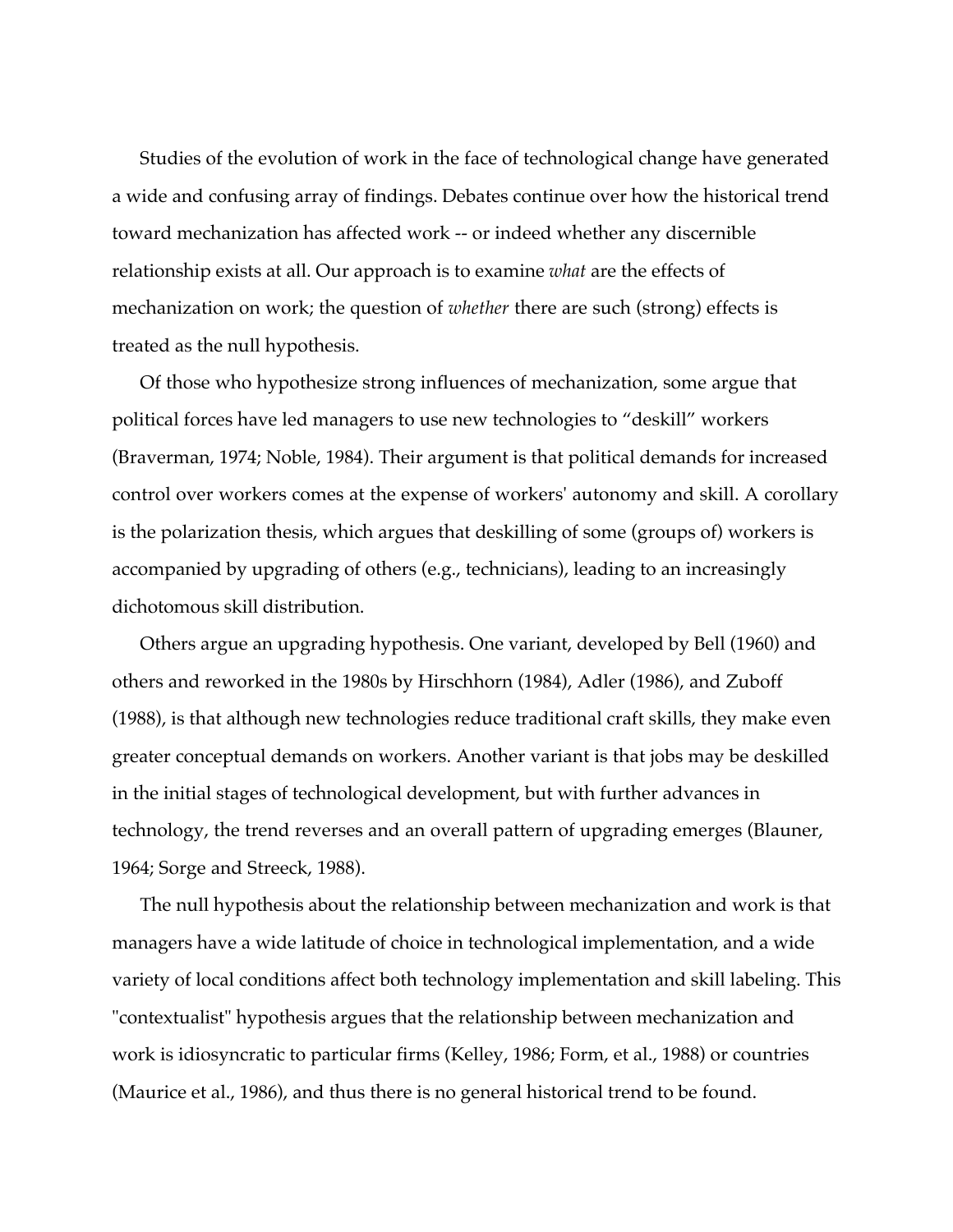Studies of the evolution of work in the face of technological change have generated a wide and confusing array of findings. Debates continue over how the historical trend toward mechanization has affected work -- or indeed whether any discernible relationship exists at all. Our approach is to examine *what* are the effects of mechanization on work; the question of *whether* there are such (strong) effects is treated as the null hypothesis.

Of those who hypothesize strong influences of mechanization, some argue that political forces have led managers to use new technologies to "deskill" workers (Braverman, 1974; Noble, 1984). Their argument is that political demands for increased control over workers comes at the expense of workers' autonomy and skill. A corollary is the polarization thesis, which argues that deskilling of some (groups of) workers is accompanied by upgrading of others (e.g., technicians), leading to an increasingly dichotomous skill distribution.

Others argue an upgrading hypothesis. One variant, developed by Bell (1960) and others and reworked in the 1980s by Hirschhorn (1984), Adler (1986), and Zuboff (1988), is that although new technologies reduce traditional craft skills, they make even greater conceptual demands on workers. Another variant is that jobs may be deskilled in the initial stages of technological development, but with further advances in technology, the trend reverses and an overall pattern of upgrading emerges (Blauner, 1964; Sorge and Streeck, 1988).

The null hypothesis about the relationship between mechanization and work is that managers have a wide latitude of choice in technological implementation, and a wide variety of local conditions affect both technology implementation and skill labeling. This "contextualist" hypothesis argues that the relationship between mechanization and work is idiosyncratic to particular firms (Kelley, 1986; Form, et al., 1988) or countries (Maurice et al., 1986), and thus there is no general historical trend to be found.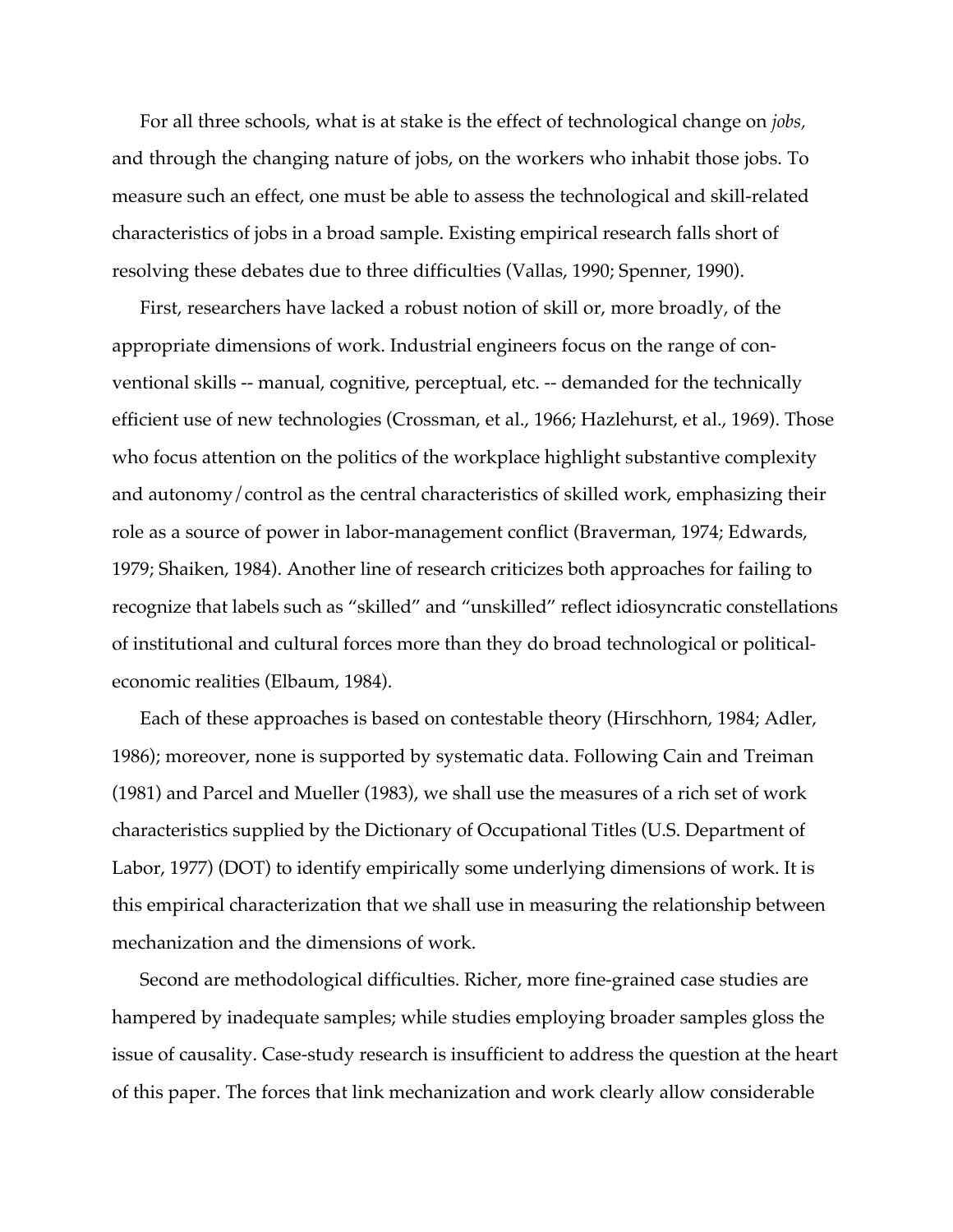For all three schools, what is at stake is the effect of technological change on *jobs,* and through the changing nature of jobs, on the workers who inhabit those jobs. To measure such an effect, one must be able to assess the technological and skill-related characteristics of jobs in a broad sample. Existing empirical research falls short of resolving these debates due to three difficulties (Vallas, 1990; Spenner, 1990).

First, researchers have lacked a robust notion of skill or, more broadly, of the appropriate dimensions of work. Industrial engineers focus on the range of conventional skills -- manual, cognitive, perceptual, etc. -- demanded for the technically efficient use of new technologies (Crossman, et al., 1966; Hazlehurst, et al., 1969). Those who focus attention on the politics of the workplace highlight substantive complexity and autonomy/control as the central characteristics of skilled work, emphasizing their role as a source of power in labor-management conflict (Braverman, 1974; Edwards, 1979; Shaiken, 1984). Another line of research criticizes both approaches for failing to recognize that labels such as "skilled" and "unskilled" reflect idiosyncratic constellations of institutional and cultural forces more than they do broad technological or politicaleconomic realities (Elbaum, 1984).

Each of these approaches is based on contestable theory (Hirschhorn, 1984; Adler, 1986); moreover, none is supported by systematic data. Following Cain and Treiman (1981) and Parcel and Mueller (1983), we shall use the measures of a rich set of work characteristics supplied by the Dictionary of Occupational Titles (U.S. Department of Labor, 1977) (DOT) to identify empirically some underlying dimensions of work. It is this empirical characterization that we shall use in measuring the relationship between mechanization and the dimensions of work.

Second are methodological difficulties. Richer, more fine-grained case studies are hampered by inadequate samples; while studies employing broader samples gloss the issue of causality. Case-study research is insufficient to address the question at the heart of this paper. The forces that link mechanization and work clearly allow considerable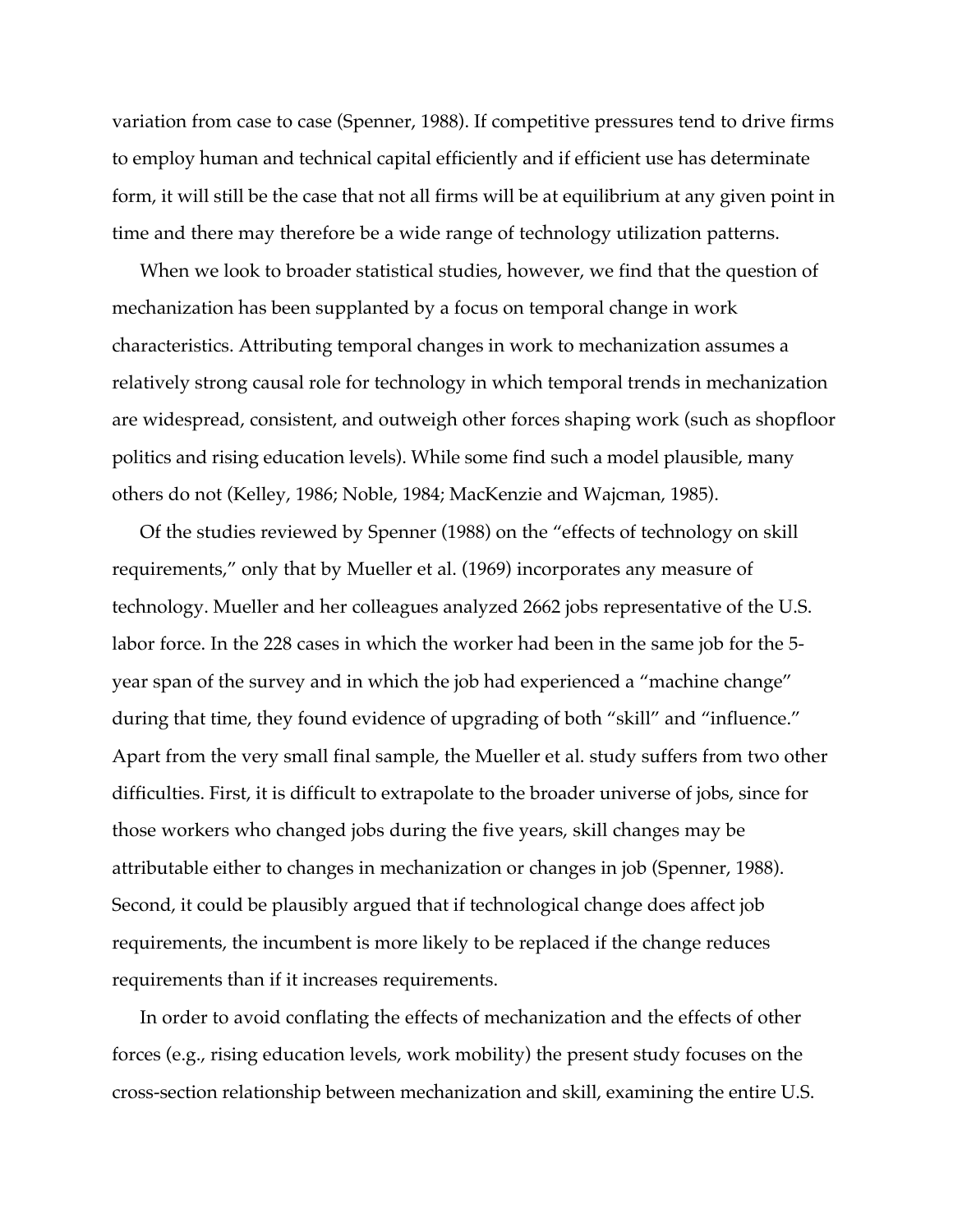variation from case to case (Spenner, 1988). If competitive pressures tend to drive firms to employ human and technical capital efficiently and if efficient use has determinate form, it will still be the case that not all firms will be at equilibrium at any given point in time and there may therefore be a wide range of technology utilization patterns.

When we look to broader statistical studies, however, we find that the question of mechanization has been supplanted by a focus on temporal change in work characteristics. Attributing temporal changes in work to mechanization assumes a relatively strong causal role for technology in which temporal trends in mechanization are widespread, consistent, and outweigh other forces shaping work (such as shopfloor politics and rising education levels). While some find such a model plausible, many others do not (Kelley, 1986; Noble, 1984; MacKenzie and Wajcman, 1985).

Of the studies reviewed by Spenner (1988) on the "effects of technology on skill requirements," only that by Mueller et al. (1969) incorporates any measure of technology. Mueller and her colleagues analyzed 2662 jobs representative of the U.S. labor force. In the 228 cases in which the worker had been in the same job for the 5 year span of the survey and in which the job had experienced a "machine change" during that time, they found evidence of upgrading of both "skill" and "influence." Apart from the very small final sample, the Mueller et al. study suffers from two other difficulties. First, it is difficult to extrapolate to the broader universe of jobs, since for those workers who changed jobs during the five years, skill changes may be attributable either to changes in mechanization or changes in job (Spenner, 1988). Second, it could be plausibly argued that if technological change does affect job requirements, the incumbent is more likely to be replaced if the change reduces requirements than if it increases requirements.

In order to avoid conflating the effects of mechanization and the effects of other forces (e.g., rising education levels, work mobility) the present study focuses on the cross-section relationship between mechanization and skill, examining the entire U.S.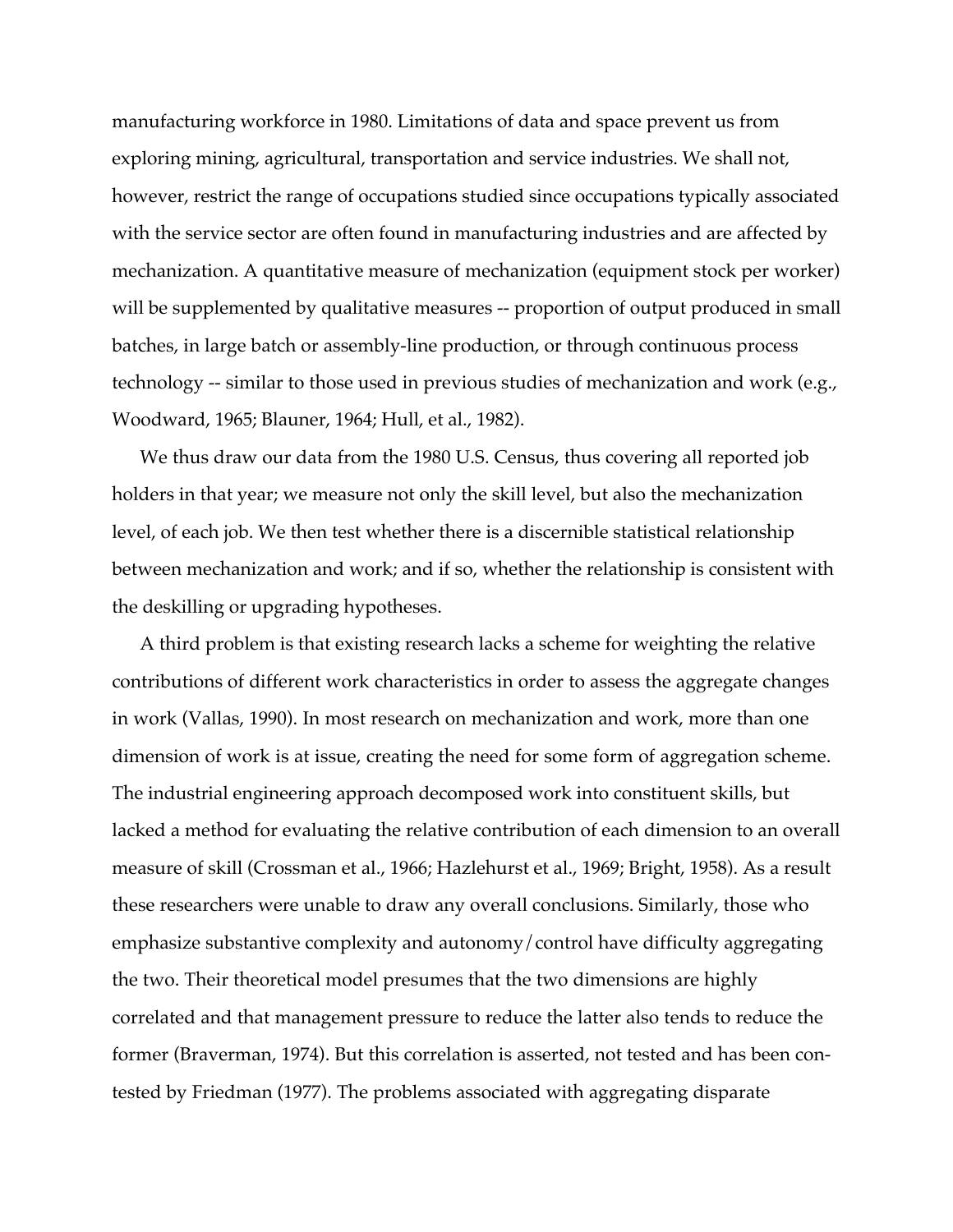manufacturing workforce in 1980. Limitations of data and space prevent us from exploring mining, agricultural, transportation and service industries. We shall not, however, restrict the range of occupations studied since occupations typically associated with the service sector are often found in manufacturing industries and are affected by mechanization. A quantitative measure of mechanization (equipment stock per worker) will be supplemented by qualitative measures -- proportion of output produced in small batches, in large batch or assembly-line production, or through continuous process technology -- similar to those used in previous studies of mechanization and work (e.g., Woodward, 1965; Blauner, 1964; Hull, et al., 1982).

We thus draw our data from the 1980 U.S. Census, thus covering all reported job holders in that year; we measure not only the skill level, but also the mechanization level, of each job. We then test whether there is a discernible statistical relationship between mechanization and work; and if so, whether the relationship is consistent with the deskilling or upgrading hypotheses.

A third problem is that existing research lacks a scheme for weighting the relative contributions of different work characteristics in order to assess the aggregate changes in work (Vallas, 1990). In most research on mechanization and work, more than one dimension of work is at issue, creating the need for some form of aggregation scheme. The industrial engineering approach decomposed work into constituent skills, but lacked a method for evaluating the relative contribution of each dimension to an overall measure of skill (Crossman et al., 1966; Hazlehurst et al., 1969; Bright, 1958). As a result these researchers were unable to draw any overall conclusions. Similarly, those who emphasize substantive complexity and autonomy/control have difficulty aggregating the two. Their theoretical model presumes that the two dimensions are highly correlated and that management pressure to reduce the latter also tends to reduce the former (Braverman, 1974). But this correlation is asserted, not tested and has been contested by Friedman (1977). The problems associated with aggregating disparate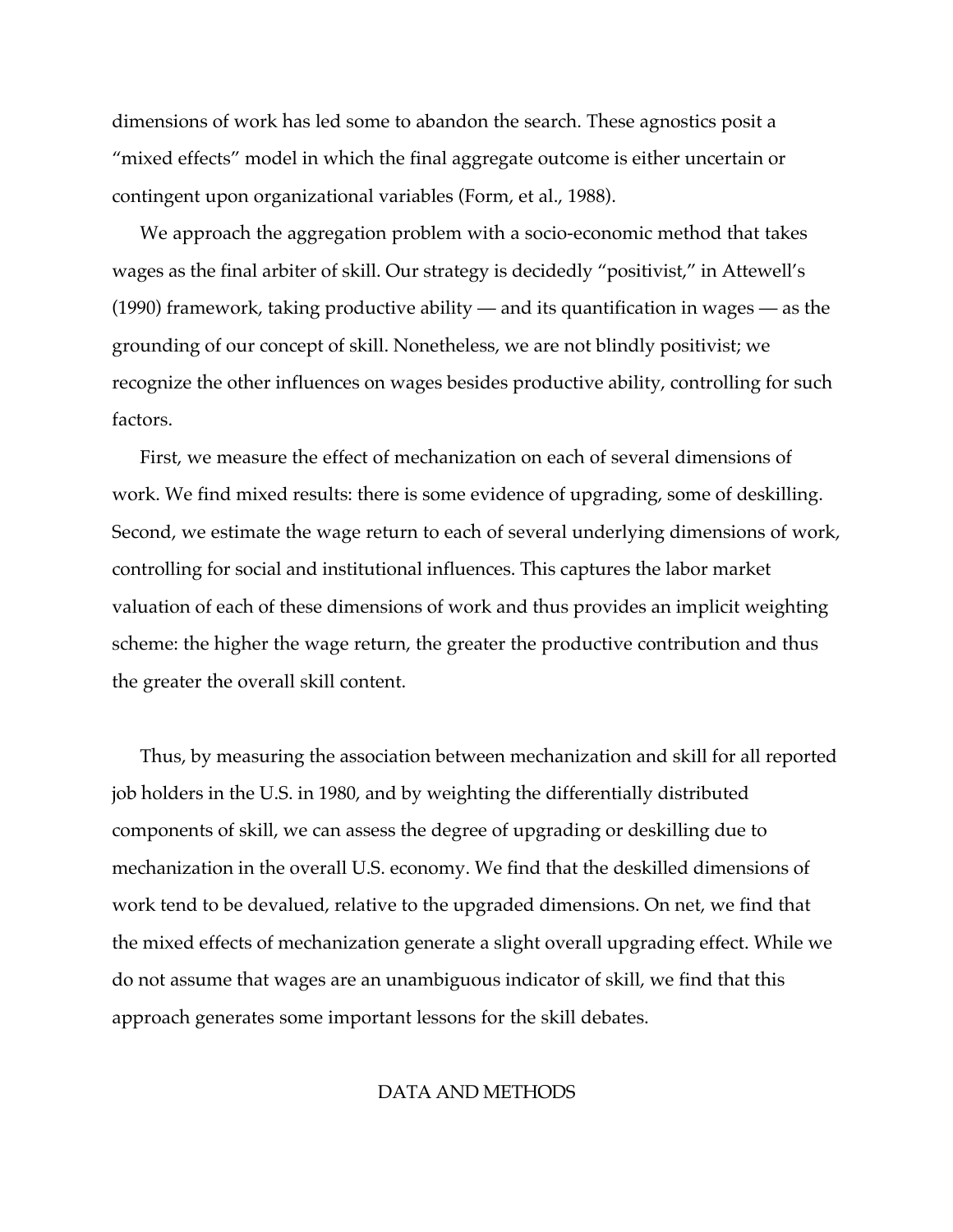dimensions of work has led some to abandon the search. These agnostics posit a "mixed effects" model in which the final aggregate outcome is either uncertain or contingent upon organizational variables (Form, et al., 1988).

We approach the aggregation problem with a socio-economic method that takes wages as the final arbiter of skill. Our strategy is decidedly "positivist," in Attewell's (1990) framework, taking productive ability — and its quantification in wages — as the grounding of our concept of skill. Nonetheless, we are not blindly positivist; we recognize the other influences on wages besides productive ability, controlling for such factors.

First, we measure the effect of mechanization on each of several dimensions of work. We find mixed results: there is some evidence of upgrading, some of deskilling. Second, we estimate the wage return to each of several underlying dimensions of work, controlling for social and institutional influences. This captures the labor market valuation of each of these dimensions of work and thus provides an implicit weighting scheme: the higher the wage return, the greater the productive contribution and thus the greater the overall skill content.

Thus, by measuring the association between mechanization and skill for all reported job holders in the U.S. in 1980, and by weighting the differentially distributed components of skill, we can assess the degree of upgrading or deskilling due to mechanization in the overall U.S. economy. We find that the deskilled dimensions of work tend to be devalued, relative to the upgraded dimensions. On net, we find that the mixed effects of mechanization generate a slight overall upgrading effect. While we do not assume that wages are an unambiguous indicator of skill, we find that this approach generates some important lessons for the skill debates.

### DATA AND METHODS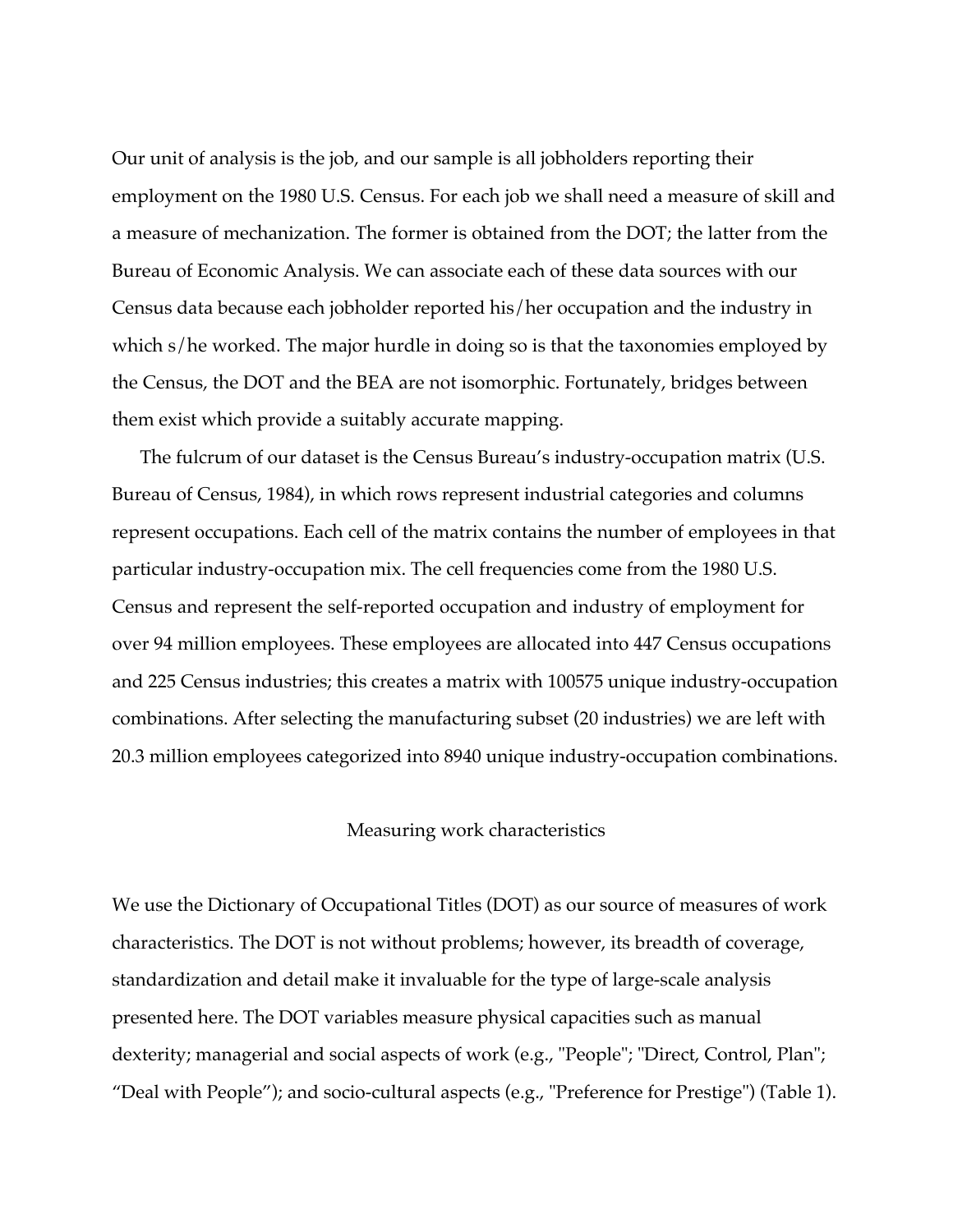Our unit of analysis is the job, and our sample is all jobholders reporting their employment on the 1980 U.S. Census. For each job we shall need a measure of skill and a measure of mechanization. The former is obtained from the DOT; the latter from the Bureau of Economic Analysis. We can associate each of these data sources with our Census data because each jobholder reported his/her occupation and the industry in which s/he worked. The major hurdle in doing so is that the taxonomies employed by the Census, the DOT and the BEA are not isomorphic. Fortunately, bridges between them exist which provide a suitably accurate mapping.

The fulcrum of our dataset is the Census Bureau's industry-occupation matrix (U.S. Bureau of Census, 1984), in which rows represent industrial categories and columns represent occupations. Each cell of the matrix contains the number of employees in that particular industry-occupation mix. The cell frequencies come from the 1980 U.S. Census and represent the self-reported occupation and industry of employment for over 94 million employees. These employees are allocated into 447 Census occupations and 225 Census industries; this creates a matrix with 100575 unique industry-occupation combinations. After selecting the manufacturing subset (20 industries) we are left with 20.3 million employees categorized into 8940 unique industry-occupation combinations.

#### Measuring work characteristics

We use the Dictionary of Occupational Titles (DOT) as our source of measures of work characteristics. The DOT is not without problems; however, its breadth of coverage, standardization and detail make it invaluable for the type of large-scale analysis presented here. The DOT variables measure physical capacities such as manual dexterity; managerial and social aspects of work (e.g., "People"; "Direct, Control, Plan"; "Deal with People"); and socio-cultural aspects (e.g., "Preference for Prestige") (Table 1).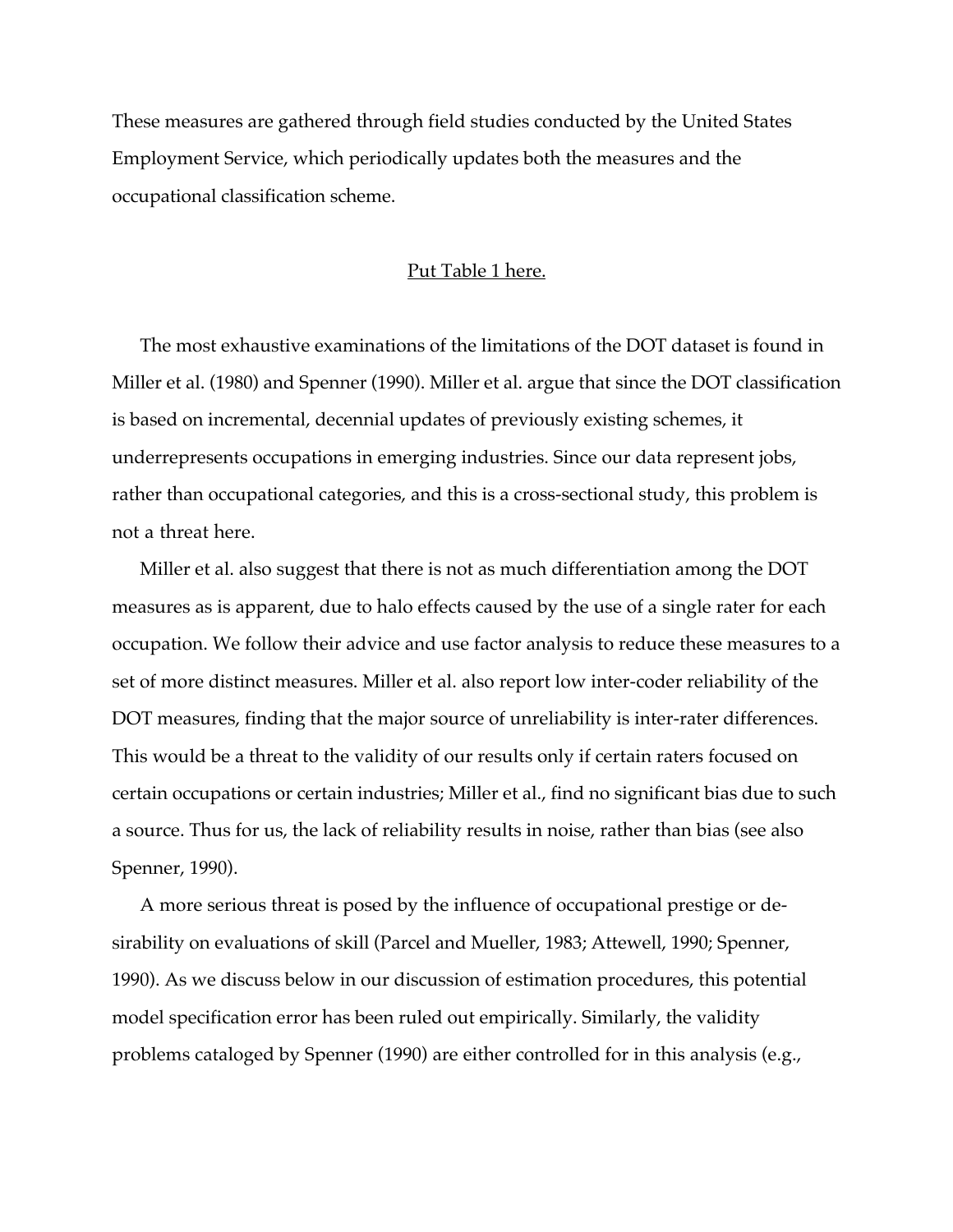These measures are gathered through field studies conducted by the United States Employment Service, which periodically updates both the measures and the occupational classification scheme.

#### Put Table 1 here.

The most exhaustive examinations of the limitations of the DOT dataset is found in Miller et al. (1980) and Spenner (1990). Miller et al. argue that since the DOT classification is based on incremental, decennial updates of previously existing schemes, it underrepresents occupations in emerging industries. Since our data represent jobs, rather than occupational categories, and this is a cross-sectional study, this problem is not a threat here.

Miller et al. also suggest that there is not as much differentiation among the DOT measures as is apparent, due to halo effects caused by the use of a single rater for each occupation. We follow their advice and use factor analysis to reduce these measures to a set of more distinct measures. Miller et al. also report low inter-coder reliability of the DOT measures, finding that the major source of unreliability is inter-rater differences. This would be a threat to the validity of our results only if certain raters focused on certain occupations or certain industries; Miller et al., find no significant bias due to such a source. Thus for us, the lack of reliability results in noise, rather than bias (see also Spenner, 1990).

A more serious threat is posed by the influence of occupational prestige or desirability on evaluations of skill (Parcel and Mueller, 1983; Attewell, 1990; Spenner, 1990). As we discuss below in our discussion of estimation procedures, this potential model specification error has been ruled out empirically. Similarly, the validity problems cataloged by Spenner (1990) are either controlled for in this analysis (e.g.,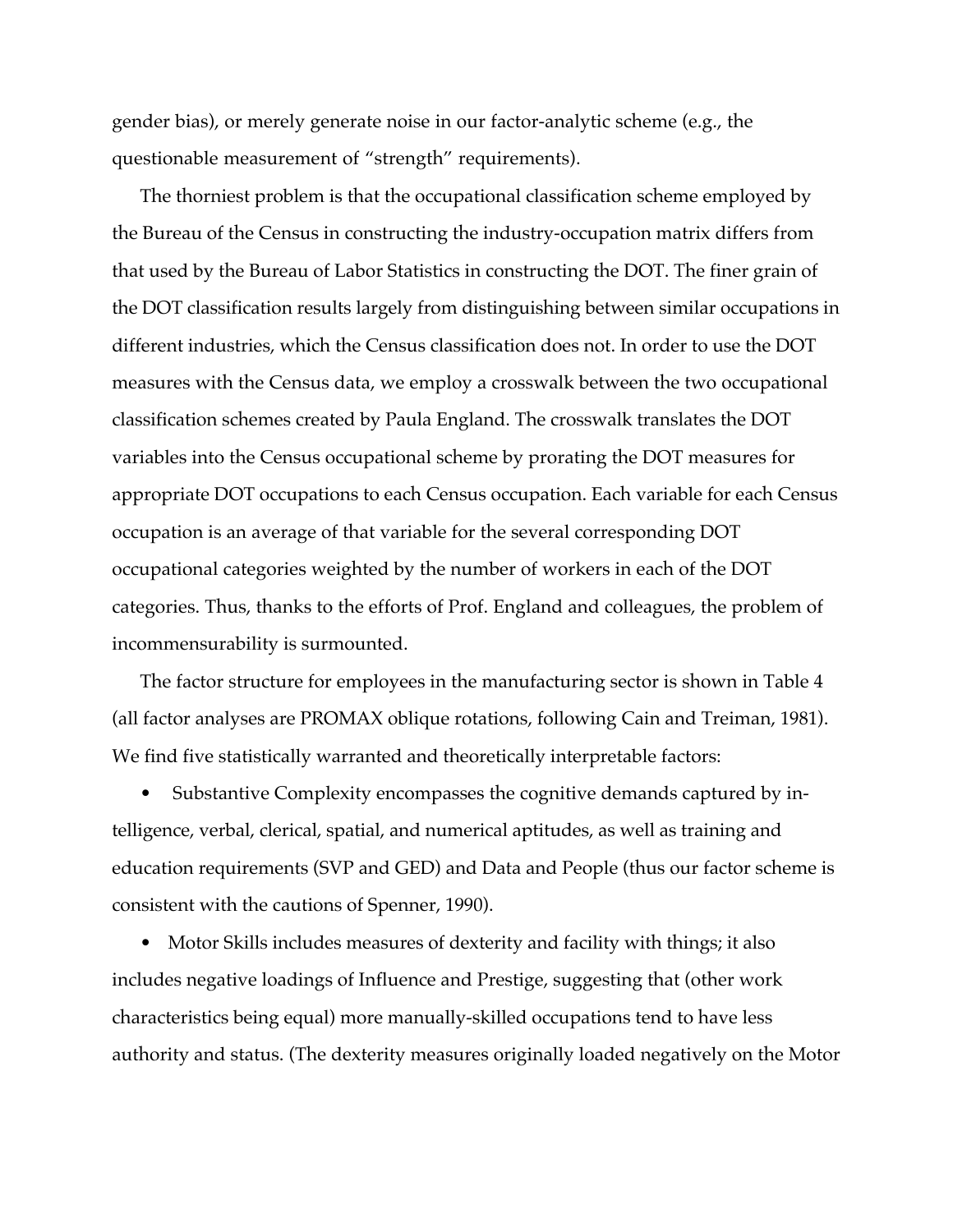gender bias), or merely generate noise in our factor-analytic scheme (e.g., the questionable measurement of "strength" requirements).

The thorniest problem is that the occupational classification scheme employed by the Bureau of the Census in constructing the industry-occupation matrix differs from that used by the Bureau of Labor Statistics in constructing the DOT. The finer grain of the DOT classification results largely from distinguishing between similar occupations in different industries, which the Census classification does not. In order to use the DOT measures with the Census data, we employ a crosswalk between the two occupational classification schemes created by Paula England. The crosswalk translates the DOT variables into the Census occupational scheme by prorating the DOT measures for appropriate DOT occupations to each Census occupation. Each variable for each Census occupation is an average of that variable for the several corresponding DOT occupational categories weighted by the number of workers in each of the DOT categories. Thus, thanks to the efforts of Prof. England and colleagues, the problem of incommensurability is surmounted.

The factor structure for employees in the manufacturing sector is shown in Table 4 (all factor analyses are PROMAX oblique rotations, following Cain and Treiman, 1981). We find five statistically warranted and theoretically interpretable factors:

• Substantive Complexity encompasses the cognitive demands captured by intelligence, verbal, clerical, spatial, and numerical aptitudes, as well as training and education requirements (SVP and GED) and Data and People (thus our factor scheme is consistent with the cautions of Spenner, 1990).

• Motor Skills includes measures of dexterity and facility with things; it also includes negative loadings of Influence and Prestige, suggesting that (other work characteristics being equal) more manually-skilled occupations tend to have less authority and status. (The dexterity measures originally loaded negatively on the Motor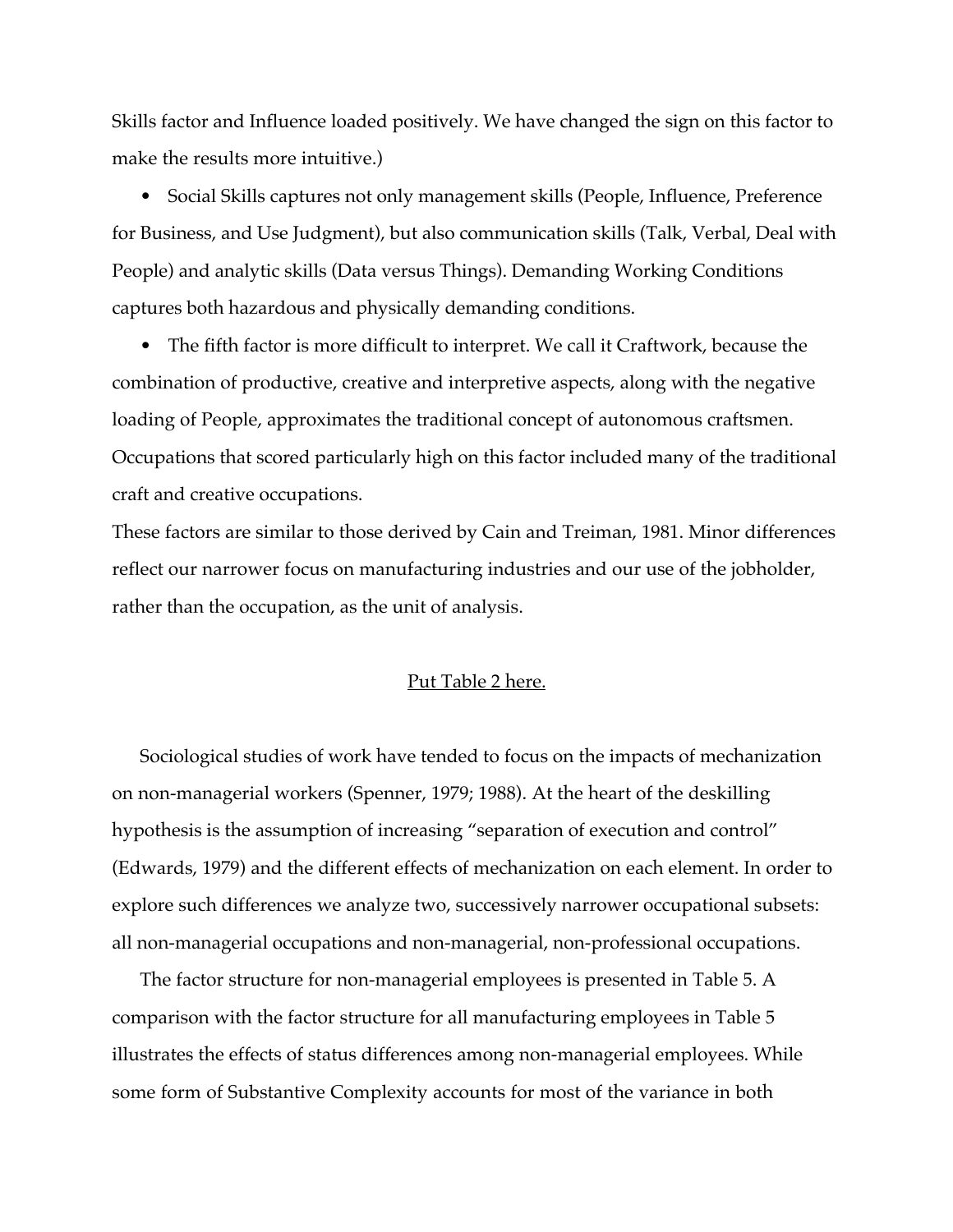Skills factor and Influence loaded positively. We have changed the sign on this factor to make the results more intuitive.)

• Social Skills captures not only management skills (People, Influence, Preference for Business, and Use Judgment), but also communication skills (Talk, Verbal, Deal with People) and analytic skills (Data versus Things). Demanding Working Conditions captures both hazardous and physically demanding conditions.

• The fifth factor is more difficult to interpret. We call it Craftwork, because the combination of productive, creative and interpretive aspects, along with the negative loading of People, approximates the traditional concept of autonomous craftsmen. Occupations that scored particularly high on this factor included many of the traditional craft and creative occupations.

These factors are similar to those derived by Cain and Treiman, 1981. Minor differences reflect our narrower focus on manufacturing industries and our use of the jobholder, rather than the occupation, as the unit of analysis.

#### Put Table 2 here.

Sociological studies of work have tended to focus on the impacts of mechanization on non-managerial workers (Spenner, 1979; 1988). At the heart of the deskilling hypothesis is the assumption of increasing "separation of execution and control" (Edwards, 1979) and the different effects of mechanization on each element. In order to explore such differences we analyze two, successively narrower occupational subsets: all non-managerial occupations and non-managerial, non-professional occupations.

The factor structure for non-managerial employees is presented in Table 5. A comparison with the factor structure for all manufacturing employees in Table 5 illustrates the effects of status differences among non-managerial employees. While some form of Substantive Complexity accounts for most of the variance in both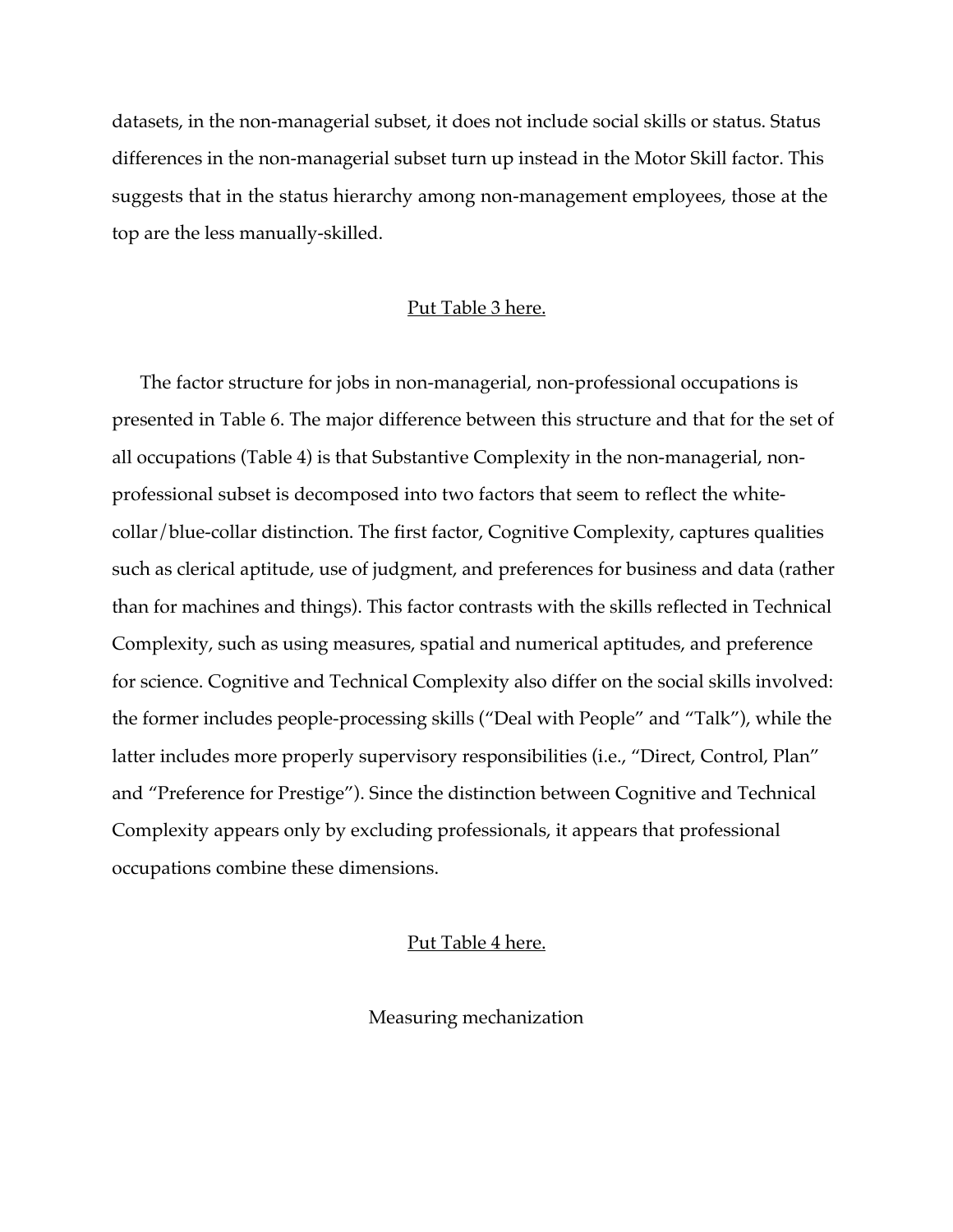datasets, in the non-managerial subset, it does not include social skills or status. Status differences in the non-managerial subset turn up instead in the Motor Skill factor. This suggests that in the status hierarchy among non-management employees, those at the top are the less manually-skilled.

#### Put Table 3 here.

The factor structure for jobs in non-managerial, non-professional occupations is presented in Table 6. The major difference between this structure and that for the set of all occupations (Table 4) is that Substantive Complexity in the non-managerial, nonprofessional subset is decomposed into two factors that seem to reflect the whitecollar/blue-collar distinction. The first factor, Cognitive Complexity, captures qualities such as clerical aptitude, use of judgment, and preferences for business and data (rather than for machines and things). This factor contrasts with the skills reflected in Technical Complexity, such as using measures, spatial and numerical aptitudes, and preference for science. Cognitive and Technical Complexity also differ on the social skills involved: the former includes people-processing skills ("Deal with People" and "Talk"), while the latter includes more properly supervisory responsibilities (i.e., "Direct, Control, Plan" and "Preference for Prestige"). Since the distinction between Cognitive and Technical Complexity appears only by excluding professionals, it appears that professional occupations combine these dimensions.

#### Put Table 4 here.

Measuring mechanization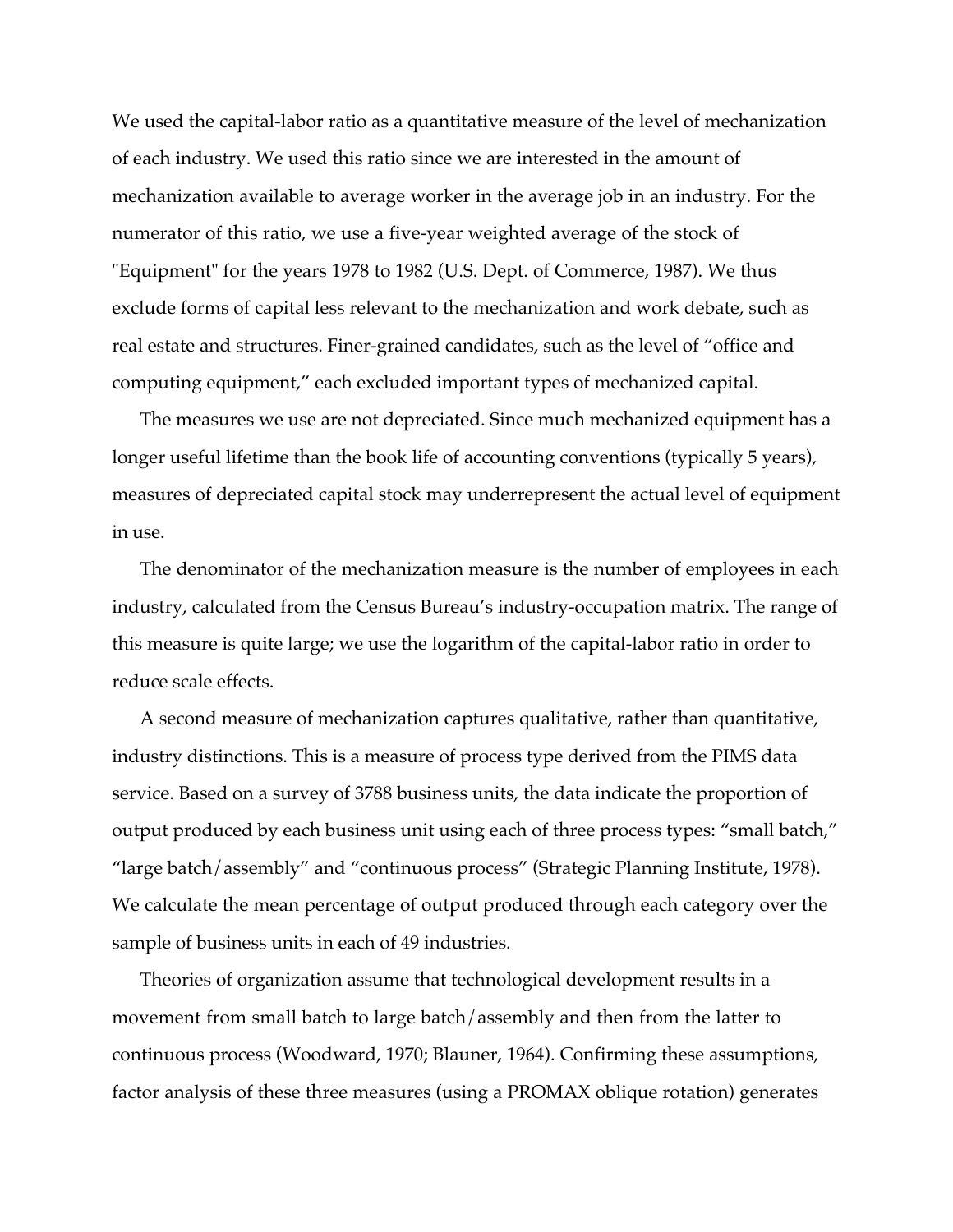We used the capital-labor ratio as a quantitative measure of the level of mechanization of each industry. We used this ratio since we are interested in the amount of mechanization available to average worker in the average job in an industry. For the numerator of this ratio, we use a five-year weighted average of the stock of "Equipment" for the years 1978 to 1982 (U.S. Dept. of Commerce, 1987). We thus exclude forms of capital less relevant to the mechanization and work debate, such as real estate and structures. Finer-grained candidates, such as the level of "office and computing equipment," each excluded important types of mechanized capital.

The measures we use are not depreciated. Since much mechanized equipment has a longer useful lifetime than the book life of accounting conventions (typically 5 years), measures of depreciated capital stock may underrepresent the actual level of equipment in use.

The denominator of the mechanization measure is the number of employees in each industry, calculated from the Census Bureau's industry-occupation matrix. The range of this measure is quite large; we use the logarithm of the capital-labor ratio in order to reduce scale effects.

A second measure of mechanization captures qualitative, rather than quantitative, industry distinctions. This is a measure of process type derived from the PIMS data service. Based on a survey of 3788 business units, the data indicate the proportion of output produced by each business unit using each of three process types: "small batch," "large batch/assembly" and "continuous process" (Strategic Planning Institute, 1978). We calculate the mean percentage of output produced through each category over the sample of business units in each of 49 industries.

Theories of organization assume that technological development results in a movement from small batch to large batch/assembly and then from the latter to continuous process (Woodward, 1970; Blauner, 1964). Confirming these assumptions, factor analysis of these three measures (using a PROMAX oblique rotation) generates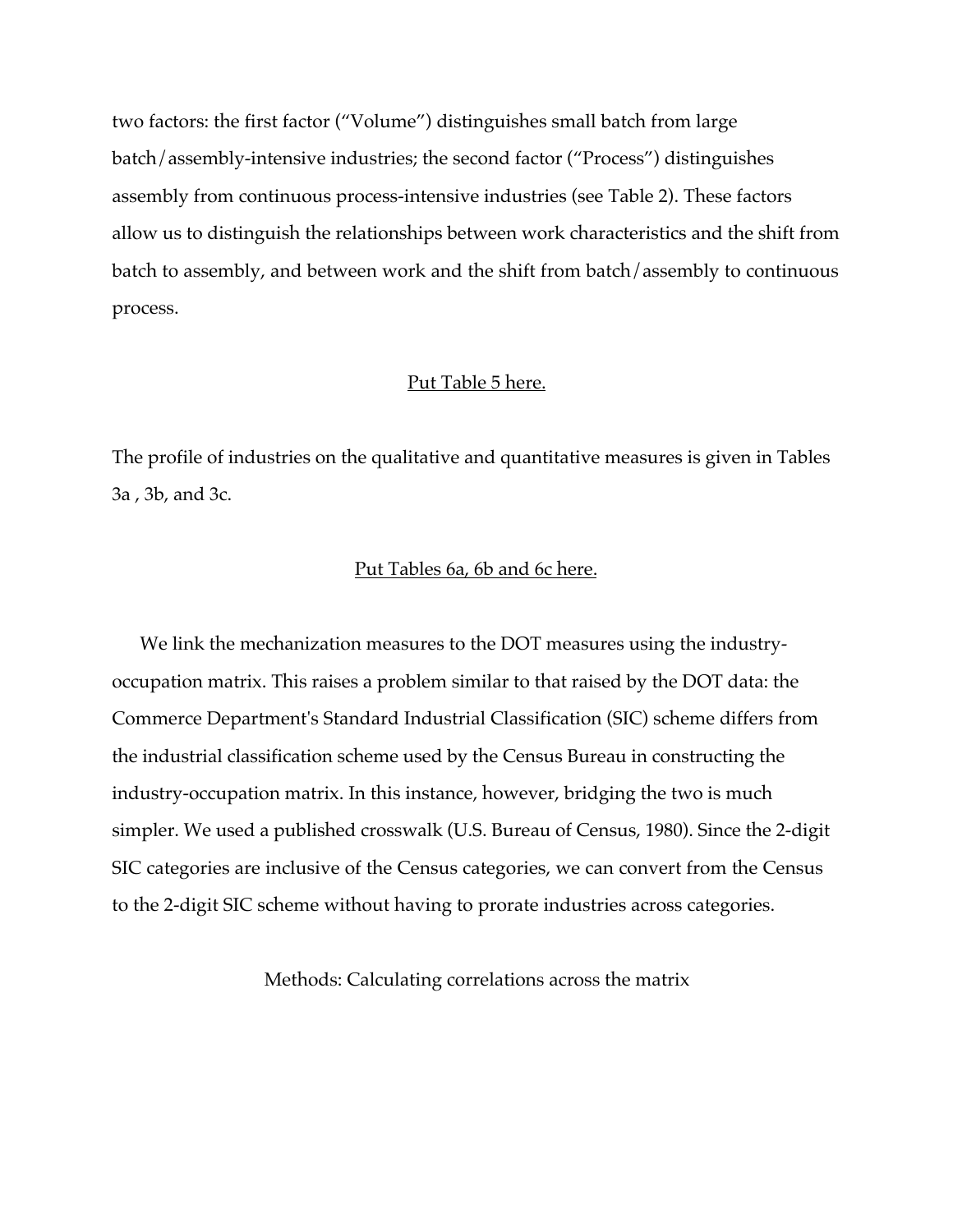two factors: the first factor ("Volume") distinguishes small batch from large batch/assembly-intensive industries; the second factor ("Process") distinguishes assembly from continuous process-intensive industries (see Table 2). These factors allow us to distinguish the relationships between work characteristics and the shift from batch to assembly, and between work and the shift from batch/assembly to continuous process.

#### Put Table 5 here.

The profile of industries on the qualitative and quantitative measures is given in Tables 3a , 3b, and 3c.

#### Put Tables 6a, 6b and 6c here.

We link the mechanization measures to the DOT measures using the industryoccupation matrix. This raises a problem similar to that raised by the DOT data: the Commerce Department's Standard Industrial Classification (SIC) scheme differs from the industrial classification scheme used by the Census Bureau in constructing the industry-occupation matrix. In this instance, however, bridging the two is much simpler. We used a published crosswalk (U.S. Bureau of Census, 1980). Since the 2-digit SIC categories are inclusive of the Census categories, we can convert from the Census to the 2-digit SIC scheme without having to prorate industries across categories.

Methods: Calculating correlations across the matrix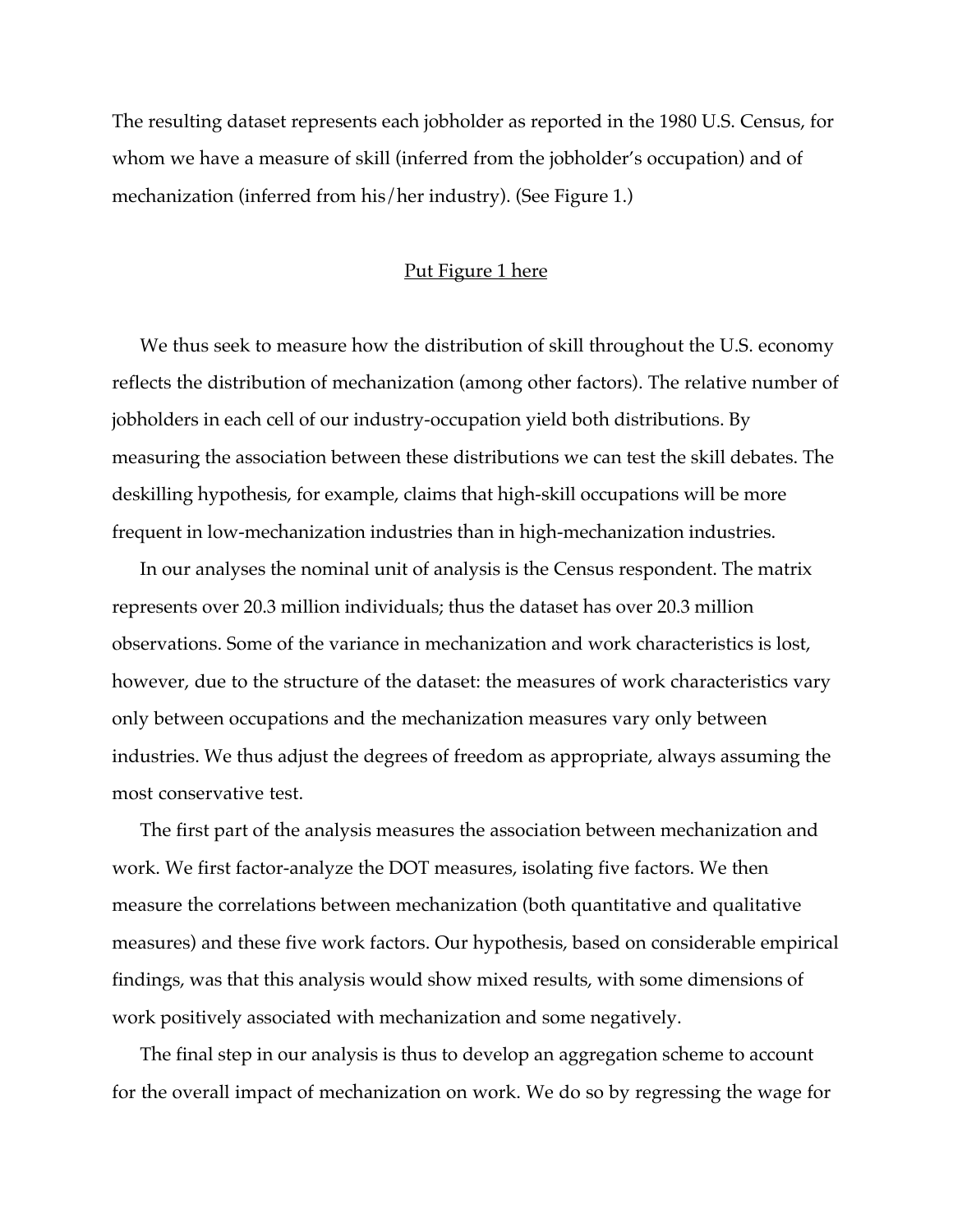The resulting dataset represents each jobholder as reported in the 1980 U.S. Census, for whom we have a measure of skill (inferred from the jobholder's occupation) and of mechanization (inferred from his/her industry). (See Figure 1.)

#### Put Figure 1 here

We thus seek to measure how the distribution of skill throughout the U.S. economy reflects the distribution of mechanization (among other factors). The relative number of jobholders in each cell of our industry-occupation yield both distributions. By measuring the association between these distributions we can test the skill debates. The deskilling hypothesis, for example, claims that high-skill occupations will be more frequent in low-mechanization industries than in high-mechanization industries.

In our analyses the nominal unit of analysis is the Census respondent. The matrix represents over 20.3 million individuals; thus the dataset has over 20.3 million observations. Some of the variance in mechanization and work characteristics is lost, however, due to the structure of the dataset: the measures of work characteristics vary only between occupations and the mechanization measures vary only between industries. We thus adjust the degrees of freedom as appropriate, always assuming the most conservative test.

The first part of the analysis measures the association between mechanization and work. We first factor-analyze the DOT measures, isolating five factors. We then measure the correlations between mechanization (both quantitative and qualitative measures) and these five work factors. Our hypothesis, based on considerable empirical findings, was that this analysis would show mixed results, with some dimensions of work positively associated with mechanization and some negatively.

The final step in our analysis is thus to develop an aggregation scheme to account for the overall impact of mechanization on work. We do so by regressing the wage for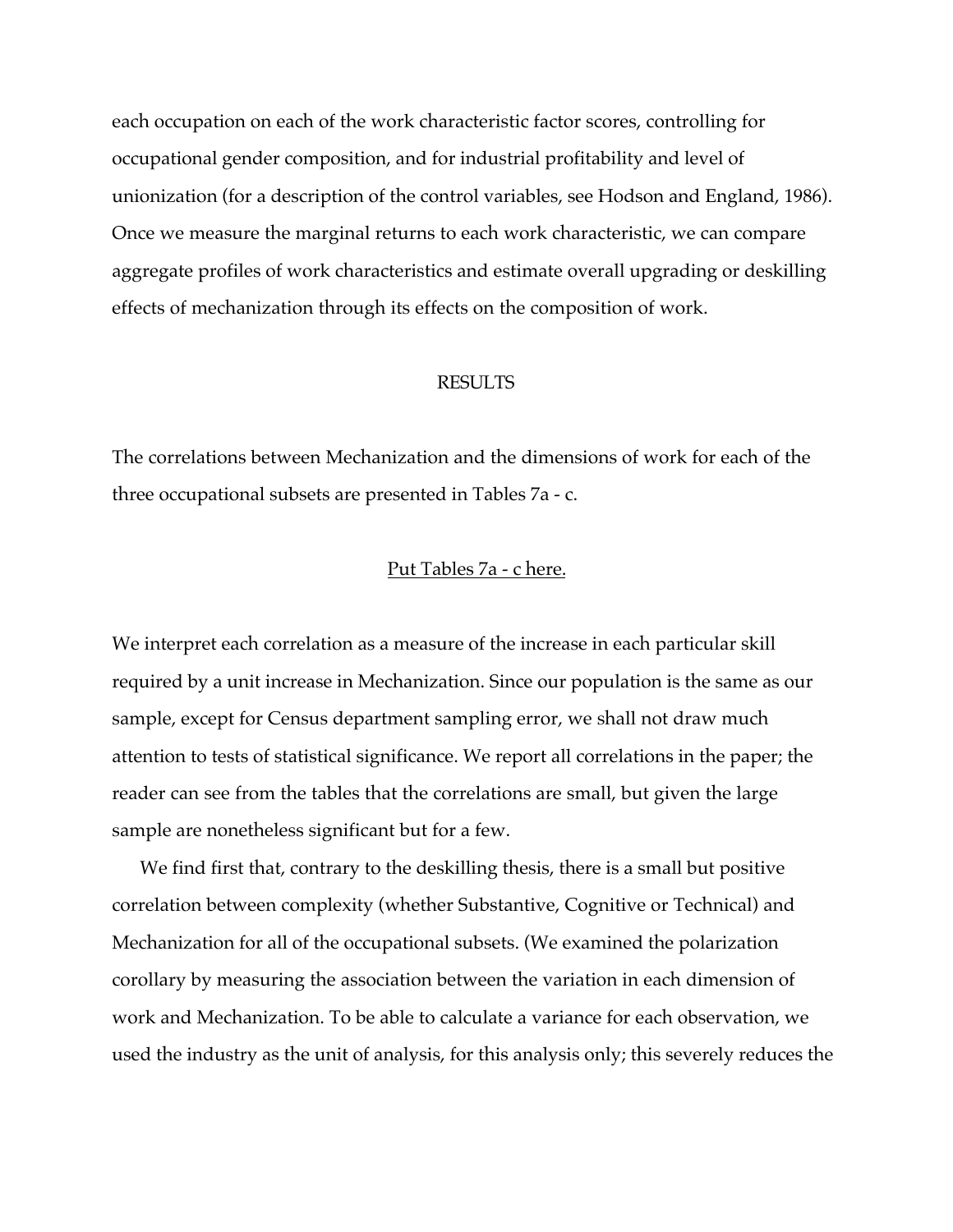each occupation on each of the work characteristic factor scores, controlling for occupational gender composition, and for industrial profitability and level of unionization (for a description of the control variables, see Hodson and England, 1986). Once we measure the marginal returns to each work characteristic, we can compare aggregate profiles of work characteristics and estimate overall upgrading or deskilling effects of mechanization through its effects on the composition of work.

#### RESULTS

The correlations between Mechanization and the dimensions of work for each of the three occupational subsets are presented in Tables 7a - c.

#### Put Tables 7a - c here.

We interpret each correlation as a measure of the increase in each particular skill required by a unit increase in Mechanization. Since our population is the same as our sample, except for Census department sampling error, we shall not draw much attention to tests of statistical significance. We report all correlations in the paper; the reader can see from the tables that the correlations are small, but given the large sample are nonetheless significant but for a few.

We find first that, contrary to the deskilling thesis, there is a small but positive correlation between complexity (whether Substantive, Cognitive or Technical) and Mechanization for all of the occupational subsets. (We examined the polarization corollary by measuring the association between the variation in each dimension of work and Mechanization. To be able to calculate a variance for each observation, we used the industry as the unit of analysis, for this analysis only; this severely reduces the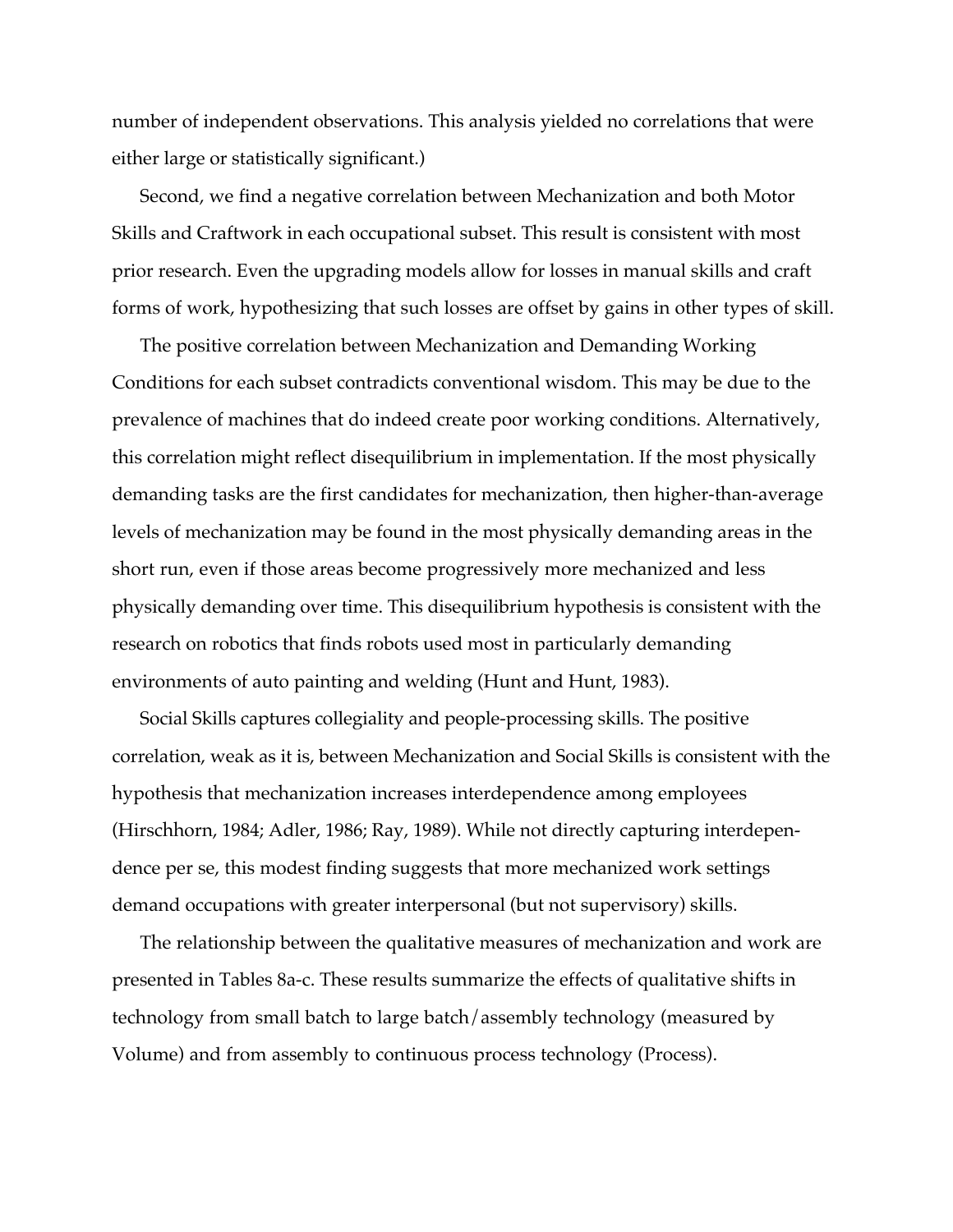number of independent observations. This analysis yielded no correlations that were either large or statistically significant.)

Second, we find a negative correlation between Mechanization and both Motor Skills and Craftwork in each occupational subset. This result is consistent with most prior research. Even the upgrading models allow for losses in manual skills and craft forms of work, hypothesizing that such losses are offset by gains in other types of skill.

The positive correlation between Mechanization and Demanding Working Conditions for each subset contradicts conventional wisdom. This may be due to the prevalence of machines that do indeed create poor working conditions. Alternatively, this correlation might reflect disequilibrium in implementation. If the most physically demanding tasks are the first candidates for mechanization, then higher-than-average levels of mechanization may be found in the most physically demanding areas in the short run, even if those areas become progressively more mechanized and less physically demanding over time. This disequilibrium hypothesis is consistent with the research on robotics that finds robots used most in particularly demanding environments of auto painting and welding (Hunt and Hunt, 1983).

Social Skills captures collegiality and people-processing skills. The positive correlation, weak as it is, between Mechanization and Social Skills is consistent with the hypothesis that mechanization increases interdependence among employees (Hirschhorn, 1984; Adler, 1986; Ray, 1989). While not directly capturing interdependence per se, this modest finding suggests that more mechanized work settings demand occupations with greater interpersonal (but not supervisory) skills.

The relationship between the qualitative measures of mechanization and work are presented in Tables 8a-c. These results summarize the effects of qualitative shifts in technology from small batch to large batch/assembly technology (measured by Volume) and from assembly to continuous process technology (Process).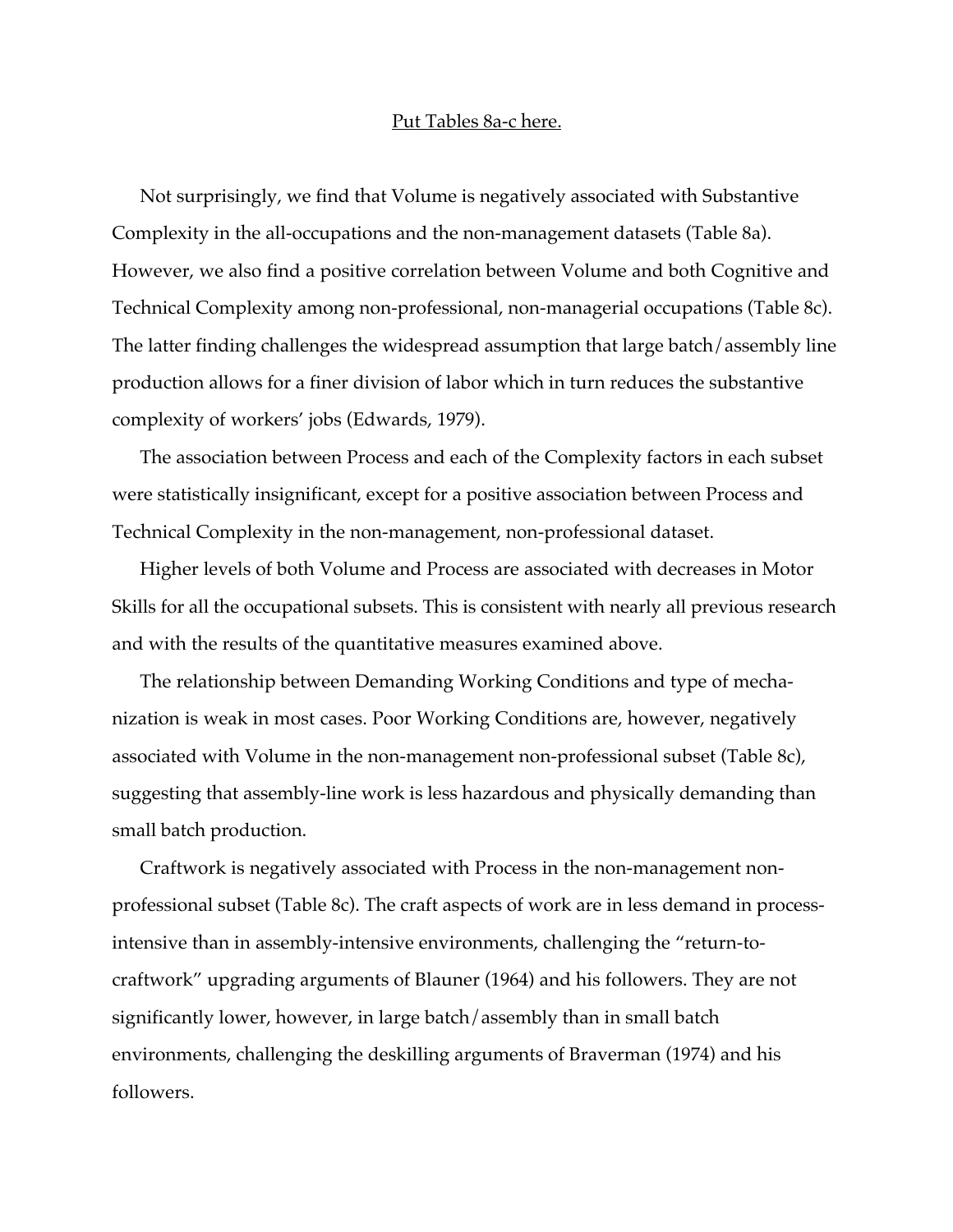#### Put Tables 8a-c here.

Not surprisingly, we find that Volume is negatively associated with Substantive Complexity in the all-occupations and the non-management datasets (Table 8a). However, we also find a positive correlation between Volume and both Cognitive and Technical Complexity among non-professional, non-managerial occupations (Table 8c). The latter finding challenges the widespread assumption that large batch/assembly line production allows for a finer division of labor which in turn reduces the substantive complexity of workers' jobs (Edwards, 1979).

The association between Process and each of the Complexity factors in each subset were statistically insignificant, except for a positive association between Process and Technical Complexity in the non-management, non-professional dataset.

Higher levels of both Volume and Process are associated with decreases in Motor Skills for all the occupational subsets. This is consistent with nearly all previous research and with the results of the quantitative measures examined above.

The relationship between Demanding Working Conditions and type of mechanization is weak in most cases. Poor Working Conditions are, however, negatively associated with Volume in the non-management non-professional subset (Table 8c), suggesting that assembly-line work is less hazardous and physically demanding than small batch production.

Craftwork is negatively associated with Process in the non-management nonprofessional subset (Table 8c). The craft aspects of work are in less demand in processintensive than in assembly-intensive environments, challenging the "return-tocraftwork" upgrading arguments of Blauner (1964) and his followers. They are not significantly lower, however, in large batch/assembly than in small batch environments, challenging the deskilling arguments of Braverman (1974) and his followers.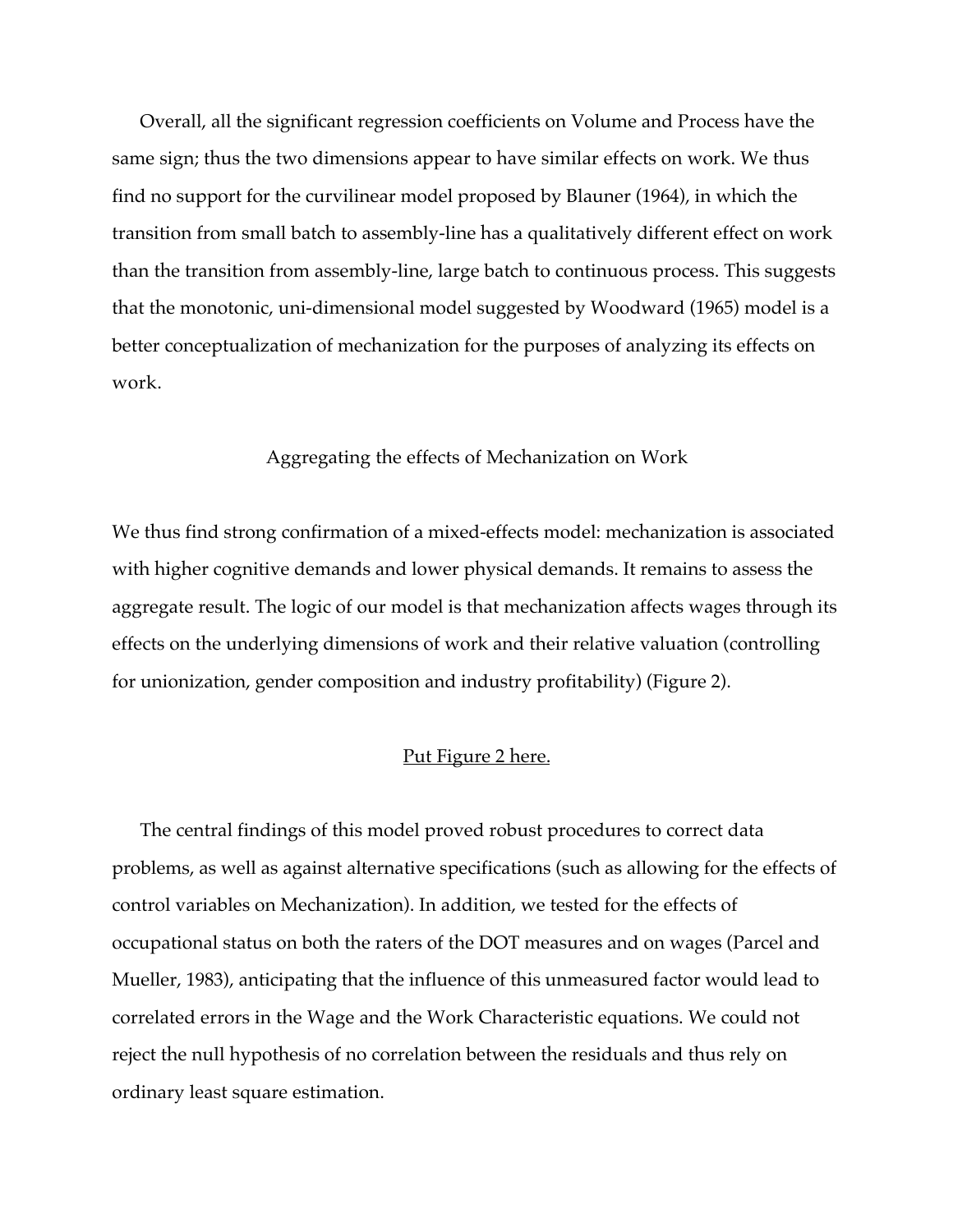Overall, all the significant regression coefficients on Volume and Process have the same sign; thus the two dimensions appear to have similar effects on work. We thus find no support for the curvilinear model proposed by Blauner (1964), in which the transition from small batch to assembly-line has a qualitatively different effect on work than the transition from assembly-line, large batch to continuous process. This suggests that the monotonic, uni-dimensional model suggested by Woodward (1965) model is a better conceptualization of mechanization for the purposes of analyzing its effects on work.

#### Aggregating the effects of Mechanization on Work

We thus find strong confirmation of a mixed-effects model: mechanization is associated with higher cognitive demands and lower physical demands. It remains to assess the aggregate result. The logic of our model is that mechanization affects wages through its effects on the underlying dimensions of work and their relative valuation (controlling for unionization, gender composition and industry profitability) (Figure 2).

#### Put Figure 2 here.

The central findings of this model proved robust procedures to correct data problems, as well as against alternative specifications (such as allowing for the effects of control variables on Mechanization). In addition, we tested for the effects of occupational status on both the raters of the DOT measures and on wages (Parcel and Mueller, 1983), anticipating that the influence of this unmeasured factor would lead to correlated errors in the Wage and the Work Characteristic equations. We could not reject the null hypothesis of no correlation between the residuals and thus rely on ordinary least square estimation.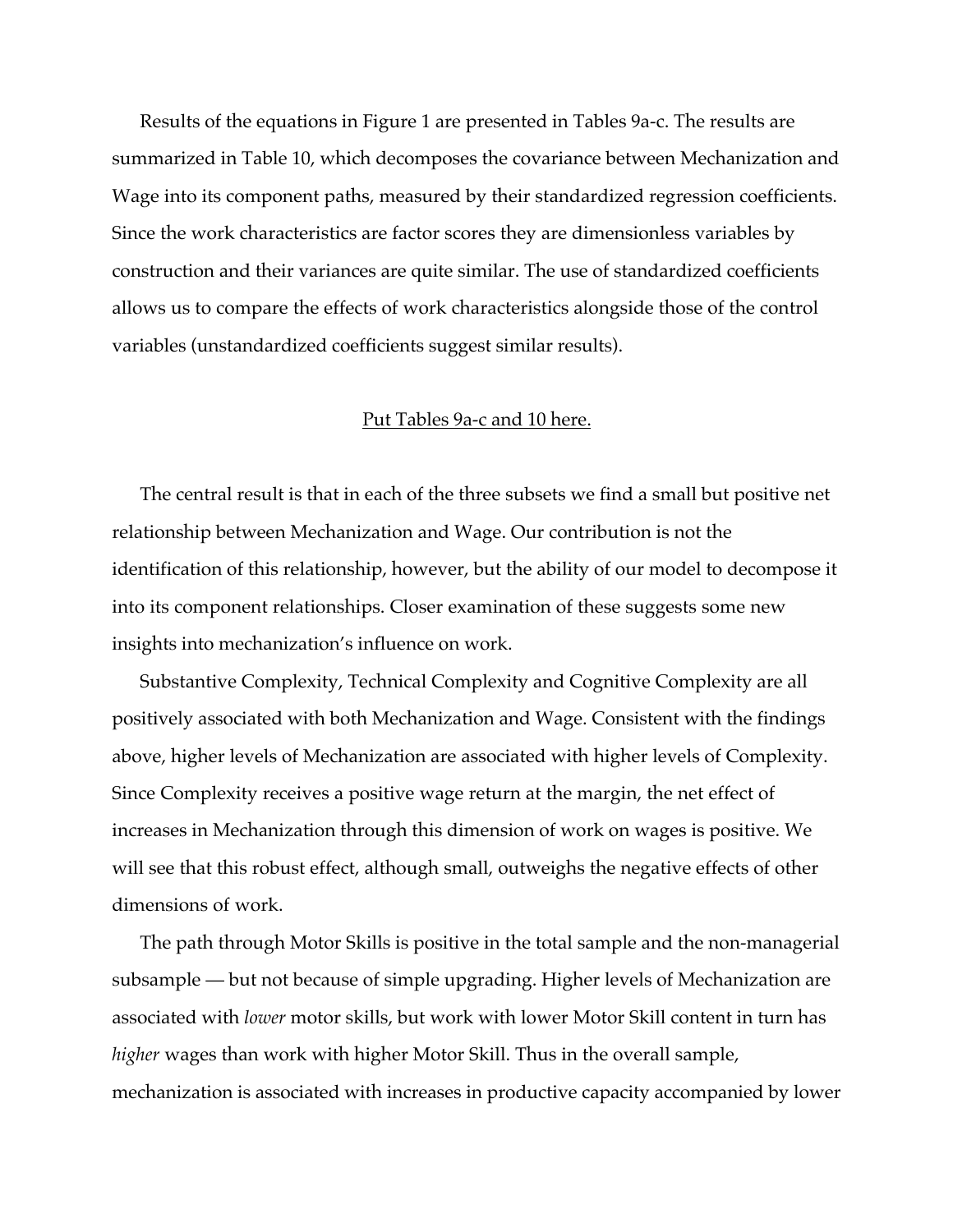Results of the equations in Figure 1 are presented in Tables 9a-c. The results are summarized in Table 10, which decomposes the covariance between Mechanization and Wage into its component paths, measured by their standardized regression coefficients. Since the work characteristics are factor scores they are dimensionless variables by construction and their variances are quite similar. The use of standardized coefficients allows us to compare the effects of work characteristics alongside those of the control variables (unstandardized coefficients suggest similar results).

#### Put Tables 9a-c and 10 here.

The central result is that in each of the three subsets we find a small but positive net relationship between Mechanization and Wage. Our contribution is not the identification of this relationship, however, but the ability of our model to decompose it into its component relationships. Closer examination of these suggests some new insights into mechanization's influence on work.

Substantive Complexity, Technical Complexity and Cognitive Complexity are all positively associated with both Mechanization and Wage. Consistent with the findings above, higher levels of Mechanization are associated with higher levels of Complexity. Since Complexity receives a positive wage return at the margin, the net effect of increases in Mechanization through this dimension of work on wages is positive. We will see that this robust effect, although small, outweighs the negative effects of other dimensions of work.

The path through Motor Skills is positive in the total sample and the non-managerial subsample — but not because of simple upgrading. Higher levels of Mechanization are associated with *lower* motor skills, but work with lower Motor Skill content in turn has *higher* wages than work with higher Motor Skill. Thus in the overall sample, mechanization is associated with increases in productive capacity accompanied by lower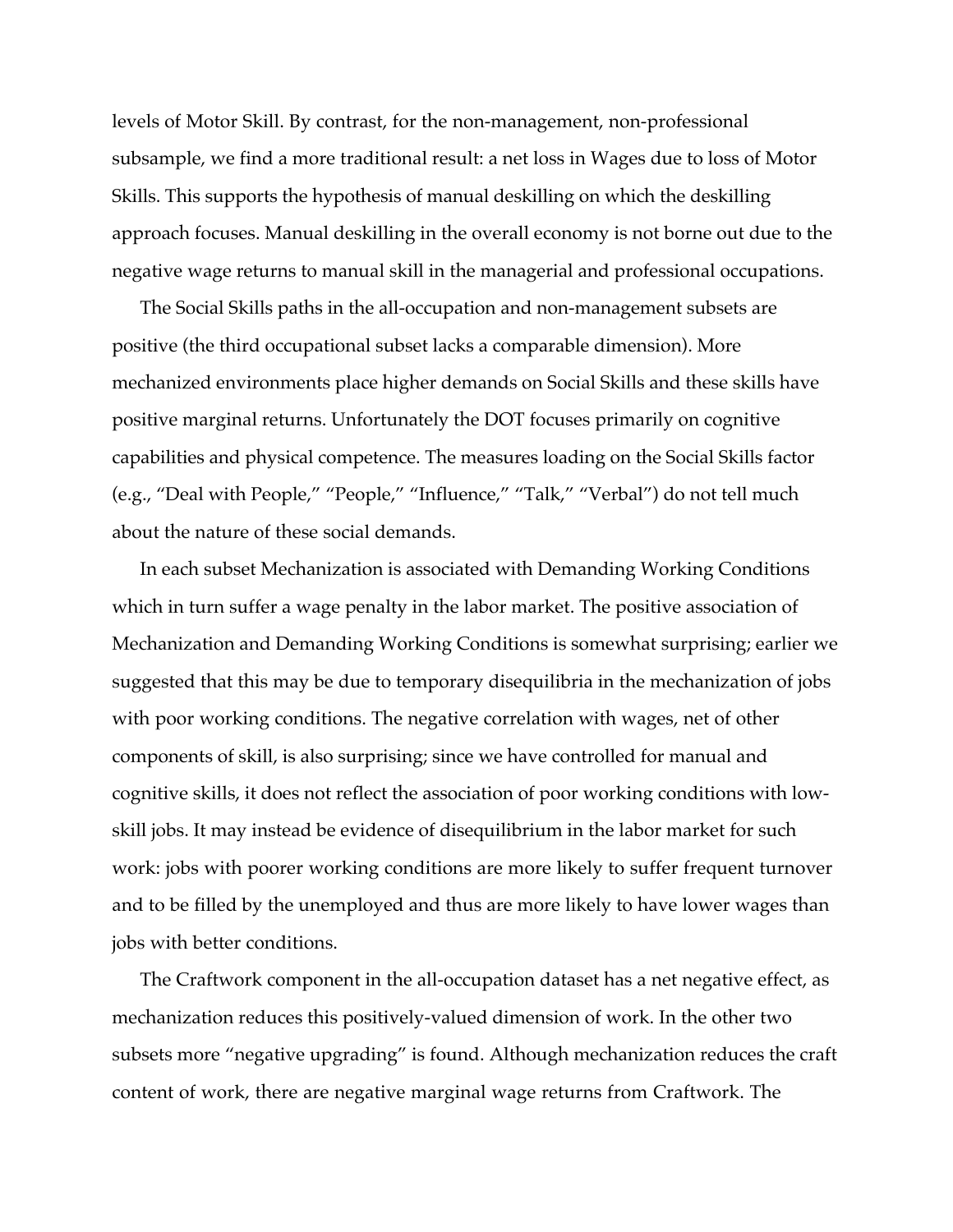levels of Motor Skill. By contrast, for the non-management, non-professional subsample, we find a more traditional result: a net loss in Wages due to loss of Motor Skills. This supports the hypothesis of manual deskilling on which the deskilling approach focuses. Manual deskilling in the overall economy is not borne out due to the negative wage returns to manual skill in the managerial and professional occupations.

The Social Skills paths in the all-occupation and non-management subsets are positive (the third occupational subset lacks a comparable dimension). More mechanized environments place higher demands on Social Skills and these skills have positive marginal returns. Unfortunately the DOT focuses primarily on cognitive capabilities and physical competence. The measures loading on the Social Skills factor (e.g., "Deal with People," "People," "Influence," "Talk," "Verbal") do not tell much about the nature of these social demands.

In each subset Mechanization is associated with Demanding Working Conditions which in turn suffer a wage penalty in the labor market. The positive association of Mechanization and Demanding Working Conditions is somewhat surprising; earlier we suggested that this may be due to temporary disequilibria in the mechanization of jobs with poor working conditions. The negative correlation with wages, net of other components of skill, is also surprising; since we have controlled for manual and cognitive skills, it does not reflect the association of poor working conditions with lowskill jobs. It may instead be evidence of disequilibrium in the labor market for such work: jobs with poorer working conditions are more likely to suffer frequent turnover and to be filled by the unemployed and thus are more likely to have lower wages than jobs with better conditions.

The Craftwork component in the all-occupation dataset has a net negative effect, as mechanization reduces this positively-valued dimension of work. In the other two subsets more "negative upgrading" is found. Although mechanization reduces the craft content of work, there are negative marginal wage returns from Craftwork. The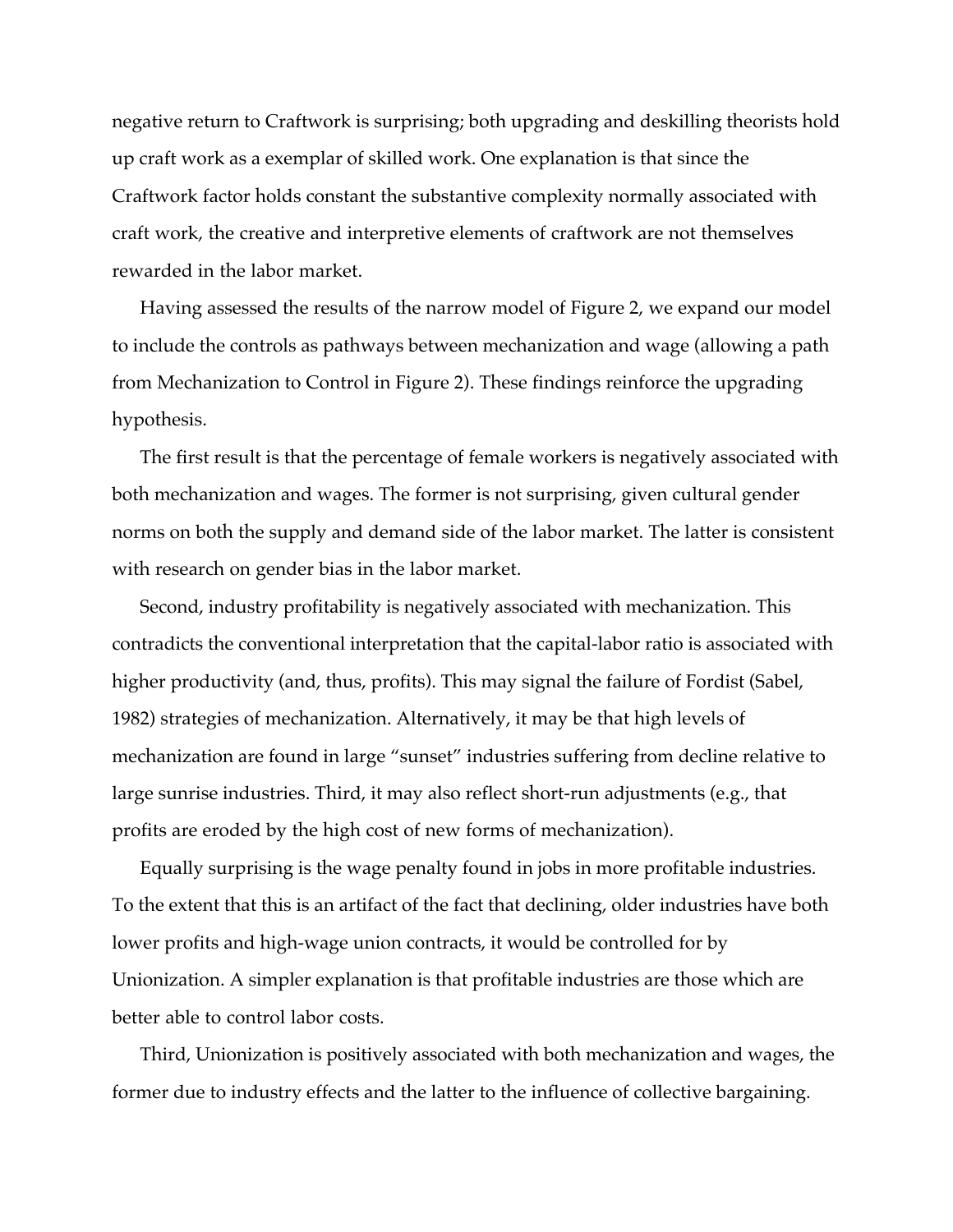negative return to Craftwork is surprising; both upgrading and deskilling theorists hold up craft work as a exemplar of skilled work. One explanation is that since the Craftwork factor holds constant the substantive complexity normally associated with craft work, the creative and interpretive elements of craftwork are not themselves rewarded in the labor market.

Having assessed the results of the narrow model of Figure 2, we expand our model to include the controls as pathways between mechanization and wage (allowing a path from Mechanization to Control in Figure 2). These findings reinforce the upgrading hypothesis.

The first result is that the percentage of female workers is negatively associated with both mechanization and wages. The former is not surprising, given cultural gender norms on both the supply and demand side of the labor market. The latter is consistent with research on gender bias in the labor market.

Second, industry profitability is negatively associated with mechanization. This contradicts the conventional interpretation that the capital-labor ratio is associated with higher productivity (and, thus, profits). This may signal the failure of Fordist (Sabel, 1982) strategies of mechanization. Alternatively, it may be that high levels of mechanization are found in large "sunset" industries suffering from decline relative to large sunrise industries. Third, it may also reflect short-run adjustments (e.g., that profits are eroded by the high cost of new forms of mechanization).

Equally surprising is the wage penalty found in jobs in more profitable industries. To the extent that this is an artifact of the fact that declining, older industries have both lower profits and high-wage union contracts, it would be controlled for by Unionization. A simpler explanation is that profitable industries are those which are better able to control labor costs.

Third, Unionization is positively associated with both mechanization and wages, the former due to industry effects and the latter to the influence of collective bargaining.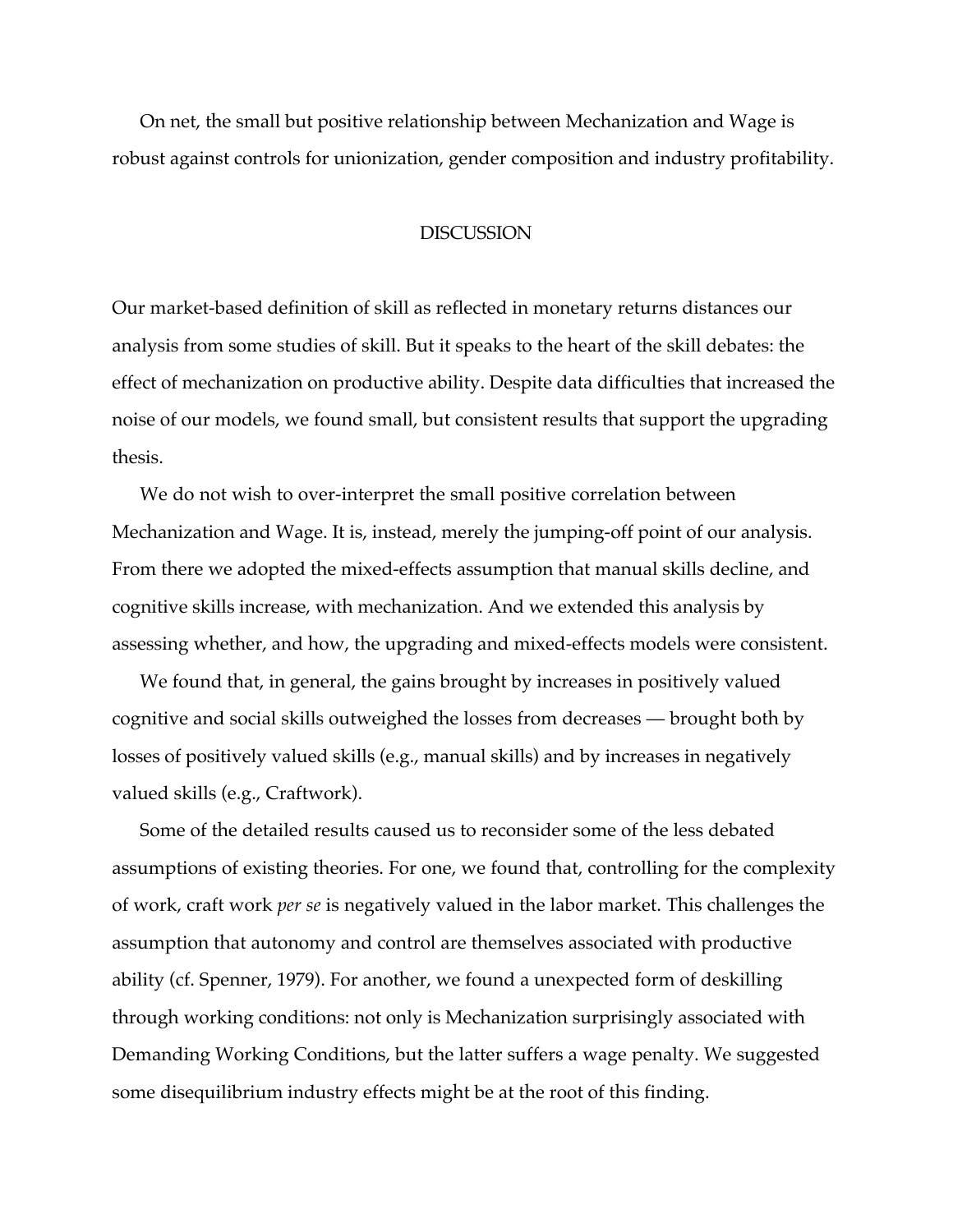On net, the small but positive relationship between Mechanization and Wage is robust against controls for unionization, gender composition and industry profitability.

#### **DISCUSSION**

Our market-based definition of skill as reflected in monetary returns distances our analysis from some studies of skill. But it speaks to the heart of the skill debates: the effect of mechanization on productive ability. Despite data difficulties that increased the noise of our models, we found small, but consistent results that support the upgrading thesis.

We do not wish to over-interpret the small positive correlation between Mechanization and Wage. It is, instead, merely the jumping-off point of our analysis. From there we adopted the mixed-effects assumption that manual skills decline, and cognitive skills increase, with mechanization. And we extended this analysis by assessing whether, and how, the upgrading and mixed-effects models were consistent.

We found that, in general, the gains brought by increases in positively valued cognitive and social skills outweighed the losses from decreases — brought both by losses of positively valued skills (e.g., manual skills) and by increases in negatively valued skills (e.g., Craftwork).

Some of the detailed results caused us to reconsider some of the less debated assumptions of existing theories. For one, we found that, controlling for the complexity of work, craft work *per se* is negatively valued in the labor market. This challenges the assumption that autonomy and control are themselves associated with productive ability (cf. Spenner, 1979). For another, we found a unexpected form of deskilling through working conditions: not only is Mechanization surprisingly associated with Demanding Working Conditions, but the latter suffers a wage penalty. We suggested some disequilibrium industry effects might be at the root of this finding.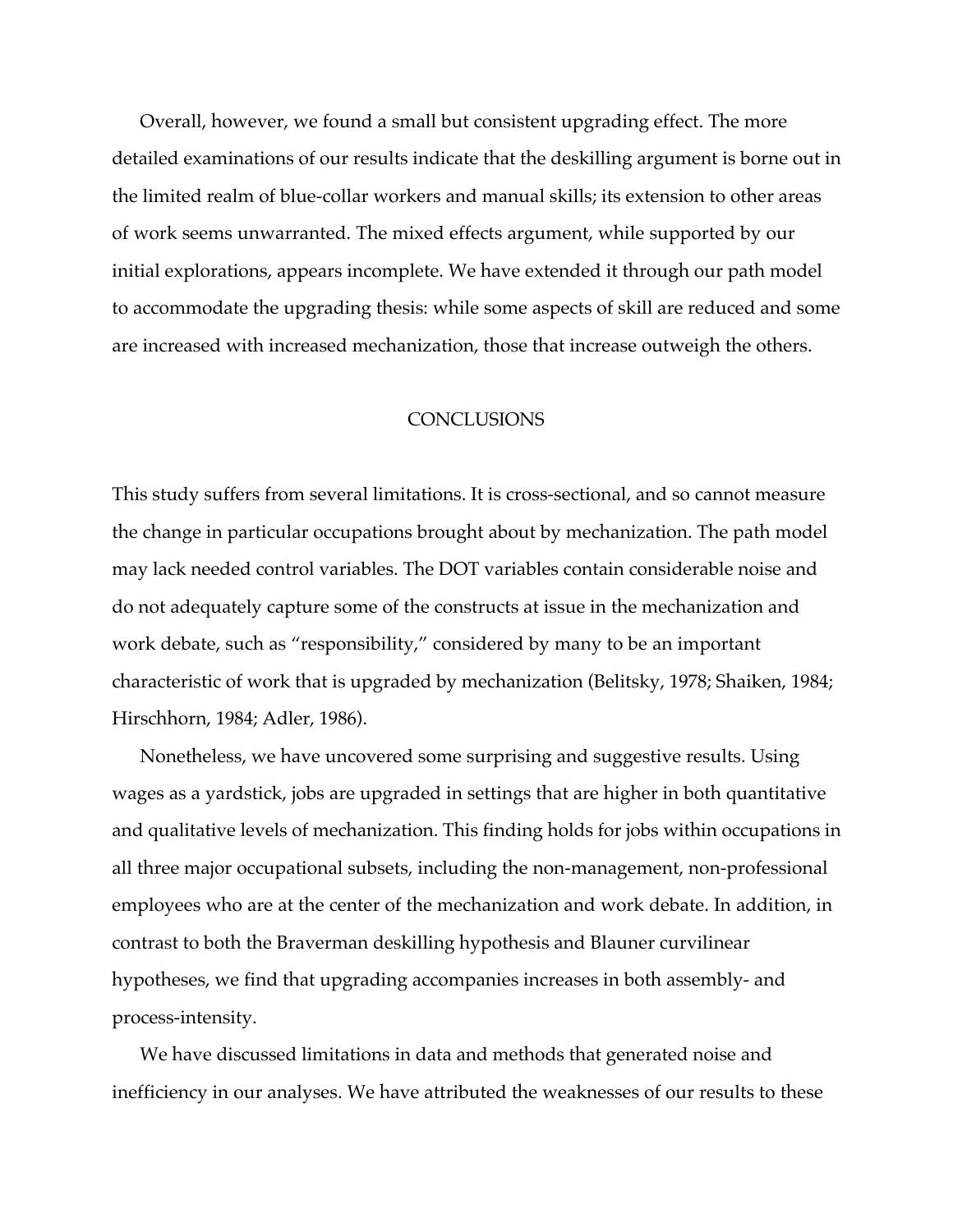Overall, however, we found a small but consistent upgrading effect. The more detailed examinations of our results indicate that the deskilling argument is borne out in the limited realm of blue-collar workers and manual skills; its extension to other areas of work seems unwarranted. The mixed effects argument, while supported by our initial explorations, appears incomplete. We have extended it through our path model to accommodate the upgrading thesis: while some aspects of skill are reduced and some are increased with increased mechanization, those that increase outweigh the others.

### **CONCLUSIONS**

This study suffers from several limitations. It is cross-sectional, and so cannot measure the change in particular occupations brought about by mechanization. The path model may lack needed control variables. The DOT variables contain considerable noise and do not adequately capture some of the constructs at issue in the mechanization and work debate, such as "responsibility," considered by many to be an important characteristic of work that is upgraded by mechanization (Belitsky, 1978; Shaiken, 1984; Hirschhorn, 1984; Adler, 1986).

Nonetheless, we have uncovered some surprising and suggestive results. Using wages as a yardstick, jobs are upgraded in settings that are higher in both quantitative and qualitative levels of mechanization. This finding holds for jobs within occupations in all three major occupational subsets, including the non-management, non-professional employees who are at the center of the mechanization and work debate. In addition, in contrast to both the Braverman deskilling hypothesis and Blauner curvilinear hypotheses, we find that upgrading accompanies increases in both assembly- and process-intensity.

We have discussed limitations in data and methods that generated noise and inefficiency in our analyses. We have attributed the weaknesses of our results to these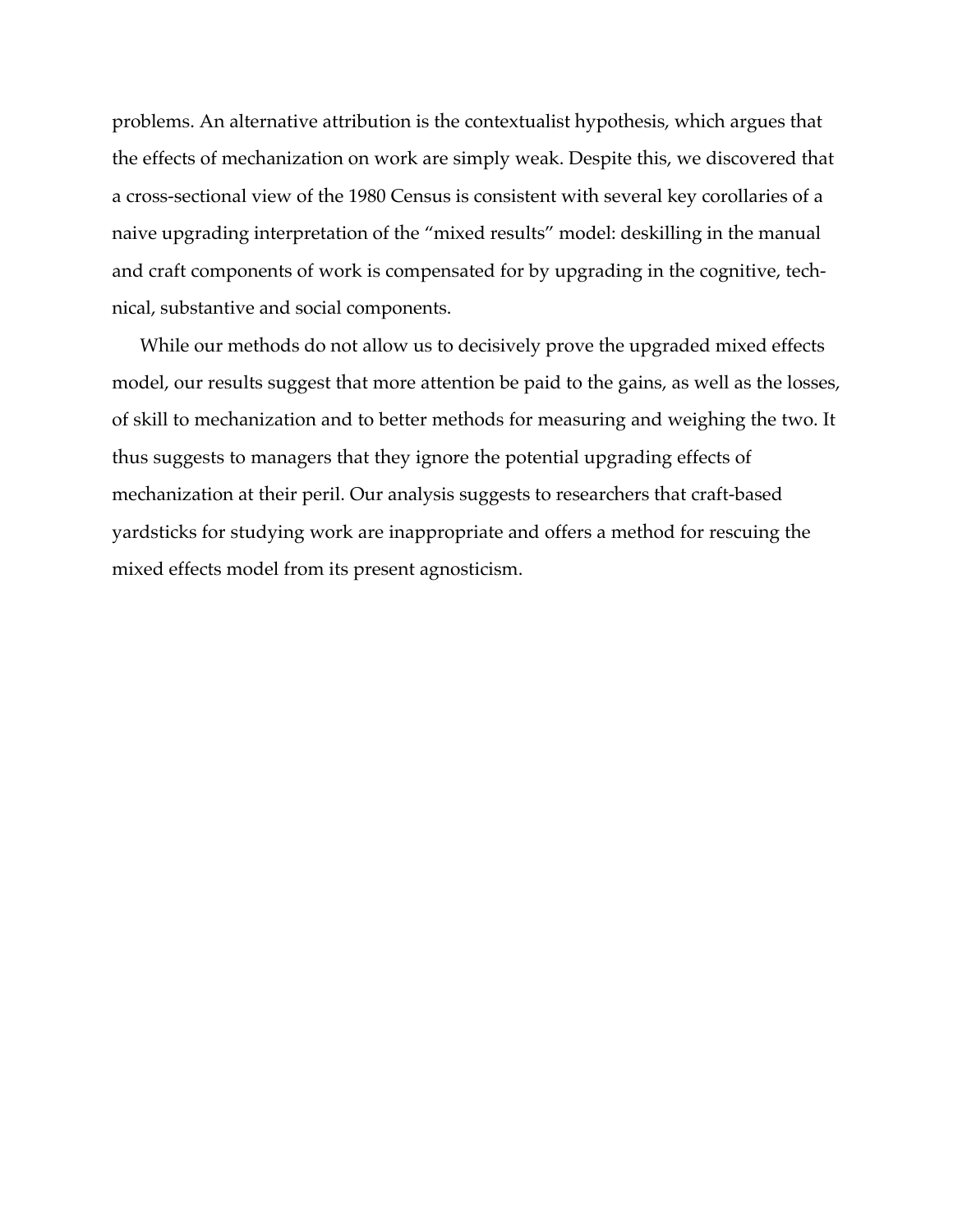problems. An alternative attribution is the contextualist hypothesis, which argues that the effects of mechanization on work are simply weak. Despite this, we discovered that a cross-sectional view of the 1980 Census is consistent with several key corollaries of a naive upgrading interpretation of the "mixed results" model: deskilling in the manual and craft components of work is compensated for by upgrading in the cognitive, technical, substantive and social components.

While our methods do not allow us to decisively prove the upgraded mixed effects model, our results suggest that more attention be paid to the gains, as well as the losses, of skill to mechanization and to better methods for measuring and weighing the two. It thus suggests to managers that they ignore the potential upgrading effects of mechanization at their peril. Our analysis suggests to researchers that craft-based yardsticks for studying work are inappropriate and offers a method for rescuing the mixed effects model from its present agnosticism.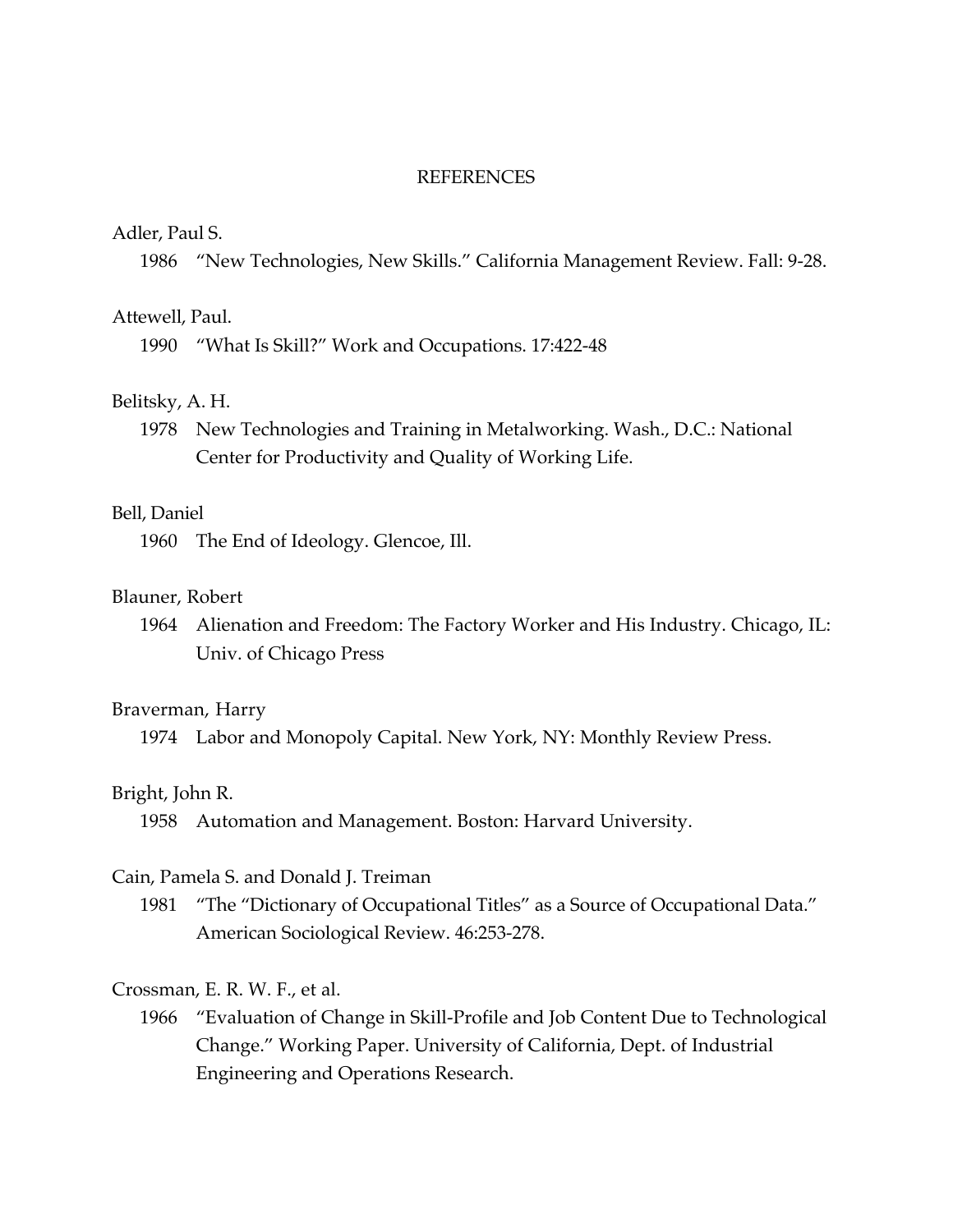#### **REFERENCES**

#### Adler, Paul S.

1986 "New Technologies, New Skills." California Management Review. Fall: 9-28.

#### Attewell, Paul.

1990 "What Is Skill?" Work and Occupations. 17:422-48

### Belitsky, A. H.

1978 New Technologies and Training in Metalworking. Wash., D.C.: National Center for Productivity and Quality of Working Life.

### Bell, Daniel

1960 The End of Ideology. Glencoe, Ill.

#### Blauner, Robert

1964 Alienation and Freedom: The Factory Worker and His Industry. Chicago, IL: Univ. of Chicago Press

#### Braverman, Harry

1974 Labor and Monopoly Capital. New York, NY: Monthly Review Press.

#### Bright, John R.

1958 Automation and Management. Boston: Harvard University.

#### Cain, Pamela S. and Donald J. Treiman

1981 "The "Dictionary of Occupational Titles" as a Source of Occupational Data." American Sociological Review. 46:253-278.

#### Crossman, E. R. W. F., et al.

1966 "Evaluation of Change in Skill-Profile and Job Content Due to Technological Change." Working Paper. University of California, Dept. of Industrial Engineering and Operations Research.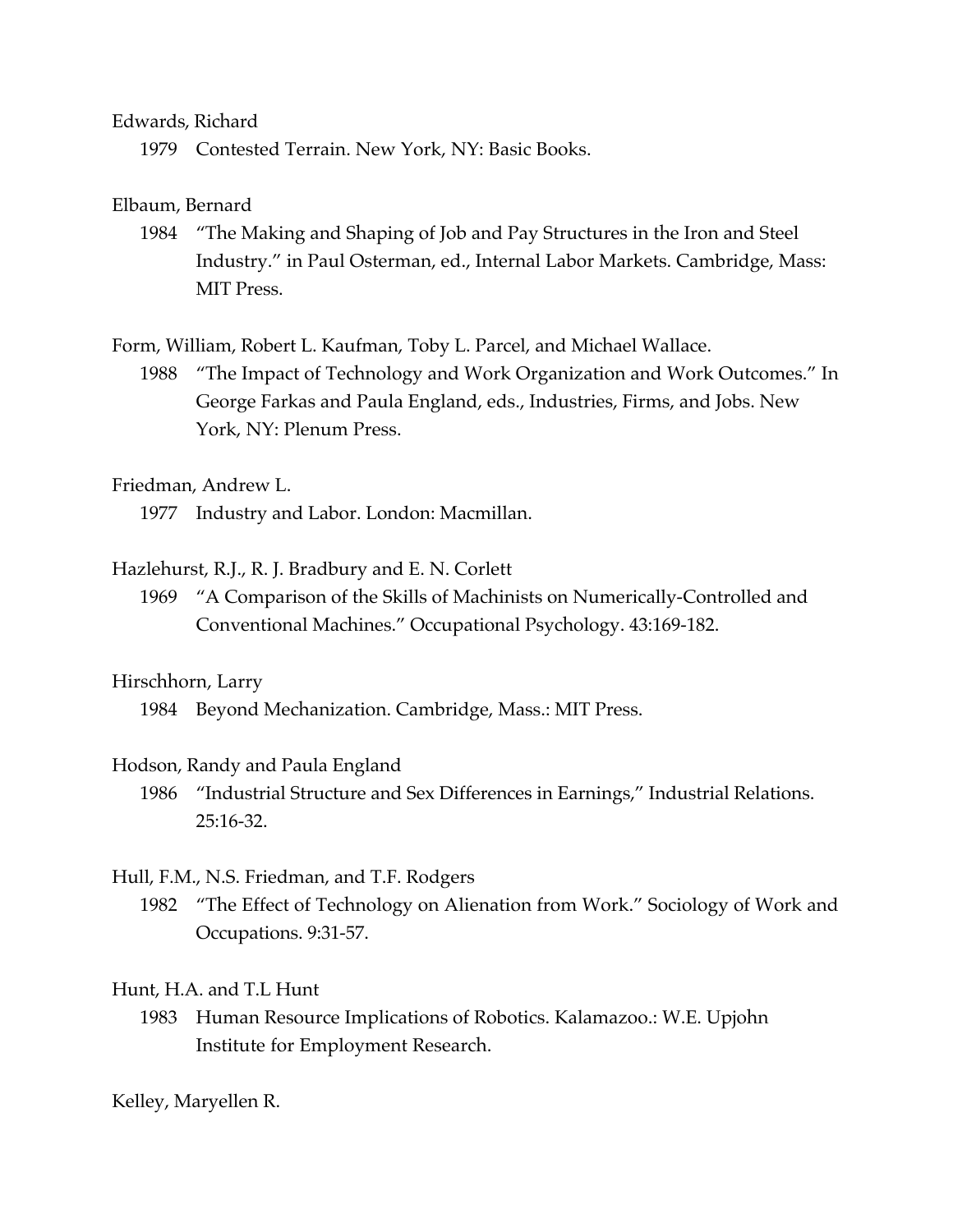### Edwards, Richard

1979 Contested Terrain. New York, NY: Basic Books.

### Elbaum, Bernard

1984 "The Making and Shaping of Job and Pay Structures in the Iron and Steel Industry." in Paul Osterman, ed., Internal Labor Markets. Cambridge, Mass: MIT Press.

Form, William, Robert L. Kaufman, Toby L. Parcel, and Michael Wallace.

1988 "The Impact of Technology and Work Organization and Work Outcomes." In George Farkas and Paula England, eds., Industries, Firms, and Jobs. New York, NY: Plenum Press.

### Friedman, Andrew L.

1977 Industry and Labor. London: Macmillan.

### Hazlehurst, R.J., R. J. Bradbury and E. N. Corlett

1969 "A Comparison of the Skills of Machinists on Numerically-Controlled and Conventional Machines." Occupational Psychology. 43:169-182.

### Hirschhorn, Larry

1984 Beyond Mechanization. Cambridge, Mass.: MIT Press.

### Hodson, Randy and Paula England

1986 "Industrial Structure and Sex Differences in Earnings," Industrial Relations. 25:16-32.

### Hull, F.M., N.S. Friedman, and T.F. Rodgers

1982 "The Effect of Technology on Alienation from Work." Sociology of Work and Occupations. 9:31-57.

### Hunt, H.A. and T.L Hunt

1983 Human Resource Implications of Robotics. Kalamazoo.: W.E. Upjohn Institute for Employment Research.

### Kelley, Maryellen R.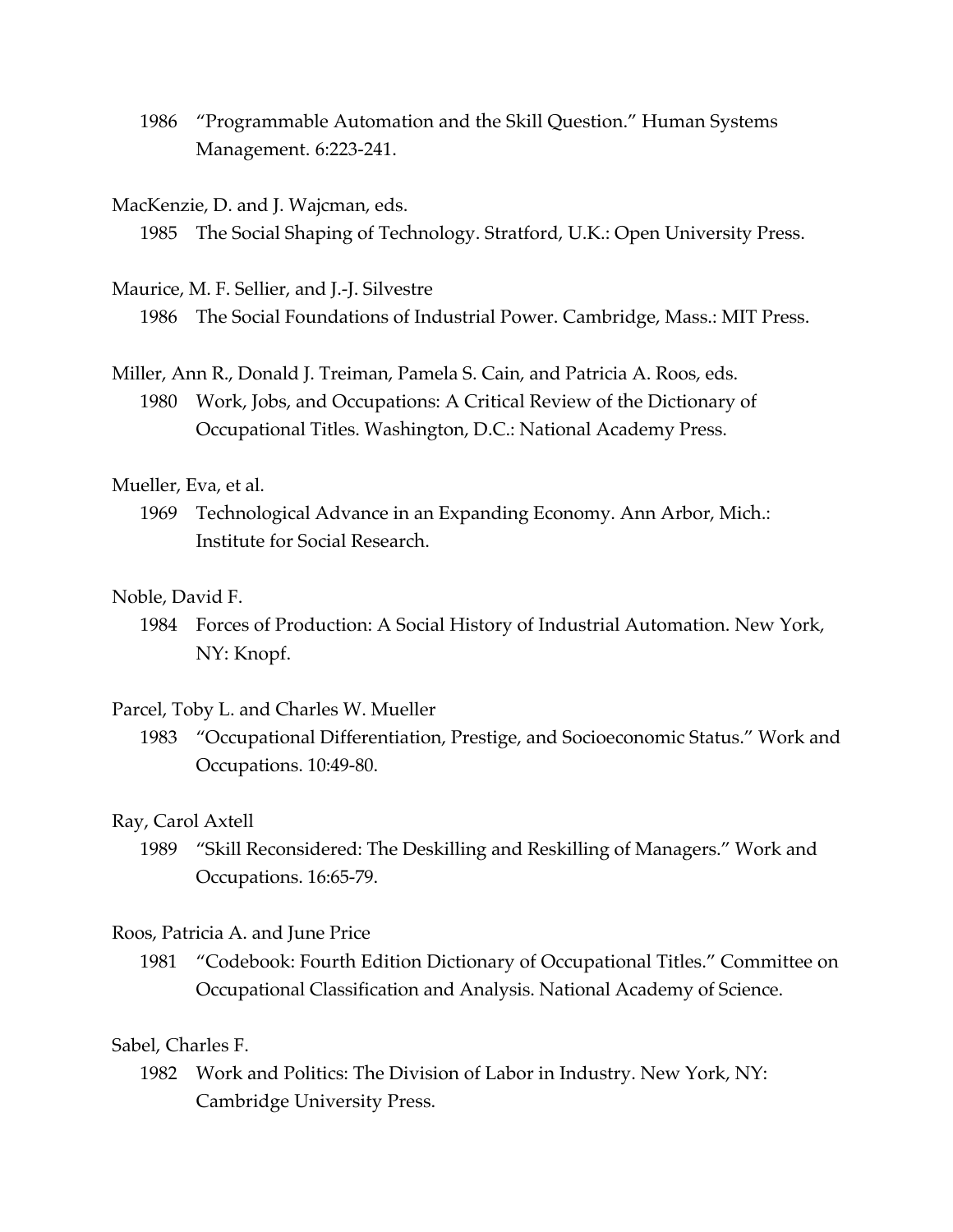1986 "Programmable Automation and the Skill Question." Human Systems Management. 6:223-241.

#### MacKenzie, D. and J. Wajcman, eds.

1985 The Social Shaping of Technology. Stratford, U.K.: Open University Press.

Maurice, M. F. Sellier, and J.-J. Silvestre

1986 The Social Foundations of Industrial Power. Cambridge, Mass.: MIT Press.

Miller, Ann R., Donald J. Treiman, Pamela S. Cain, and Patricia A. Roos, eds. 1980 Work, Jobs, and Occupations: A Critical Review of the Dictionary of Occupational Titles. Washington, D.C.: National Academy Press.

### Mueller, Eva, et al.

1969 Technological Advance in an Expanding Economy. Ann Arbor, Mich.: Institute for Social Research.

### Noble, David F.

1984 Forces of Production: A Social History of Industrial Automation. New York, NY: Knopf.

#### Parcel, Toby L. and Charles W. Mueller

1983 "Occupational Differentiation, Prestige, and Socioeconomic Status." Work and Occupations. 10:49-80.

#### Ray, Carol Axtell

1989 "Skill Reconsidered: The Deskilling and Reskilling of Managers." Work and Occupations. 16:65-79.

#### Roos, Patricia A. and June Price

1981 "Codebook: Fourth Edition Dictionary of Occupational Titles." Committee on Occupational Classification and Analysis. National Academy of Science.

### Sabel, Charles F.

1982 Work and Politics: The Division of Labor in Industry. New York, NY: Cambridge University Press.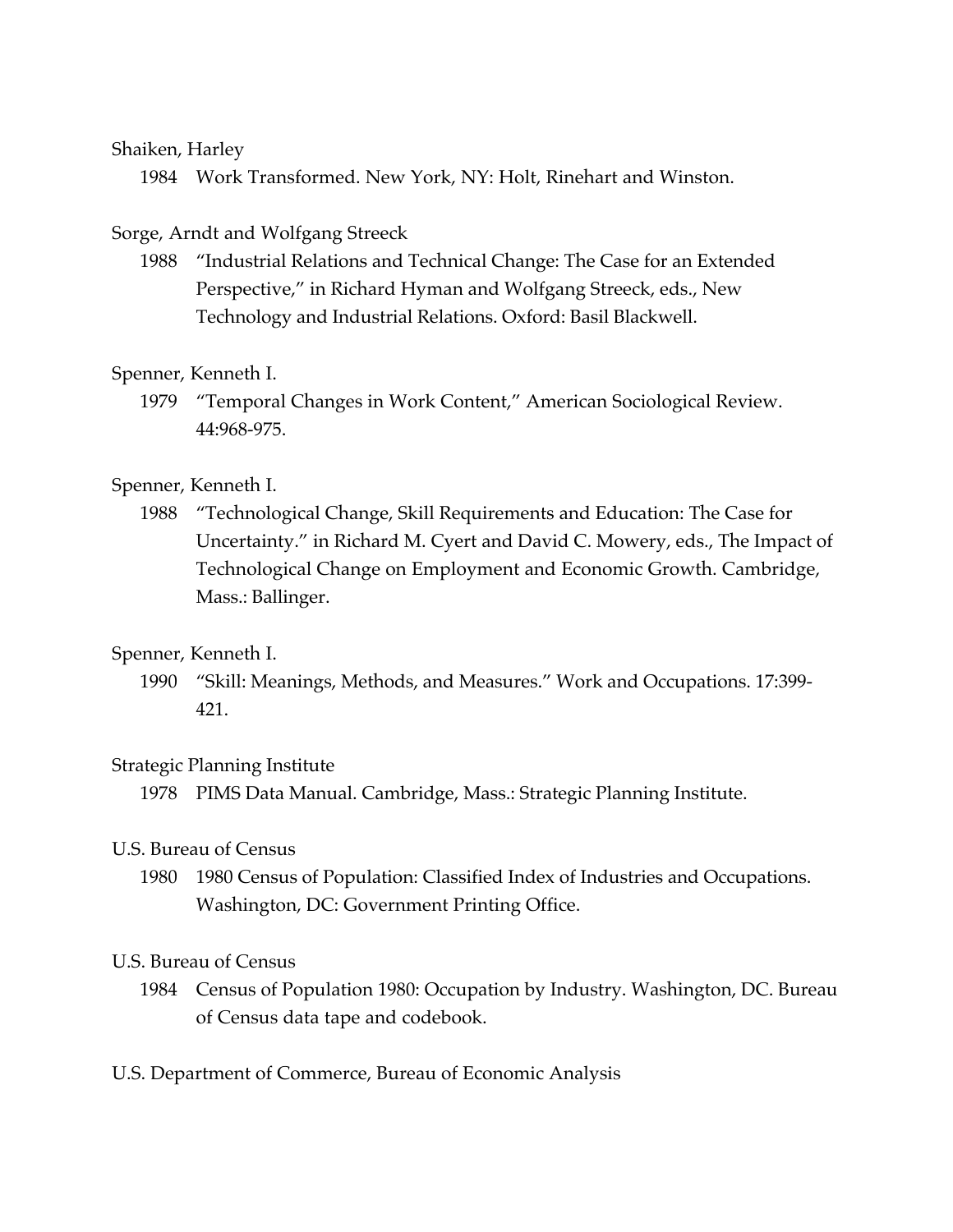### Shaiken, Harley

1984 Work Transformed. New York, NY: Holt, Rinehart and Winston.

# Sorge, Arndt and Wolfgang Streeck

1988 "Industrial Relations and Technical Change: The Case for an Extended Perspective," in Richard Hyman and Wolfgang Streeck, eds., New Technology and Industrial Relations. Oxford: Basil Blackwell.

# Spenner, Kenneth I.

1979 "Temporal Changes in Work Content," American Sociological Review. 44:968-975.

# Spenner, Kenneth I.

1988 "Technological Change, Skill Requirements and Education: The Case for Uncertainty." in Richard M. Cyert and David C. Mowery, eds., The Impact of Technological Change on Employment and Economic Growth. Cambridge, Mass.: Ballinger.

# Spenner, Kenneth I.

1990 "Skill: Meanings, Methods, and Measures." Work and Occupations. 17:399- 421.

### Strategic Planning Institute

1978 PIMS Data Manual. Cambridge, Mass.: Strategic Planning Institute.

### U.S. Bureau of Census

1980 1980 Census of Population: Classified Index of Industries and Occupations. Washington, DC: Government Printing Office.

### U.S. Bureau of Census

- 1984 Census of Population 1980: Occupation by Industry. Washington, DC. Bureau of Census data tape and codebook.
- U.S. Department of Commerce, Bureau of Economic Analysis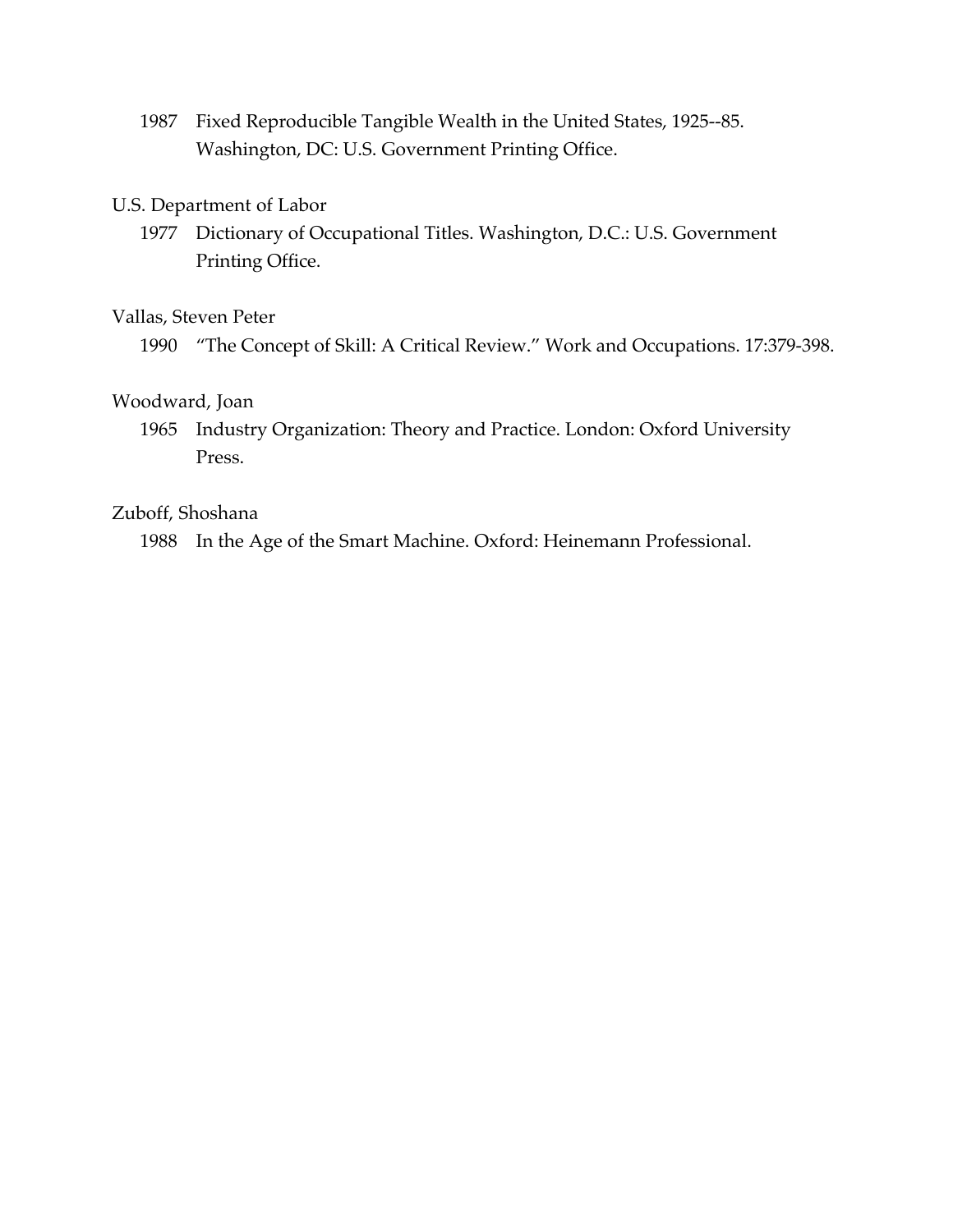1987 Fixed Reproducible Tangible Wealth in the United States, 1925--85. Washington, DC: U.S. Government Printing Office.

### U.S. Department of Labor

1977 Dictionary of Occupational Titles. Washington, D.C.: U.S. Government Printing Office.

### Vallas, Steven Peter

1990 "The Concept of Skill: A Critical Review." Work and Occupations. 17:379-398.

### Woodward, Joan

1965 Industry Organization: Theory and Practice. London: Oxford University Press.

### Zuboff, Shoshana

1988 In the Age of the Smart Machine. Oxford: Heinemann Professional.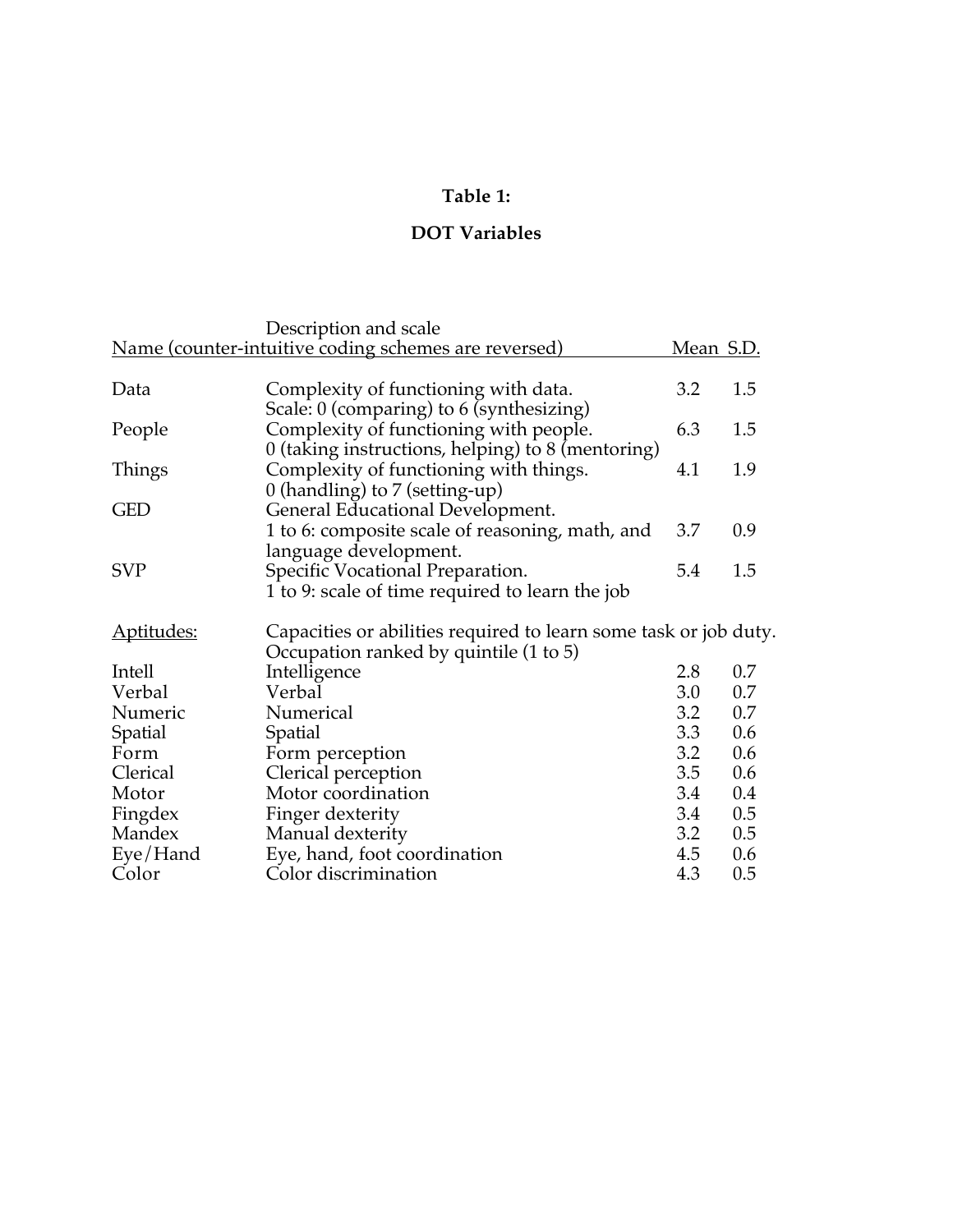# **Table 1:**

# **DOT Variables**

|                   | Description and scale                                                                                                                   |                  |     |
|-------------------|-----------------------------------------------------------------------------------------------------------------------------------------|------------------|-----|
|                   | <u>Name (counter-intuitive coding schemes are reversed)</u>                                                                             | <u>Mean S.D.</u> |     |
| Data              | Complexity of functioning with data.                                                                                                    | 3.2              | 1.5 |
| People            | Scale: 0 (comparing) to 6 (synthesizing)<br>Complexity of functioning with people.<br>0 (taking instructions, helping) to 8 (mentoring) | 6.3              | 1.5 |
| Things            | Complexity of functioning with things.<br>0 (handling) to $7$ (setting-up)                                                              | 4.1              | 1.9 |
| <b>GED</b>        | General Educational Development.<br>1 to 6: composite scale of reasoning, math, and                                                     | 3.7              | 0.9 |
|                   | language development.                                                                                                                   |                  |     |
| <b>SVP</b>        | Specific Vocational Preparation.<br>1 to 9: scale of time required to learn the job                                                     | 5.4              | 1.5 |
| <u>Aptitudes:</u> | Capacities or abilities required to learn some task or job duty.<br>Occupation ranked by quintile (1 to 5)                              |                  |     |
| Intell            | Intelligence                                                                                                                            | 2.8              | 0.7 |
| Verbal            | Verbal                                                                                                                                  | 3.0              | 0.7 |
| Numeric           | Numerical                                                                                                                               | 3.2              | 0.7 |
| Spatial           | <b>Spatial</b>                                                                                                                          | 3.3              | 0.6 |
| Form              | Form perception                                                                                                                         | 3.2              | 0.6 |
| Clerical          | Clerical perception                                                                                                                     | 3.5              | 0.6 |
| Motor             | Motor coordination                                                                                                                      | 3.4              | 0.4 |
| Fingdex           | Finger dexterity                                                                                                                        | 3.4              | 0.5 |
| Mandex            | Manual dexterity                                                                                                                        | 3.2              | 0.5 |
| Eye/Hand          | Eye, hand, foot coordination                                                                                                            | 4.5              | 0.6 |
| Color             | Color discrimination                                                                                                                    | 4.3              | 0.5 |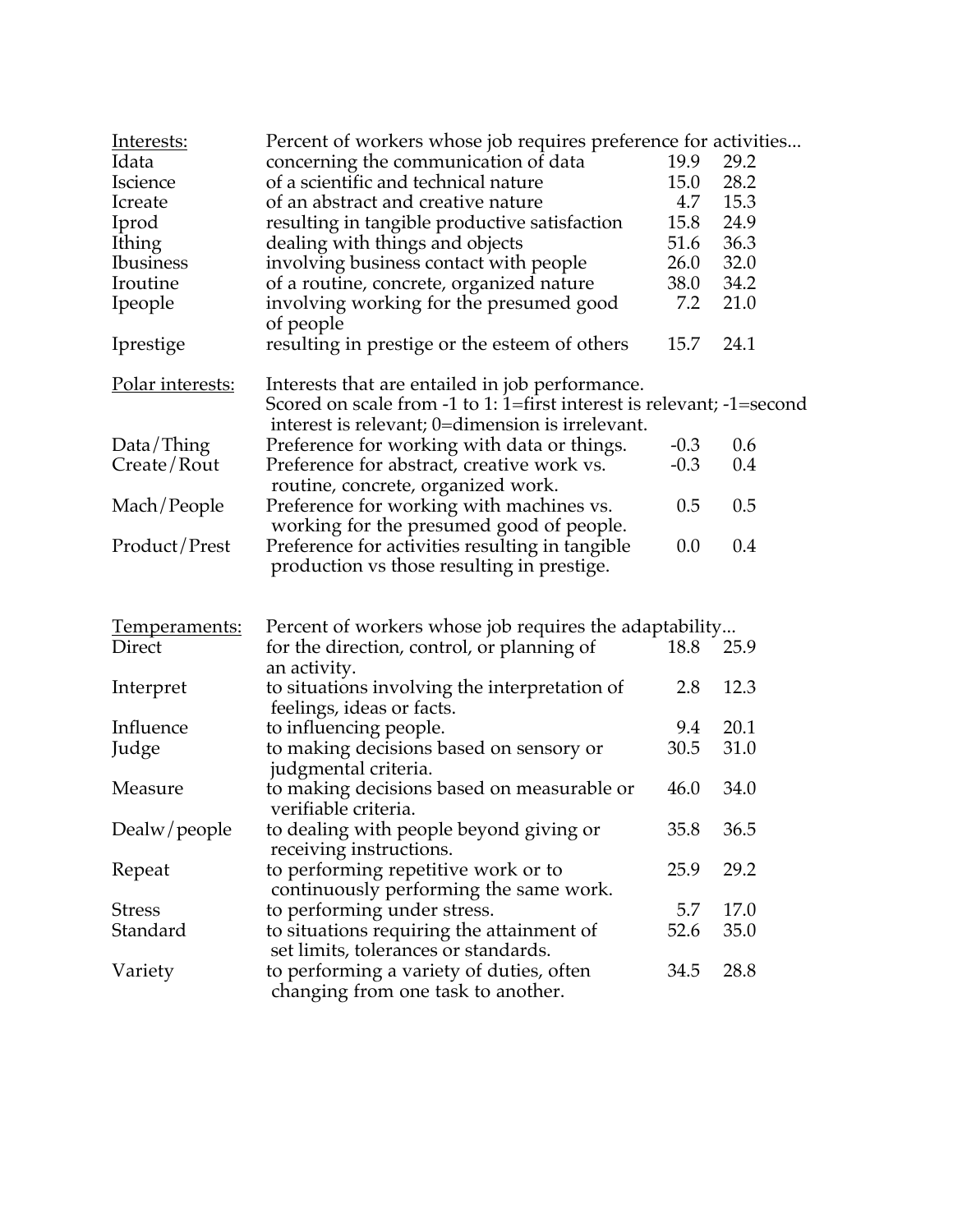| Interests:       | Percent of workers whose job requires preference for activities       |        |      |  |
|------------------|-----------------------------------------------------------------------|--------|------|--|
| Idata            | concerning the communication of data                                  | 19.9   | 29.2 |  |
| <b>Iscience</b>  | of a scientific and technical nature                                  | 15.0   | 28.2 |  |
| Icreate          | of an abstract and creative nature                                    | 4.7    | 15.3 |  |
| Iprod            | resulting in tangible productive satisfaction                         | 15.8   | 24.9 |  |
| Ithing           | dealing with things and objects                                       | 51.6   | 36.3 |  |
| <b>Ibusiness</b> | involving business contact with people                                | 26.0   | 32.0 |  |
| Iroutine         | of a routine, concrete, organized nature                              | 38.0   | 34.2 |  |
| Ipeople          | involving working for the presumed good                               | 7.2    | 21.0 |  |
|                  | of people                                                             |        |      |  |
| Iprestige        | resulting in prestige or the esteem of others                         | 15.7   | 24.1 |  |
| Polar interests: | Interests that are entailed in job performance.                       |        |      |  |
|                  | Scored on scale from -1 to 1: 1=first interest is relevant; -1=second |        |      |  |
|                  | interest is relevant; 0=dimension is irrelevant.                      |        |      |  |
| Data/Thing       | Preference for working with data or things.                           | $-0.3$ | 0.6  |  |
| Create/Rout      | Preference for abstract, creative work vs.                            | $-0.3$ | 0.4  |  |
|                  | routine, concrete, organized work.                                    |        |      |  |
| Mach/People      | Preference for working with machines vs.                              | 0.5    | 0.5  |  |
|                  | working for the presumed good of people.                              |        |      |  |
| Product/Prest    | Preference for activities resulting in tangible                       | 0.0    | 0.4  |  |
|                  | production vs those resulting in prestige.                            |        |      |  |
|                  |                                                                       |        |      |  |
| Temperaments:    | Percent of workers whose job requires the adaptability                |        |      |  |
| Direct           | for the direction, control, or planning of<br>an activity.            | 18.8   | 25.9 |  |
| Interpret        | to situations involving the interpretation of                         | 2.8    | 12.3 |  |
|                  | feelings, ideas or facts.                                             |        |      |  |
| Influence        | to influencing people.                                                | 9.4    | 20.1 |  |
| Judge            | to making decisions based on sensory or                               | 30.5   | 31.0 |  |
|                  | judgmental criteria.                                                  |        |      |  |
| Measure          | to making decisions based on measurable or                            | 46.0   | 34.0 |  |
|                  | verifiable criteria.                                                  |        |      |  |
| Dealw/people     | to dealing with people beyond giving or<br>receiving instructions.    | 35.8   | 36.5 |  |
| Repeat           | to performing repetitive work or to                                   | 25.9   | 29.2 |  |
|                  | continuously performing the same work.                                |        |      |  |
| <b>Stress</b>    | to performing under stress.                                           | 5.7    | 17.0 |  |
| Standard         | to situations requiring the attainment of                             | 52.6   | 35.0 |  |
|                  | set limits, tolerances or standards.                                  |        |      |  |
| Variety          | to performing a variety of duties, often                              | 34.5   | 28.8 |  |
|                  | changing from one task to another.                                    |        |      |  |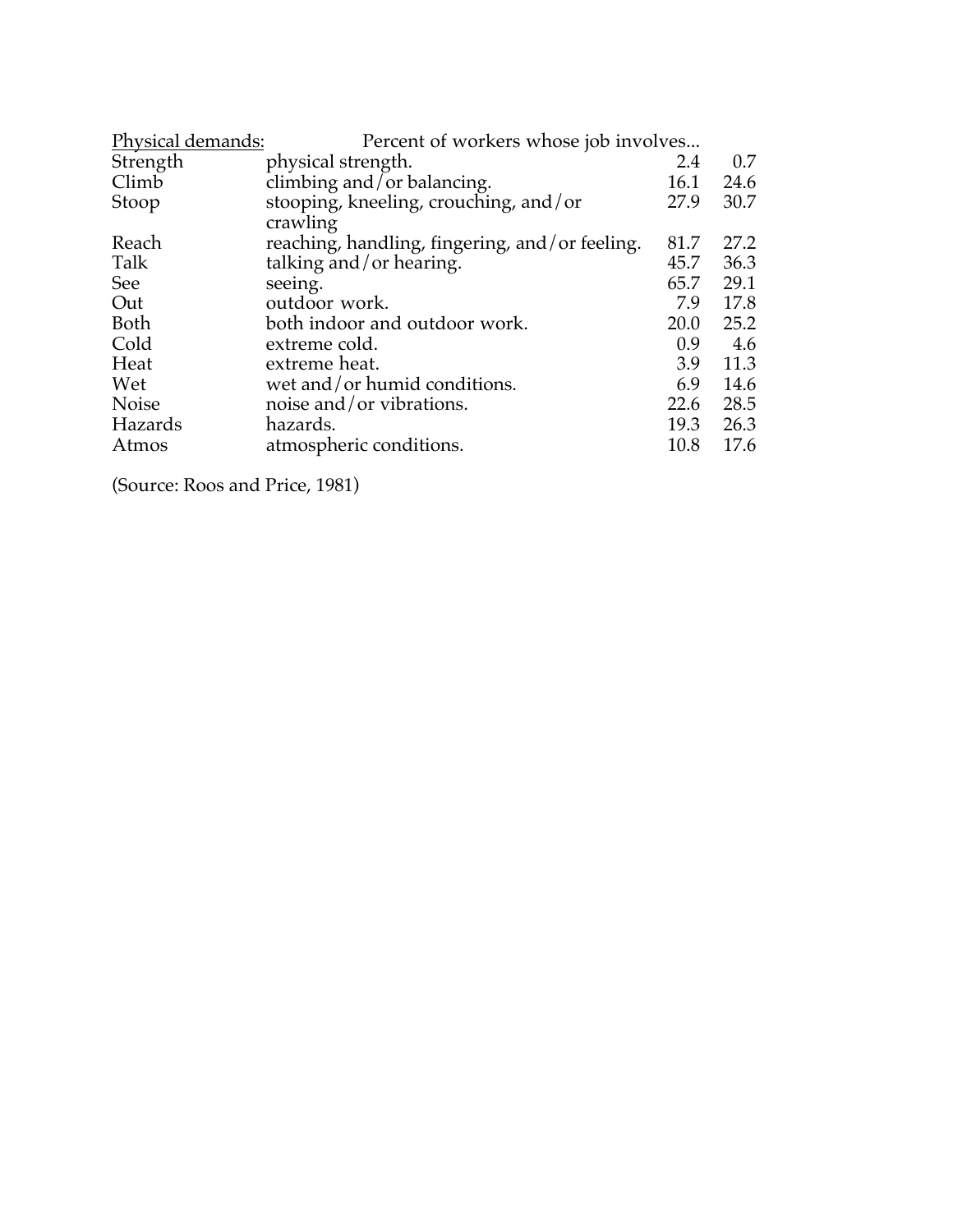| Physical demands: | Percent of workers whose job involves          |      |      |
|-------------------|------------------------------------------------|------|------|
| Strength          | physical strength.                             | 2.4  | 0.7  |
| Climb             | climbing and/or balancing.                     | 16.1 | 24.6 |
| Stoop             | stooping, kneeling, crouching, and/or          | 27.9 | 30.7 |
|                   | crawling                                       |      |      |
| Reach             | reaching, handling, fingering, and/or feeling. | 81.7 | 27.2 |
| Talk              | talking and/or hearing.                        | 45.7 | 36.3 |
| See               | seeing.                                        | 65.7 | 29.1 |
| Out               | outdoor work.                                  | 7.9  | 17.8 |
| Both              | both indoor and outdoor work.                  | 20.0 | 25.2 |
| Cold              | extreme cold.                                  | 0.9  | 4.6  |
| Heat              | extreme heat.                                  | 3.9  | 11.3 |
| Wet               | wet and/or humid conditions.                   | 6.9  | 14.6 |
| <b>Noise</b>      | noise and/or vibrations.                       | 22.6 | 28.5 |
| Hazards           | hazards.                                       | 19.3 | 26.3 |
| Atmos             | atmospheric conditions.                        | 10.8 | 17.6 |
|                   |                                                |      |      |

(Source: Roos and Price, 1981)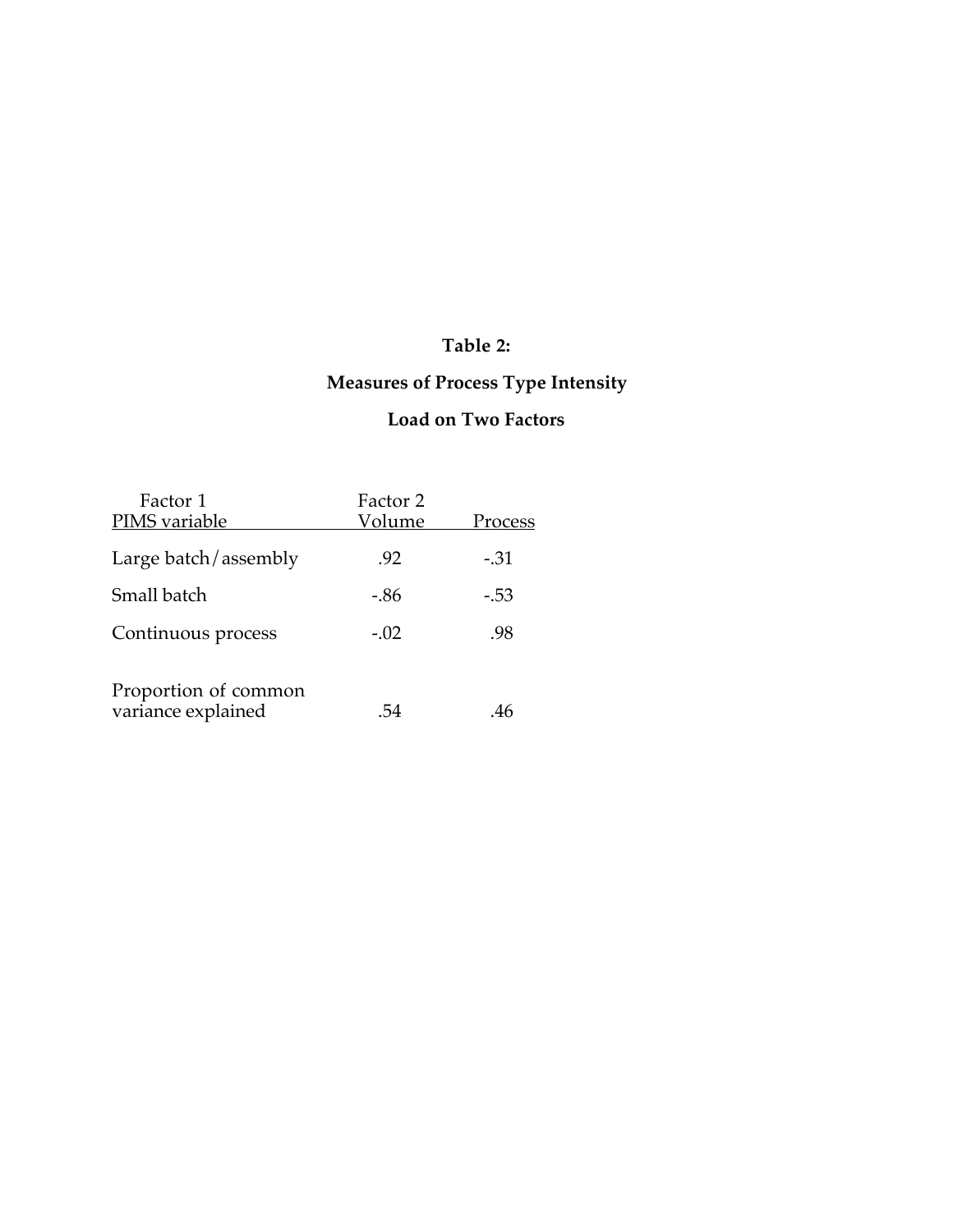# **Table 2:**

# **Measures of Process Type Intensity**

# **Load on Two Factors**

| Factor 1                                   | Factor 2 |         |
|--------------------------------------------|----------|---------|
| PIMS variable                              | Volume   | Process |
| Large batch/assembly                       | .92      | $-.31$  |
| Small batch                                | -.86     | $-.53$  |
| Continuous process                         | $-.02$   | .98     |
| Proportion of common<br>variance explained | -54      | .46     |
|                                            |          |         |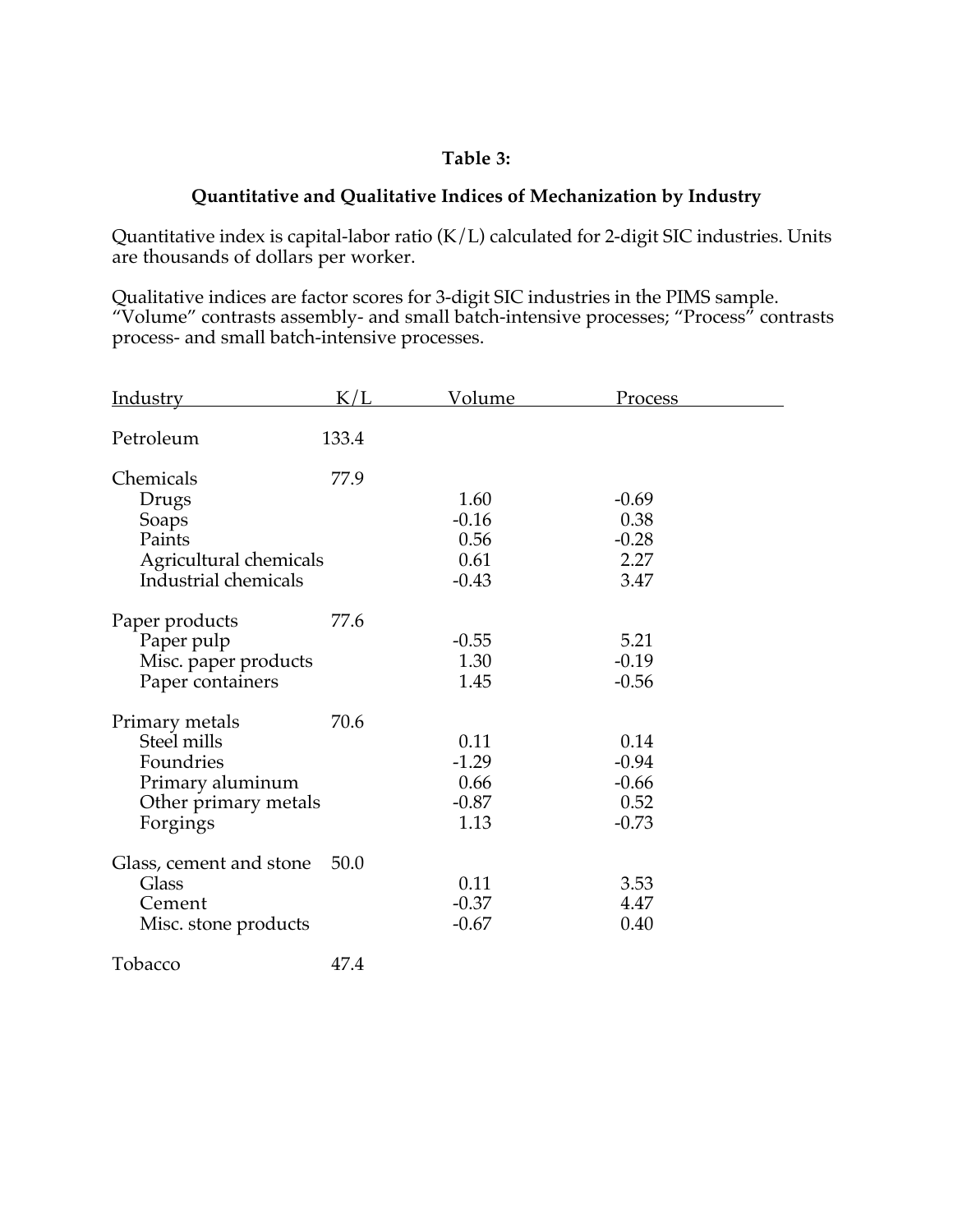### **Table 3:**

### **Quantitative and Qualitative Indices of Mechanization by Industry**

Quantitative index is capital-labor ratio (K/L) calculated for 2-digit SIC industries. Units are thousands of dollars per worker.

Qualitative indices are factor scores for 3-digit SIC industries in the PIMS sample. "Volume" contrasts assembly- and small batch-intensive processes; "Process" contrasts process- and small batch-intensive processes.

| <b>Industry</b>                                                                                    | K/L   | <u>Volume</u>                              | Process                                       |  |
|----------------------------------------------------------------------------------------------------|-------|--------------------------------------------|-----------------------------------------------|--|
| Petroleum                                                                                          | 133.4 |                                            |                                               |  |
| Chemicals<br>Drugs<br>Soaps<br>Paints<br>Agricultural chemicals<br>Industrial chemicals            | 77.9  | 1.60<br>$-0.16$<br>0.56<br>0.61<br>$-0.43$ | $-0.69$<br>0.38<br>$-0.28$<br>2.27<br>3.47    |  |
| Paper products<br>Paper pulp<br>Misc. paper products<br>Paper containers                           | 77.6  | $-0.55$<br>1.30<br>1.45                    | 5.21<br>$-0.19$<br>$-0.56$                    |  |
| Primary metals<br>Steel mills<br>Foundries<br>Primary aluminum<br>Other primary metals<br>Forgings | 70.6  | 0.11<br>$-1.29$<br>0.66<br>$-0.87$<br>1.13 | 0.14<br>$-0.94$<br>$-0.66$<br>0.52<br>$-0.73$ |  |
| Glass, cement and stone<br>Glass<br>Cement<br>Misc. stone products                                 | 50.0  | 0.11<br>$-0.37$<br>$-0.67$                 | 3.53<br>4.47<br>0.40                          |  |
| Tobacco                                                                                            | 47.4  |                                            |                                               |  |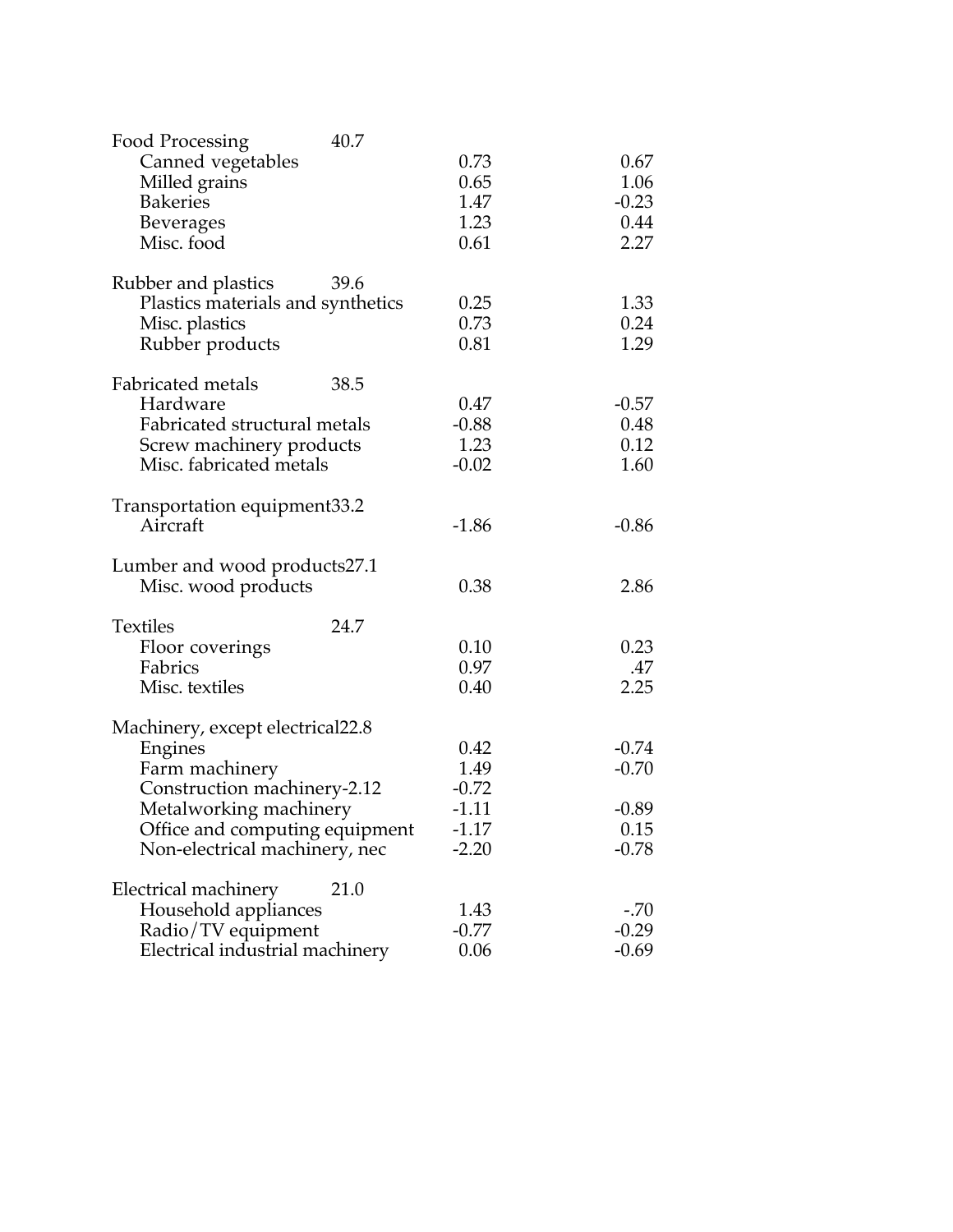| 40.7<br>Food Processing           |         |         |
|-----------------------------------|---------|---------|
| Canned vegetables                 | 0.73    | 0.67    |
| Milled grains                     | 0.65    | 1.06    |
| <b>Bakeries</b>                   | 1.47    | $-0.23$ |
| <b>Beverages</b>                  | 1.23    | 0.44    |
| Misc. food                        | 0.61    | 2.27    |
|                                   |         |         |
| Rubber and plastics<br>39.6       |         |         |
| Plastics materials and synthetics | 0.25    | 1.33    |
| Misc. plastics                    | 0.73    | 0.24    |
| Rubber products                   | 0.81    | 1.29    |
|                                   |         |         |
| Fabricated metals<br>38.5         |         |         |
| Hardware                          | 0.47    | $-0.57$ |
| Fabricated structural metals      | $-0.88$ | 0.48    |
| Screw machinery products          | 1.23    | 0.12    |
| Misc. fabricated metals           | $-0.02$ | 1.60    |
| Transportation equipment33.2      |         |         |
| Aircraft                          | $-1.86$ | $-0.86$ |
|                                   |         |         |
| Lumber and wood products27.1      |         |         |
| Misc. wood products               | 0.38    | 2.86    |
| <b>Textiles</b><br>24.7           |         |         |
| Floor coverings                   | 0.10    | 0.23    |
| Fabrics                           | 0.97    | .47     |
| Misc. textiles                    | 0.40    | 2.25    |
|                                   |         |         |
| Machinery, except electrical22.8  |         |         |
| Engines                           | 0.42    | $-0.74$ |
| Farm machinery                    | 1.49    | $-0.70$ |
| Construction machinery-2.12       | $-0.72$ |         |
| Metalworking machinery            | $-1.11$ | $-0.89$ |
| Office and computing equipment    | -1.17   | 0.15    |
| Non-electrical machinery, nec     | $-2.20$ | $-0.78$ |
| Electrical machinery<br>21.0      |         |         |
| Household appliances              | 1.43    | $-.70$  |
|                                   | $-0.77$ | $-0.29$ |
| Radio/TV equipment                |         | $-0.69$ |
| Electrical industrial machinery   | 0.06    |         |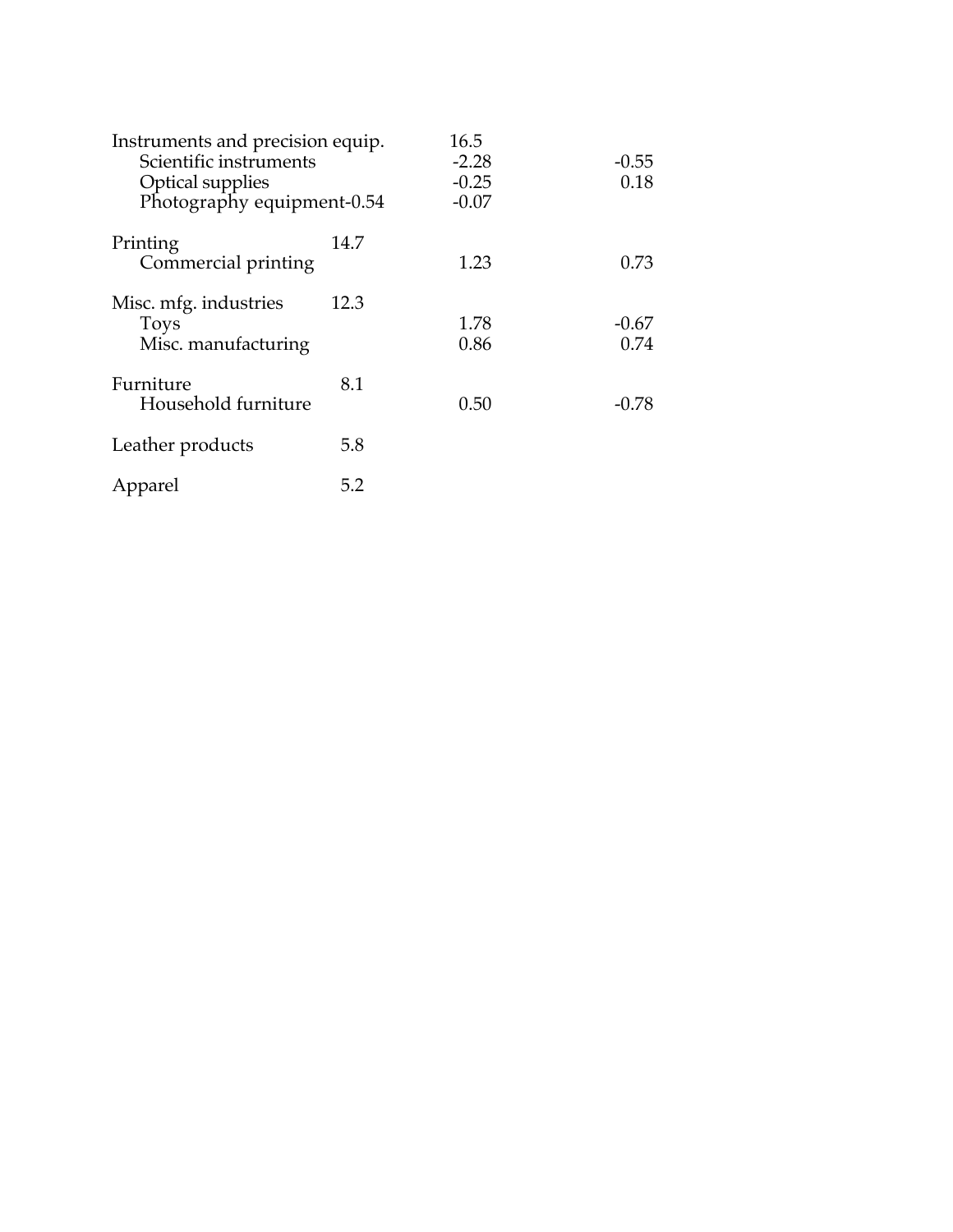| Instruments and precision equip.<br>Scientific instruments<br><b>Optical supplies</b><br>Photography equipment-0.54 |      | 16.5<br>$-2.28$<br>$-0.25$<br>$-0.07$ | $-0.55$<br>0.18 |
|---------------------------------------------------------------------------------------------------------------------|------|---------------------------------------|-----------------|
| Printing<br>Commercial printing                                                                                     | 14.7 | 1.23                                  | 0.73            |
| Misc. mfg. industries<br><b>Toys</b><br>Misc. manufacturing                                                         | 12.3 | 1.78<br>0.86                          | $-0.67$<br>0.74 |
| Furniture<br>Household furniture                                                                                    | 8.1  | 0.50                                  | $-0.78$         |
| Leather products                                                                                                    | 5.8  |                                       |                 |
| Apparel                                                                                                             | 5.2  |                                       |                 |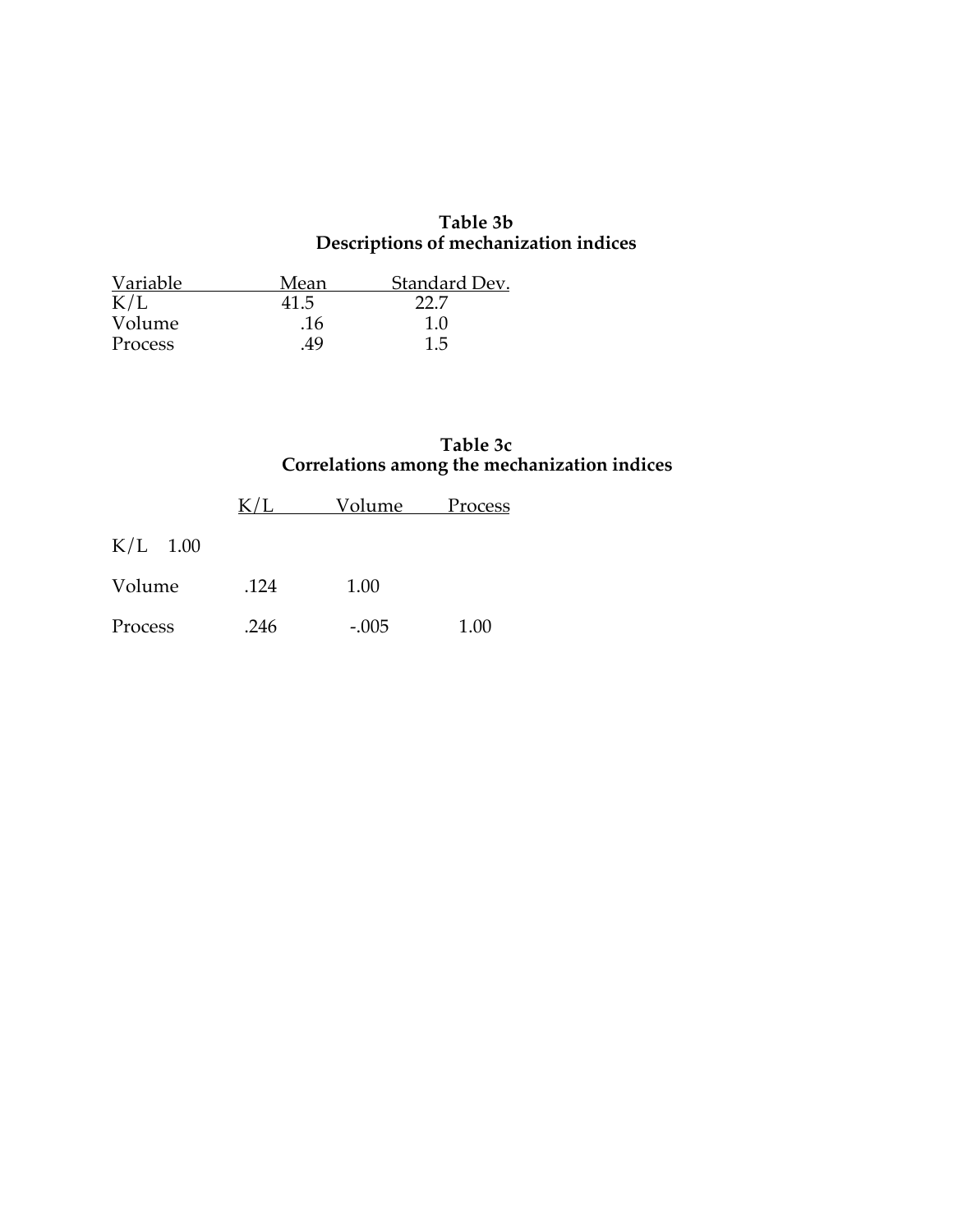#### **Table 3b Descriptions of mechanization indices**

| Variable | Mean | Standard Dev. |
|----------|------|---------------|
| K/L      | 41.5 | 22 Z          |
| Volume   | .16  | 1.0           |
| Process  | .49  | 1.5           |

# **Table 3c Correlations among the mechanization indices**

|            | $\rm K/L$ | Volume  | Process |
|------------|-----------|---------|---------|
| $K/L$ 1.00 |           |         |         |
| Volume     | .124      | 1.00    |         |
| Process    | .246      | $-.005$ | 1.00    |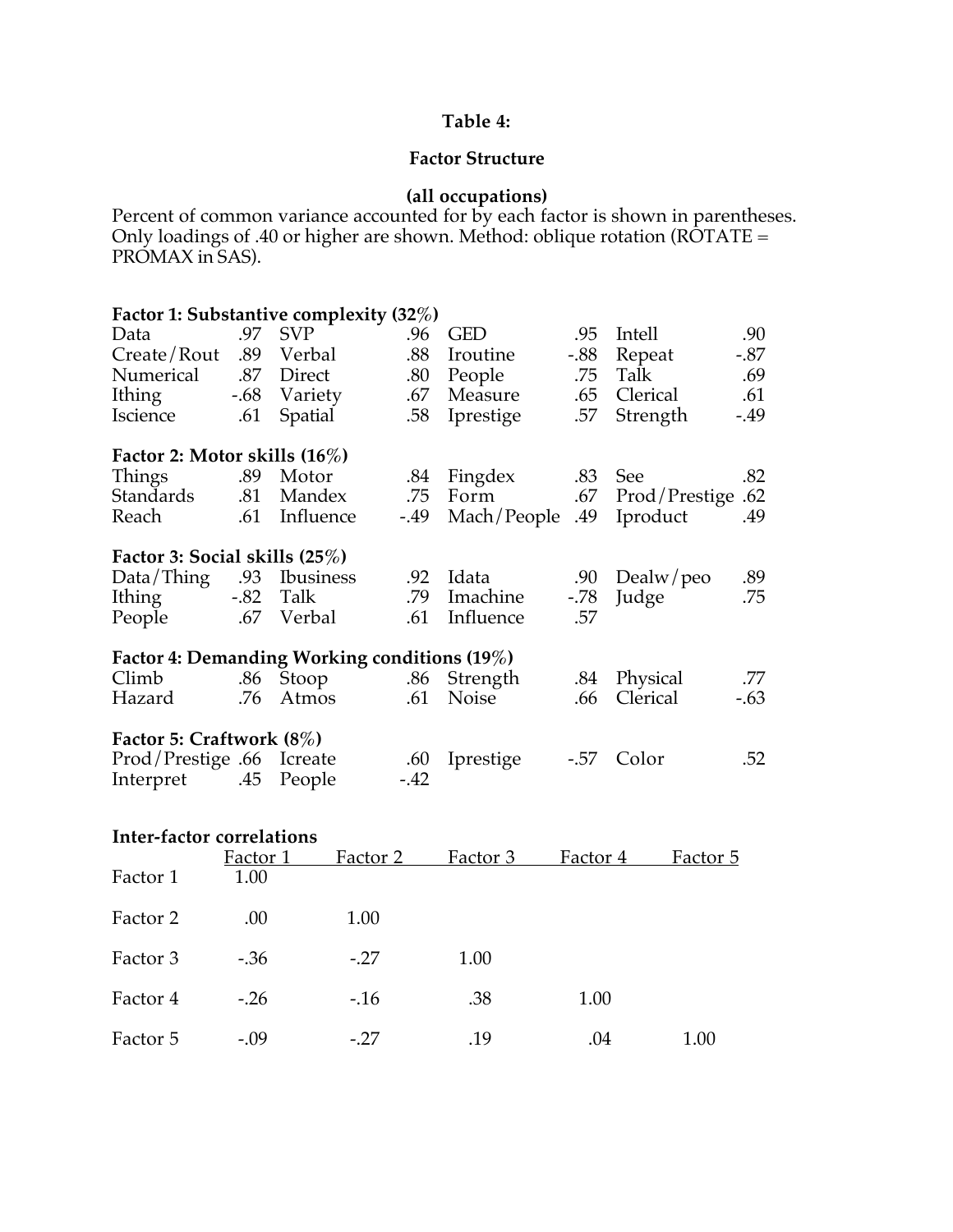### **Table 4:**

### **Factor Structure**

#### **(all occupations)**

Percent of common variance accounted for by each factor is shown in parentheses. Only loadings of .40 or higher are shown. Method: oblique rotation (ROTATE = PROMAX in SAS).

| Factor 1: Substantive complexity (32%)       |     |               |        |                 |        |               |        |
|----------------------------------------------|-----|---------------|--------|-----------------|--------|---------------|--------|
| Data                                         | .97 | <b>SVP</b>    | .96    | <b>GED</b>      | .95    | Intell        | .90    |
| Create/Rout                                  |     | .89 Verbal    | .88    | Iroutine        | $-.88$ | Repeat        | $-.87$ |
| Numerical .87 Direct                         |     |               | .80    | People          | .75    | Talk          | .69    |
| Ithing                                       |     | -.68 Variety  | .67    | Measure         | .65    | Clerical      | .61    |
| Iscience                                     | .61 | Spatial       | .58    | Iprestige       | .57    | Strength      | $-49$  |
| Factor 2: Motor skills (16%)                 |     |               |        |                 |        |               |        |
| Things                                       | .89 | Motor         | .84    | Fingdex .83 See |        |               | .82    |
| Standards                                    |     | .81 Mandex    | .75    | Form            | .67    | Prod/Prestige | .62    |
| Reach                                        |     | .61 Influence | $-.49$ | 49. Mach/People |        | Iproduct      | .49    |
| Factor 3: Social skills (25%)                |     |               |        |                 |        |               |        |
| Data/Thing .93 Ibusiness                     |     |               | .92    | Idata           | .90    | Dealw/peo     | .89    |
| Ithing -.82 Talk                             |     |               | .79    | Imachine        | -.78   | Judge         | .75    |
| People                                       |     | .67 Verbal    | .61    | Influence       | .57    |               |        |
| Factor 4: Demanding Working conditions (19%) |     |               |        |                 |        |               |        |
| Climb                                        |     | .86 Stoop     |        | .86 Strength    |        | .84 Physical  | .77    |
| Hazard                                       | .76 | Atmos         | .61    | Noise           | .66    | Clerical      | $-.63$ |
| Factor 5: Craftwork (8%)                     |     |               |        |                 |        |               |        |
| Prod/Prestige .66 Icreate                    |     |               | .60    | Iprestige       | $-.57$ | Color         | .52    |
| Interpret .45 People                         |     |               | $-.42$ |                 |        |               |        |

| Inter-factor correlations |          |          |          |          |          |  |  |  |
|---------------------------|----------|----------|----------|----------|----------|--|--|--|
|                           | Factor 1 | Factor 2 | Factor 3 | Factor 4 | Factor 5 |  |  |  |
| Factor 1                  | 1.00     |          |          |          |          |  |  |  |
| Factor 2                  | .00.     | 1.00     |          |          |          |  |  |  |
| Factor 3                  | $-.36$   | $-.27$   | 1.00     |          |          |  |  |  |
| Factor 4                  | $-.26$   | $-.16$   | .38      | 1.00     |          |  |  |  |
| Factor 5                  | $-.09$   | $-.27$   | .19      | .04      | 1.00     |  |  |  |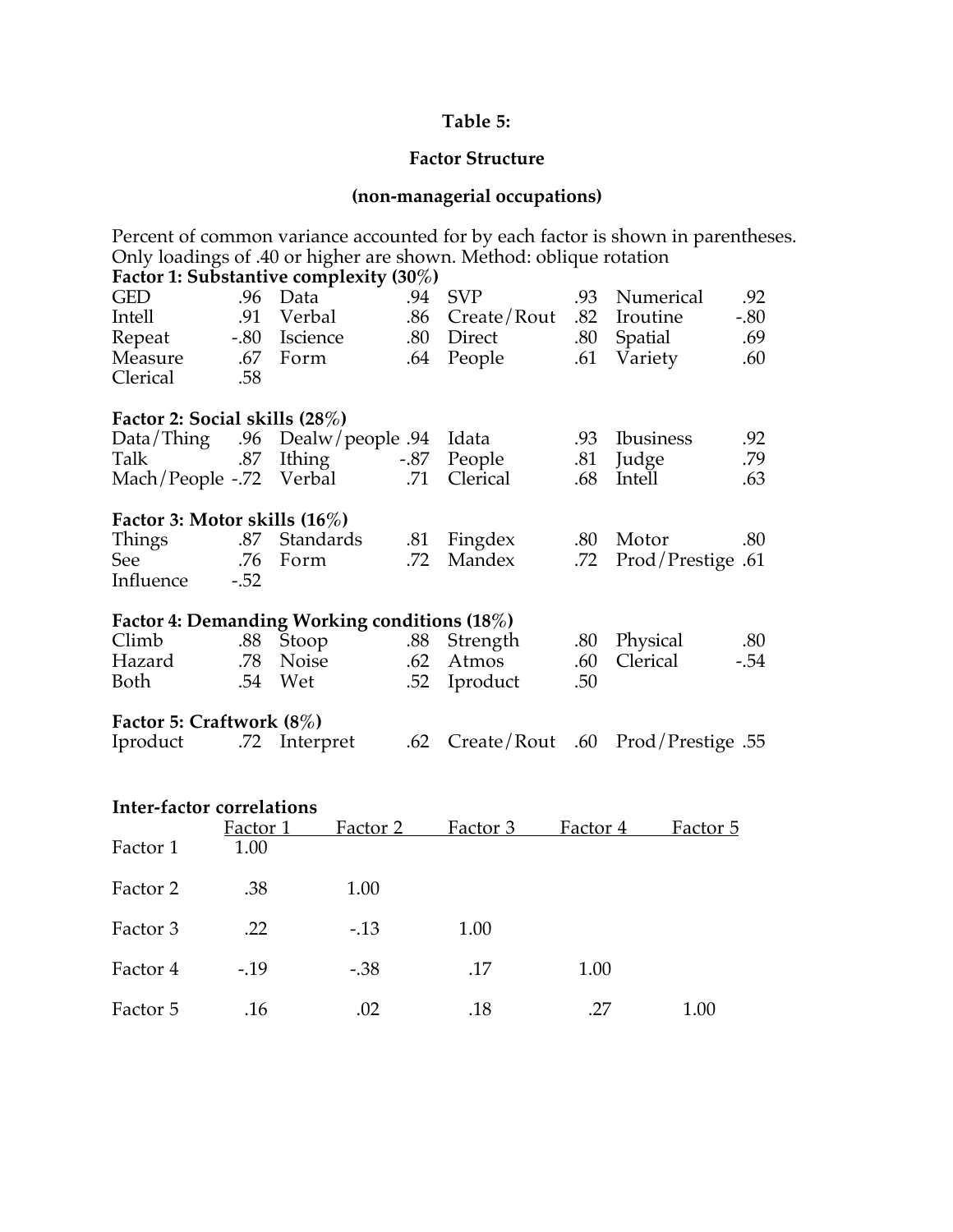# **Table 5:**

# **Factor Structure**

# **(non-managerial occupations)**

| Percent of common variance accounted for by each factor is shown in parentheses.<br>Only loadings of .40 or higher are shown. Method: oblique rotation<br>Factor 1: Substantive complexity (30%) |            |                                              |               |                     |            |                   |            |
|--------------------------------------------------------------------------------------------------------------------------------------------------------------------------------------------------|------------|----------------------------------------------|---------------|---------------------|------------|-------------------|------------|
| <b>GED</b>                                                                                                                                                                                       |            | .96 Data                                     | .94           | <b>SVP</b>          | .93        | Numerical         | .92        |
| Intell                                                                                                                                                                                           | .91        | Verbal                                       | .86           | Create/Rout         | .82        | Iroutine          | $-.80$     |
| Repeat                                                                                                                                                                                           | $-.80$     | Iscience                                     | .80           | Direct              | .80        | Spatial           | .69        |
| Measure<br>Clerical                                                                                                                                                                              | .67<br>.58 | Form                                         | .64           | People              | .61        | Variety           | .60        |
| Factor 2: Social skills (28%)                                                                                                                                                                    |            |                                              |               |                     |            |                   |            |
| Data/Think                                                                                                                                                                                       | .96        | Dealw/people .94                             |               | Idata               | .93        | <b>Ibusiness</b>  | .92        |
| Talk<br>Mach/People -.72                                                                                                                                                                         | .87        | Ithing<br>Verbal                             | $-.87$<br>.71 | People<br>Clerical  | .81<br>.68 | Judge<br>Intell   | .79<br>.63 |
|                                                                                                                                                                                                  |            |                                              |               |                     |            |                   |            |
| Factor 3: Motor skills $(16\%)$                                                                                                                                                                  |            |                                              |               |                     |            |                   |            |
| Things                                                                                                                                                                                           | .87        | Standards                                    | .81           | Fingdex             | .80        | Motor             | .80        |
| See                                                                                                                                                                                              | .76        | Form                                         | .72           | Mandex              | .72        | Prod/Prestige .61 |            |
| Influence                                                                                                                                                                                        | $-.52$     |                                              |               |                     |            |                   |            |
|                                                                                                                                                                                                  |            | Factor 4: Demanding Working conditions (18%) |               |                     |            |                   |            |
| Climb                                                                                                                                                                                            | .88        | Stoop                                        | .88           | Strength            | .80        | Physical          | .80        |
| Hazard                                                                                                                                                                                           | .78        | Noise                                        | .62           | Atmos               | .60        | Clerical          | $-.54$     |
| <b>Both</b>                                                                                                                                                                                      | .54        | Wet                                          | .52           | Iproduct            | .50        |                   |            |
| Factor 5: Craftwork (8%)                                                                                                                                                                         |            |                                              |               |                     |            |                   |            |
| Iproduct                                                                                                                                                                                         |            | .72 Interpret                                | .62           | Create/Rout         | .60        | Prod/Prestige .55 |            |
|                                                                                                                                                                                                  |            |                                              |               |                     |            |                   |            |
| Inter-factor correlations                                                                                                                                                                        |            |                                              |               |                     |            |                   |            |
|                                                                                                                                                                                                  | Factor 1   | Factor 2                                     |               | Factor <sub>3</sub> | Factor 4   | Factor 5          |            |
| Factor 1                                                                                                                                                                                         | 1.00       |                                              |               |                     |            |                   |            |
| Factor 2                                                                                                                                                                                         | .38        | 1.00                                         |               |                     |            |                   |            |
| Factor 3                                                                                                                                                                                         | .22        | $-.13$                                       |               | 1.00                |            |                   |            |
| Factor 4                                                                                                                                                                                         | $-19$      | $-.38$                                       |               | .17                 | 1.00       |                   |            |

Factor 5 .16 .02 .18 .27 1.00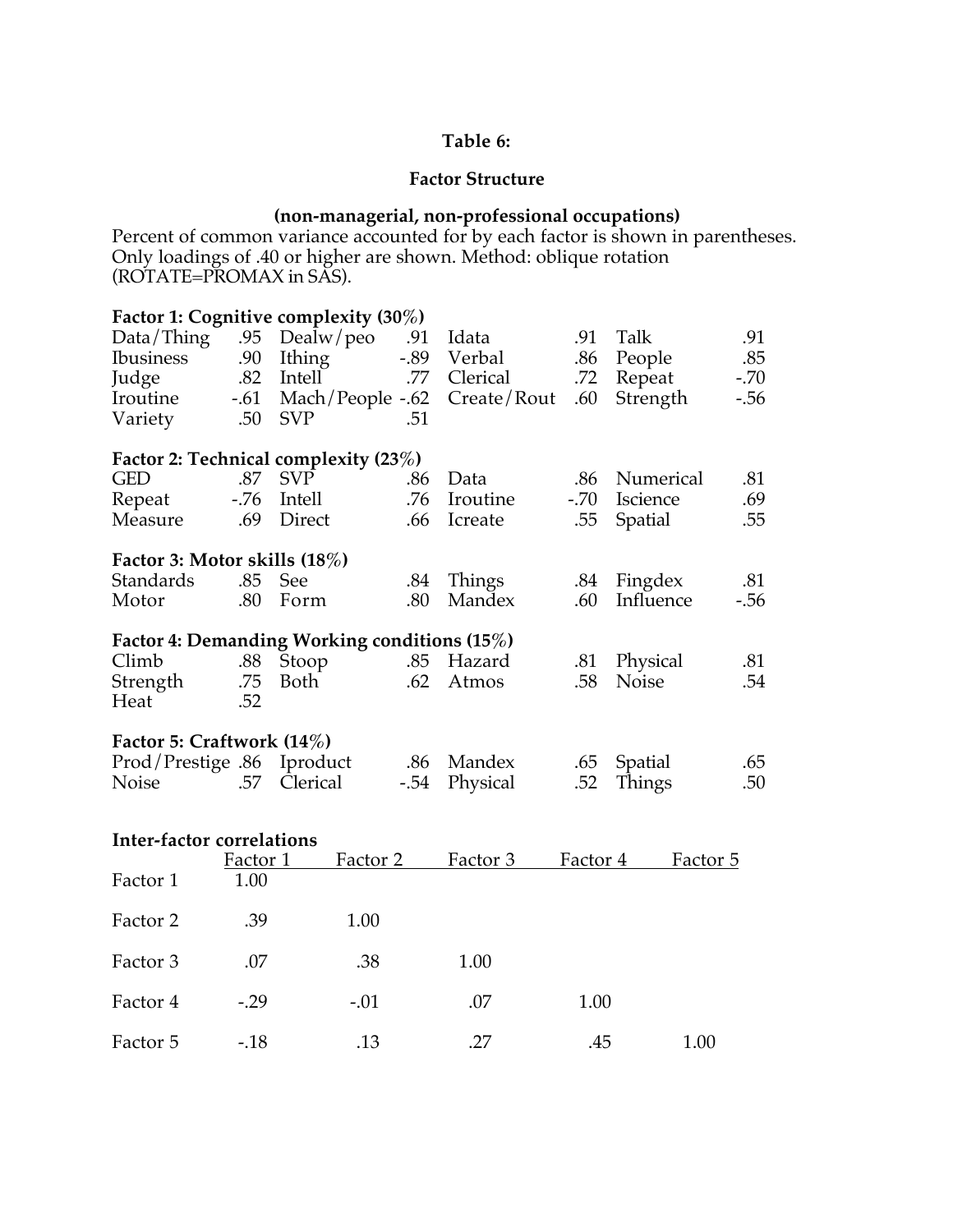### **Table 6:**

#### **Factor Structure**

#### **(non-managerial, non-professional occupations)**

Percent of common variance accounted for by each factor is shown in parentheses. Only loadings of .40 or higher are shown. Method: oblique rotation (ROTATE=PROMAX in SAS).

|                              |        | Factor 1: Cognitive complexity (30%)         |        |          |        |                 |        |
|------------------------------|--------|----------------------------------------------|--------|----------|--------|-----------------|--------|
| Data/Third                   |        | .95 Dealw/peo                                | .91    | Idata    | .91    | Talk            | .91    |
| <b>Ibusiness</b>             | .90    | Ithing                                       | $-.89$ | Verbal   | .86    | People          | .85    |
| Judge                        | .82    | Intell                                       | .77    | Clerical | .72    | Repeat          | $-.70$ |
| Iroutine                     | $-.61$ | Mach/People -.62 Create/Rout                 |        |          | .60    | Strength        | $-.56$ |
| Variety                      | .50    | <b>SVP</b>                                   | .51    |          |        |                 |        |
|                              |        | Factor 2: Technical complexity (23%)         |        |          |        |                 |        |
| <b>GED</b>                   | .87    | <b>SVP</b>                                   | .86    | Data     | .86    | Numerical       | .81    |
| Repeat                       | $-.76$ | Intell                                       | .76    | Iroutine | $-.70$ | <b>Iscience</b> | .69    |
| Measure                      | .69    | Direct                                       | .66    | Icreate  | .55    | Spatial         | .55    |
| Factor 3: Motor skills (18%) |        |                                              |        |          |        |                 |        |
| Standards                    | .85    | See                                          | .84    | Things   | .84    | Fingdex         | .81    |
| Motor                        | .80    | Form                                         | .80    | Mandex   | .60    | Influence       | $-.56$ |
|                              |        | Factor 4: Demanding Working conditions (15%) |        |          |        |                 |        |
| Climb                        | .88    | Stoop                                        | .85    | Hazard   | .81    | Physical        | .81    |
| Strength                     | .75    | Both                                         | .62    | Atmos    | .58    | <b>Noise</b>    | .54    |
| Heat                         | .52    |                                              |        |          |        |                 |        |
| Factor 5: Craftwork (14%)    |        |                                              |        |          |        |                 |        |
| Prod/Prestige .86 Iproduct   |        |                                              | .86    | Mandex   | .65    | Spatial         | .65    |
| Noise                        | .57    | Clerical                                     | $-.54$ | Physical | .52    | Things          | .50    |
|                              |        |                                              |        |          |        |                 |        |

| Inter-factor correlations |          |          |          |          |          |  |  |  |  |
|---------------------------|----------|----------|----------|----------|----------|--|--|--|--|
|                           | Factor 1 | Factor 2 | Factor 3 | Factor 4 | Factor 5 |  |  |  |  |
| Factor 1                  | 1.00     |          |          |          |          |  |  |  |  |
| Factor 2                  | .39      | 1.00     |          |          |          |  |  |  |  |
| Factor 3                  | .07      | .38      | 1.00     |          |          |  |  |  |  |
| Factor 4                  | $-.29$   | $-.01$   | .07      | 1.00     |          |  |  |  |  |
| Factor 5                  | $-18$    | .13      | .27      | .45      | 1.00     |  |  |  |  |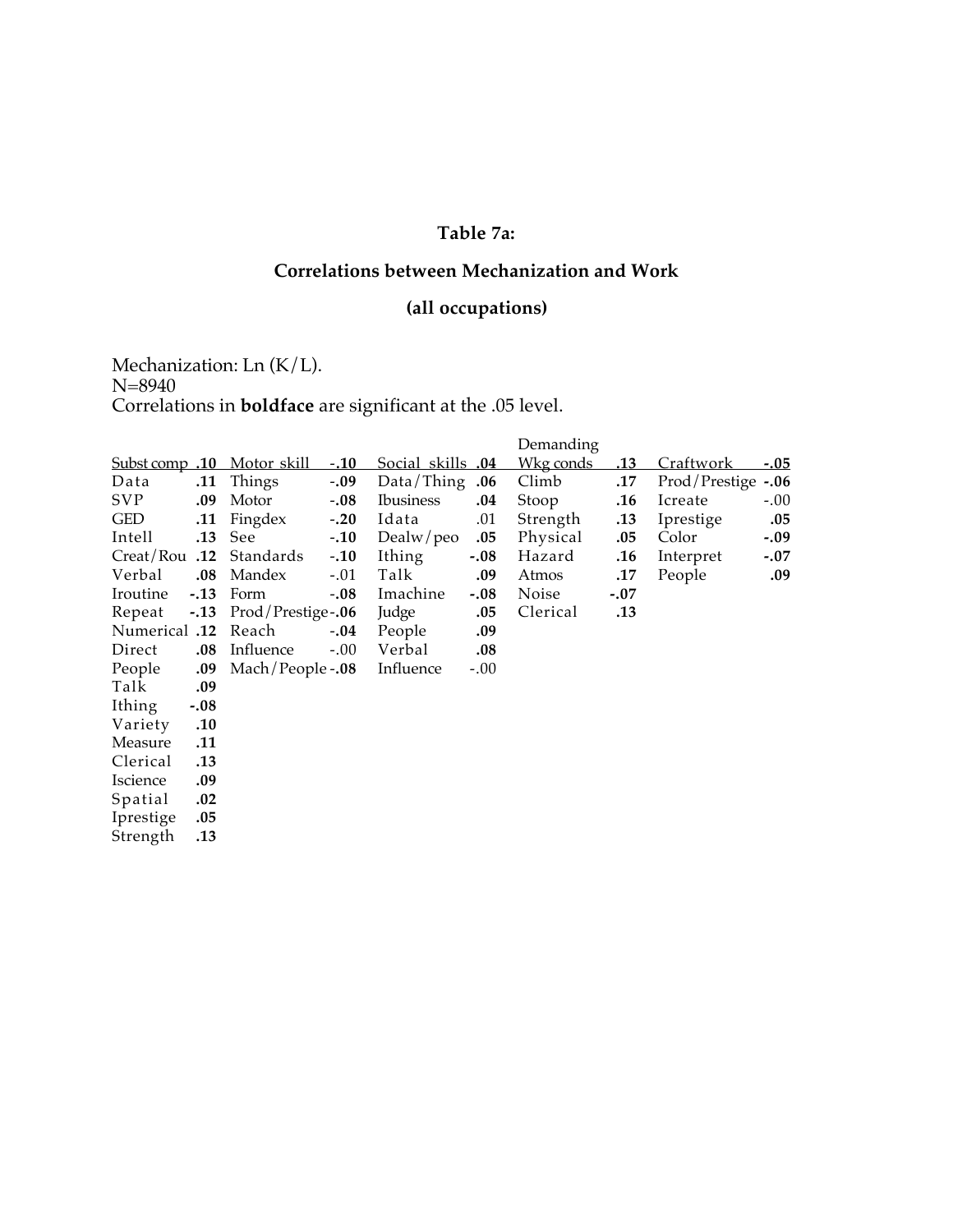### **Table 7a:**

# **Correlations between Mechanization and Work**

# **(all occupations)**

Mechanization: Ln (K/L). N=8940 Correlations in **boldface** are significant at the .05 level.

|                 |        |                            |        |                          |        | Demanding |            |                  |             |
|-----------------|--------|----------------------------|--------|--------------------------|--------|-----------|------------|------------------|-------------|
|                 |        | Subst comp .10 Motor skill | $-.10$ | <u>Social skills .04</u> |        | Wkg conds | <u>.13</u> | <u>Craftwork</u> | <u>-.05</u> |
| Data            | .11    | Things                     | $-.09$ | Data/Things              | .06    | Climb     | .17        | Prod/Prestige    | $-.06$      |
| <b>SVP</b>      | .09    | Motor                      | $-.08$ | <b>Ibusiness</b>         | .04    | Stoop     | .16        | Icreate          | $-.00$      |
| <b>GED</b>      | .11    | Fingdex                    | $-.20$ | Idata                    | .01    | Strength  | .13        | Iprestige        | .05         |
| Intell          | .13    | See                        | $-.10$ | Dealw/peo                | .05    | Physical  | .05        | Color            | $-.09$      |
| Creat/Rou .12   |        | Standards                  | $-.10$ | Ithing                   | $-.08$ | Hazard    | .16        | Interpret        | $-.07$      |
| Verbal          | .08    | Mandex                     | $-.01$ | Talk                     | .09    | Atmos     | .17        | People           | .09         |
| Iroutine        | $-.13$ | Form                       | $-.08$ | Imachine                 | $-.08$ | Noise     | $-.07$     |                  |             |
| Repeat          | $-.13$ | Prod/Prestige-.06          |        | Judge                    | .05    | Clerical  | .13        |                  |             |
| 12. Numerical   |        | Reach                      | $-.04$ | People                   | .09    |           |            |                  |             |
| Direct          | .08    | Influence                  | $-.00$ | Verbal                   | .08    |           |            |                  |             |
| People          | .09    | Mach/People -.08           |        | Influence                | $-.00$ |           |            |                  |             |
| Talk            | .09    |                            |        |                          |        |           |            |                  |             |
| Ithing          | $-.08$ |                            |        |                          |        |           |            |                  |             |
| Variety         | .10    |                            |        |                          |        |           |            |                  |             |
| Measure         | .11    |                            |        |                          |        |           |            |                  |             |
| Clerical        | .13    |                            |        |                          |        |           |            |                  |             |
| <i>Iscience</i> | .09    |                            |        |                          |        |           |            |                  |             |
| Spatial         | .02    |                            |        |                          |        |           |            |                  |             |
| Iprestige       | .05    |                            |        |                          |        |           |            |                  |             |
| Strength        | .13    |                            |        |                          |        |           |            |                  |             |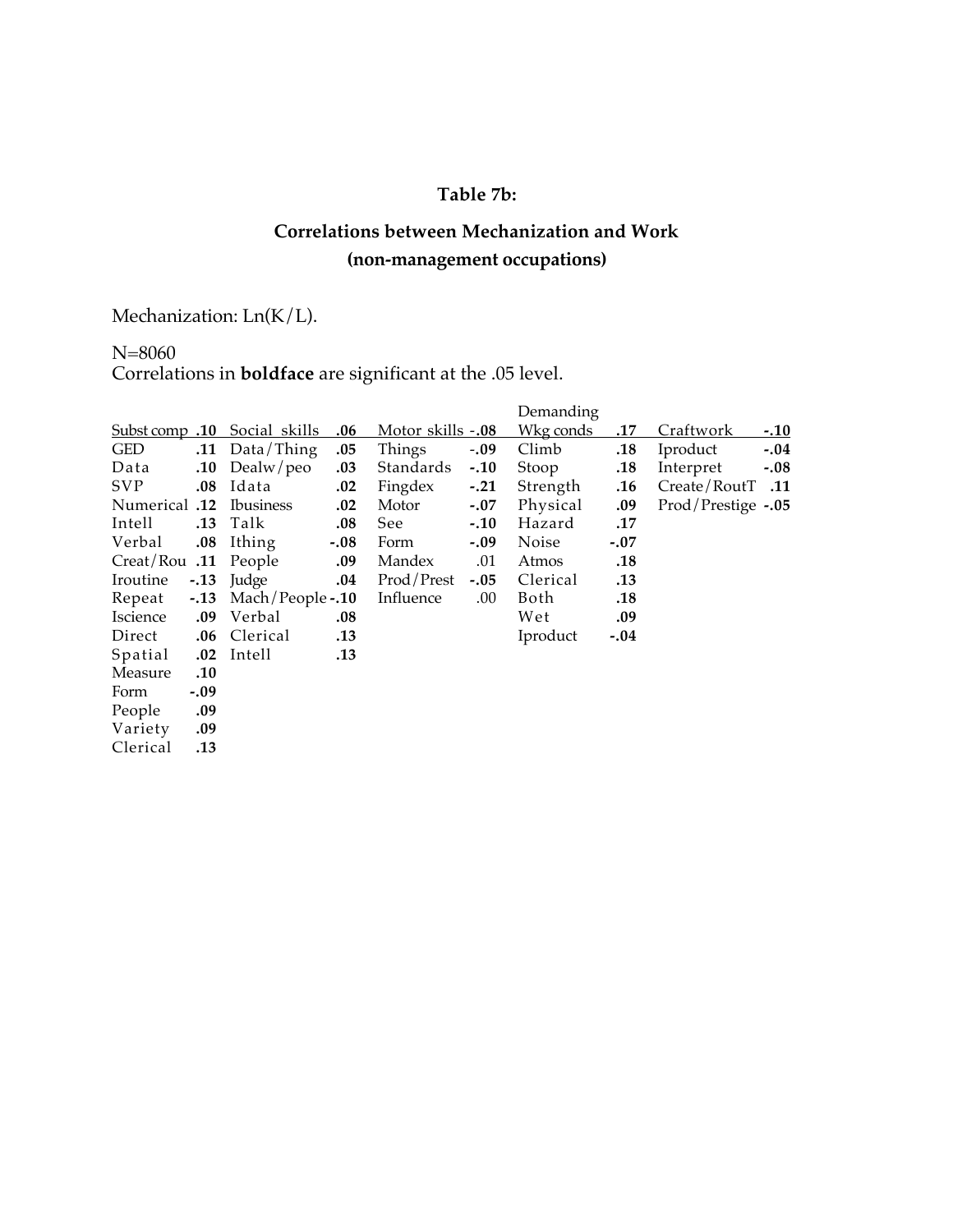# **Table 7b:**

# **Correlations between Mechanization and Work (non-management occupations)**

Mechanization: Ln(K/L).

# N=8060 Correlations in **boldface** are significant at the .05 level.

|                      |         |                              |        |                          |        | Demanding |            |                    |             |
|----------------------|---------|------------------------------|--------|--------------------------|--------|-----------|------------|--------------------|-------------|
|                      |         | Subst comp .10 Social skills | .06    | <u>Motor skills -.08</u> |        | Wkg conds | <u>.17</u> | Craftwork          | <u>-.10</u> |
| <b>GED</b>           |         | .11 Data/Thing               | .05    | Things                   | $-.09$ | Climb     | .18        | Iproduct           | $-.04$      |
| Data                 |         | $.10$ Dealw/peo              | .03    | Standards                | $-.10$ | Stoop     | .18        | Interpret          | $-.08$      |
| <b>SVP</b>           | $.08\,$ | Idata                        | .02    | Fingdex -.21             |        | Strength  | .16        | Create/RoutT .11   |             |
| 12. Numerical        |         | <b>Ibusiness</b>             | .02    | Motor                    | $-.07$ | Physical  | .09        | Prod/Prestige -.05 |             |
| Intell               | .13     | Talk                         | .08    | See                      | $-.10$ | Hazard    | .17        |                    |             |
| Verbal               | .08     | Ithing                       | $-.08$ | Form                     | $-.09$ | Noise     | $-.07$     |                    |             |
| Creat/Rou .11 People |         |                              | .09    | Mandex                   | .01    | Atmos     | .18        |                    |             |
| Iroutine             | $-.13$  | Judge                        | .04    | Prod/Prest               | $-.05$ | Clerical  | .13        |                    |             |
| Repeat               | $-.13$  | Mach/People -.10             |        | Influence                | .00.   | Both      | .18        |                    |             |
| Iscience             | .09     | Verbal                       | .08    |                          |        | Wet       | .09        |                    |             |
| Direct               | .06     | Clerical                     | .13    |                          |        | Iproduct  | $-.04$     |                    |             |
| Spatial              | .02     | Intell                       | .13    |                          |        |           |            |                    |             |
| Measure              | .10     |                              |        |                          |        |           |            |                    |             |
| Form                 | $-.09$  |                              |        |                          |        |           |            |                    |             |
| People               | .09     |                              |        |                          |        |           |            |                    |             |
| Variety              | .09     |                              |        |                          |        |           |            |                    |             |
| Clerical             | .13     |                              |        |                          |        |           |            |                    |             |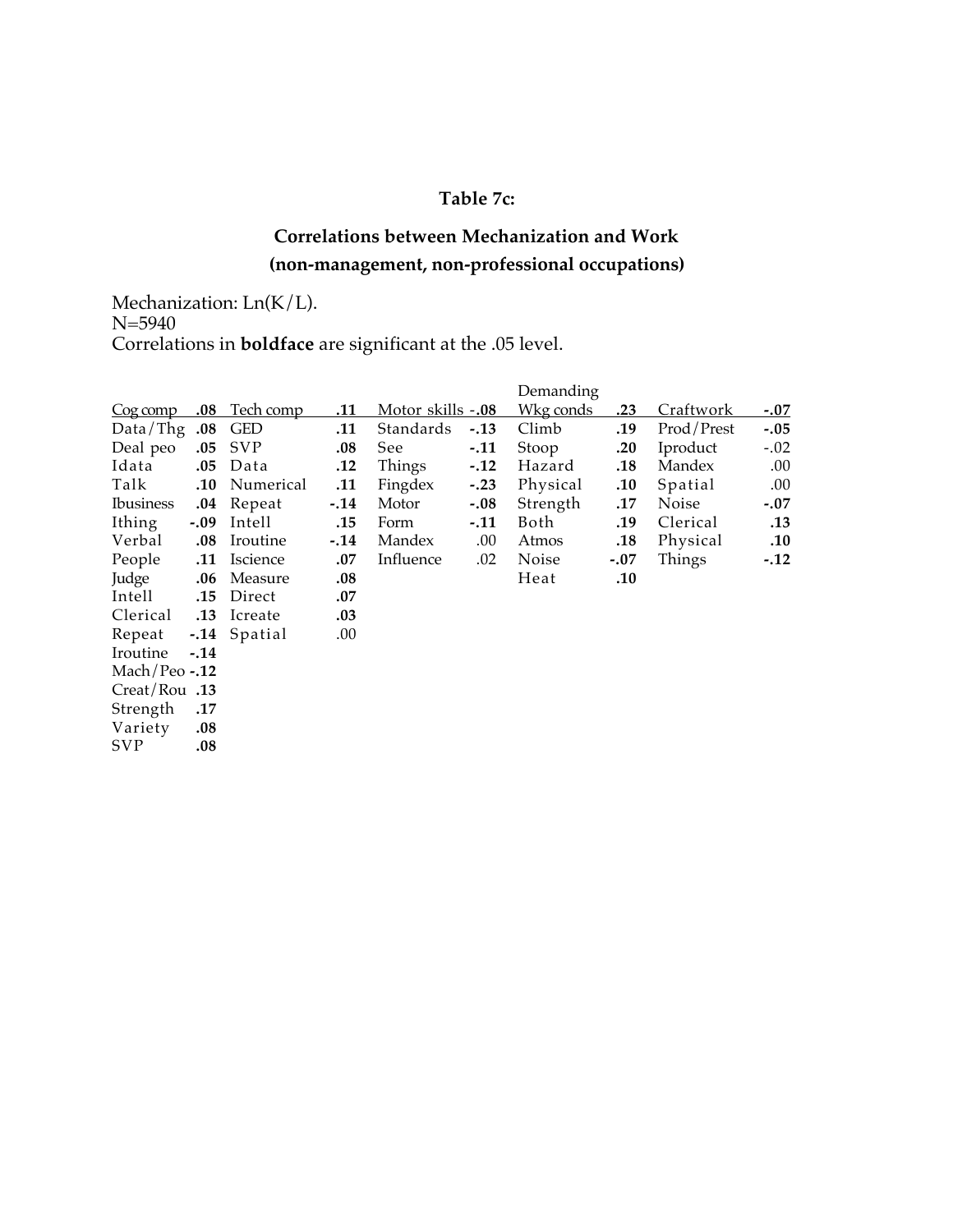### **Table 7c:**

# **Correlations between Mechanization and Work (non-management, non-professional occupations)**

Mechanization: Ln(K/L). N=5940 Correlations in **boldface** are significant at the .05 level.

|                  |         |                               |        |                           |        | Demanding |        |            |             |
|------------------|---------|-------------------------------|--------|---------------------------|--------|-----------|--------|------------|-------------|
| <u>Cog comp</u>  | $.08\,$ | Tech comp                     | .11    | <u>Motor skills -.08 </u> |        | Wkg conds | .23    | Craftwork  | <u>-.07</u> |
| Data/Thg $.08$   |         | <b>GED</b>                    | .11    | Standards                 | $-.13$ | Climb     | .19    | Prod/Prest | $-.05$      |
| Deal peo         | .05     | <b>SVP</b>                    | .08    | See                       | $-.11$ | Stoop     | .20    | Iproduct   | $-.02$      |
| Idata            | .05     | Data                          | .12    | Things                    | $-.12$ | Hazard    | .18    | Mandex     | .00.        |
| Talk             | .10     | Numerical                     | .11    | Fingdex                   | $-.23$ | Physical  | .10    | Spatial    | .00.        |
| <b>Ibusiness</b> | .04     | Repeat                        | $-.14$ | Motor                     | $-.08$ | Strength  | .17    | Noise      | $-.07$      |
| Ithing           | $-.09$  | Intell                        | .15    | Form                      | $-.11$ | Both      | .19    | Clerical   | .13         |
| Verbal           | .08     | Iroutine                      | $-.14$ | Mandex                    | .00.   | Atmos     | .18    | Physical   | .10         |
| People           | .11     | <i><u><b>Iscience</b></u></i> | .07    | Influence                 | .02    | Noise     | $-.07$ | Things     | $-.12$      |
| Judge            | .06     | Measure                       | .08    |                           |        | Heat      | .10    |            |             |
| Intell           | .15     | Direct                        | .07    |                           |        |           |        |            |             |
| Clerical         | .13     | Icreate                       | .03    |                           |        |           |        |            |             |
| Repeat           |         | -.14 Spatial                  | .00.   |                           |        |           |        |            |             |
| Iroutine         | $-.14$  |                               |        |                           |        |           |        |            |             |
| Mach/Peo $-.12$  |         |                               |        |                           |        |           |        |            |             |
| Creat/Rou .13    |         |                               |        |                           |        |           |        |            |             |
| Strength         | .17     |                               |        |                           |        |           |        |            |             |
| Variety          | .08     |                               |        |                           |        |           |        |            |             |
| <b>SVP</b>       | .08     |                               |        |                           |        |           |        |            |             |
|                  |         |                               |        |                           |        |           |        |            |             |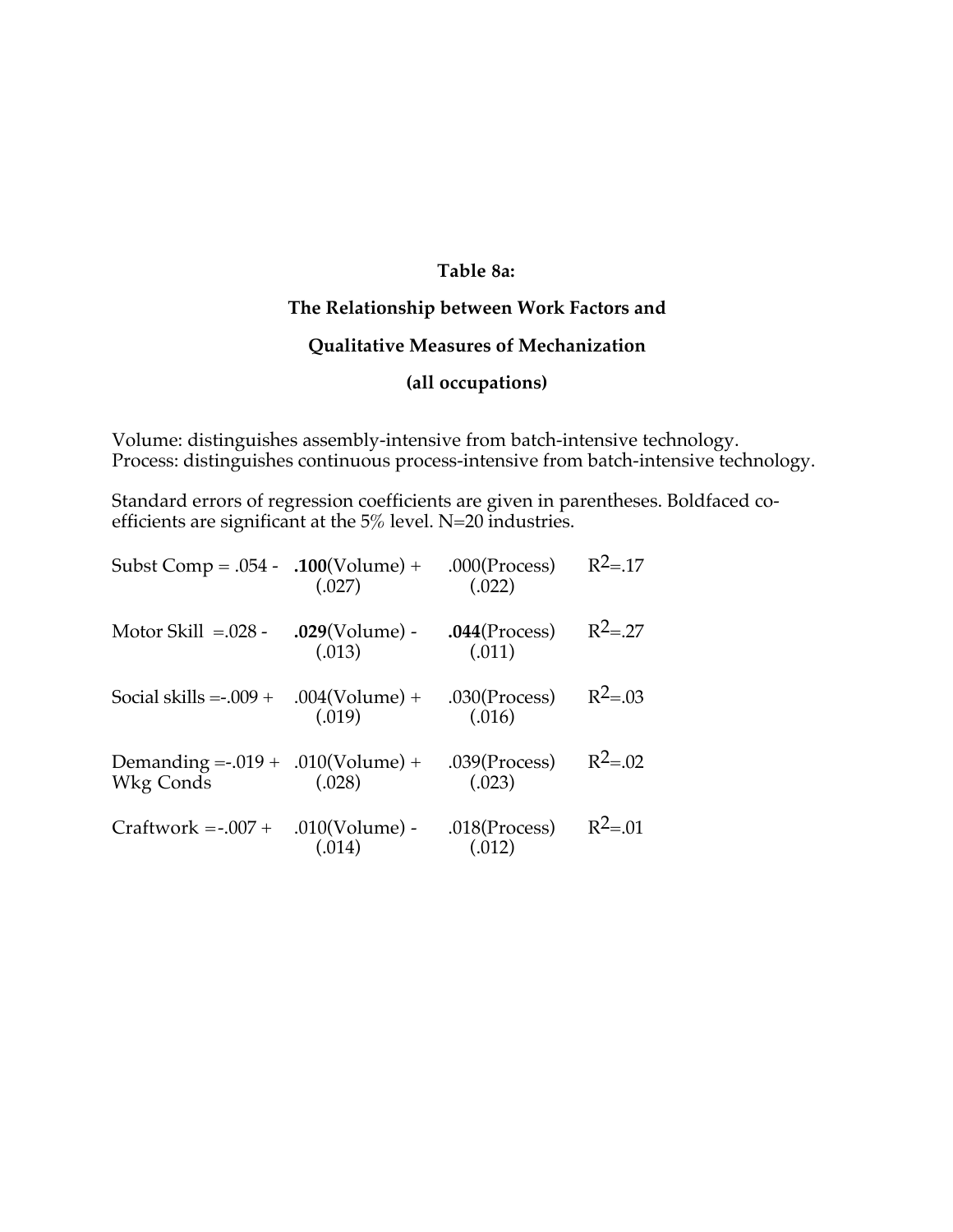### **Table 8a:**

### **The Relationship between Work Factors and**

### **Qualitative Measures of Mechanization**

### **(all occupations)**

Volume: distinguishes assembly-intensive from batch-intensive technology. Process: distinguishes continuous process-intensive from batch-intensive technology.

Standard errors of regression coefficients are given in parentheses. Boldfaced coefficients are significant at the 5% level. N=20 industries.

| Subst Comp = $.054 - .100$ (Volume) +                | (.027)                      | $.000$ (Process)<br>(.022) | $R^2 = .17$ |
|------------------------------------------------------|-----------------------------|----------------------------|-------------|
| Motor Skill $=.028$ -                                | $.029$ (Volume) -<br>(.013) | $.044$ (Process)<br>(.011) | $R^2 = .27$ |
| Social skills $= -009 +$                             | $.004(Volume) +$<br>(.019)  | $.030$ (Process)<br>(.016) | $R^2 = .03$ |
| Demanding = $-0.019 + 0.010$ (Volume) +<br>Wkg Conds | (.028)                      | $.039$ (Process)<br>(.023) | $R^2 = .02$ |
| $Craftwork = -.007 +$                                | $.010(Volume)$ -<br>(.014)  | $.018$ (Process)<br>(.012) | $R^2 = 01$  |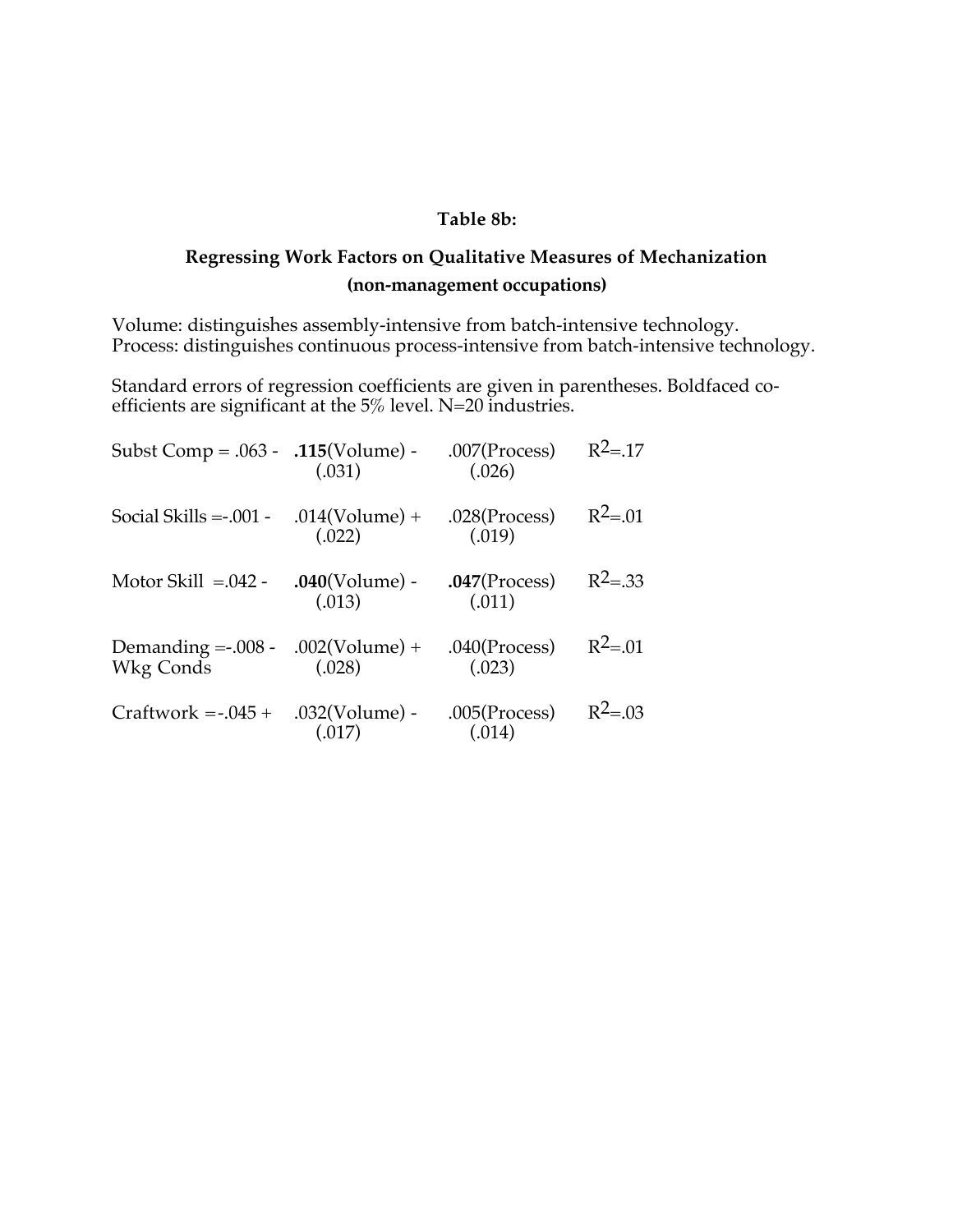#### **Table 8b:**

# **Regressing Work Factors on Qualitative Measures of Mechanization (non-management occupations)**

Volume: distinguishes assembly-intensive from batch-intensive technology. Process: distinguishes continuous process-intensive from batch-intensive technology.

Standard errors of regression coefficients are given in parentheses. Boldfaced coefficients are significant at the 5% level. N=20 industries.

| Subst Comp = $.063 - .115$ (Volume) -             | (.031)                      | $.007$ (Process)<br>(.026) | $R^2 = 17$  |
|---------------------------------------------------|-----------------------------|----------------------------|-------------|
| Social Skills $=$ -001 -                          | $.014(Volume) +$<br>(.022)  | $.028$ (Process)<br>(.019) | $R^2 = 01$  |
| Motor Skill $=.042$ -                             | $.040$ (Volume) -<br>(.013) | $.047$ (Process)<br>(.011) | $R^2 = .33$ |
| Demanding = $.008 - .002$ (Volume) +<br>Wkg Conds | (.028)                      | $.040$ (Process)<br>(.023) | $R^2 = .01$ |
| $Craftwork = -0.045 +$                            | $.032(Volume)$ -<br>(.017)  | $.005$ (Process)<br>(.014) | $R^2 = .03$ |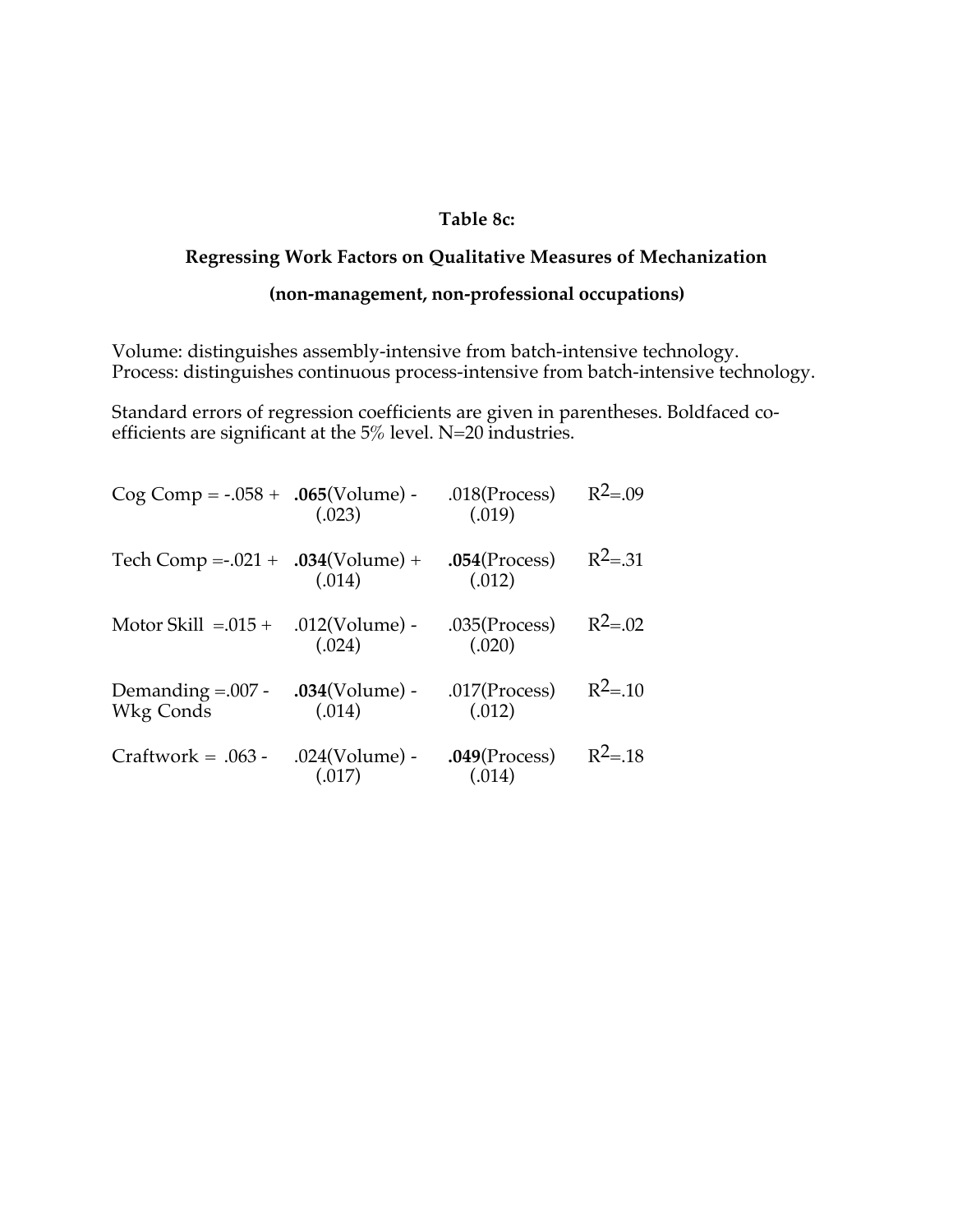#### **Table 8c:**

### **Regressing Work Factors on Qualitative Measures of Mechanization**

### **(non-management, non-professional occupations)**

Volume: distinguishes assembly-intensive from batch-intensive technology. Process: distinguishes continuous process-intensive from batch-intensive technology.

Standard errors of regression coefficients are given in parentheses. Boldfaced coefficients are significant at the 5% level. N=20 industries.

| $Cog Comp = -.058 + .065(Volume) -$     | (.023)                      | $.018$ (Process)<br>(.019) | $R^2 = .09$  |
|-----------------------------------------|-----------------------------|----------------------------|--------------|
| Tech Comp = $-0.021 + 0.034$ (Volume) + | (.014)                      | $.054$ (Process)<br>(.012) | $R^2 = 31$   |
| Motor Skill $=.015 + .012$ (Volume) -   | (.024)                      | $.035$ (Process)<br>(.020) | $R^2 = 0.02$ |
| Demanding $=.007$ -<br>Wkg Conds        | $.034(Volume)$ -<br>(.014)  | $.017$ (Process)<br>(.012) | $R^2 = .10$  |
| $Craftwork = .063 -$                    | $.024$ (Volume) -<br>(.017) | $.049$ (Process)<br>(.014) | $R^2 = .18$  |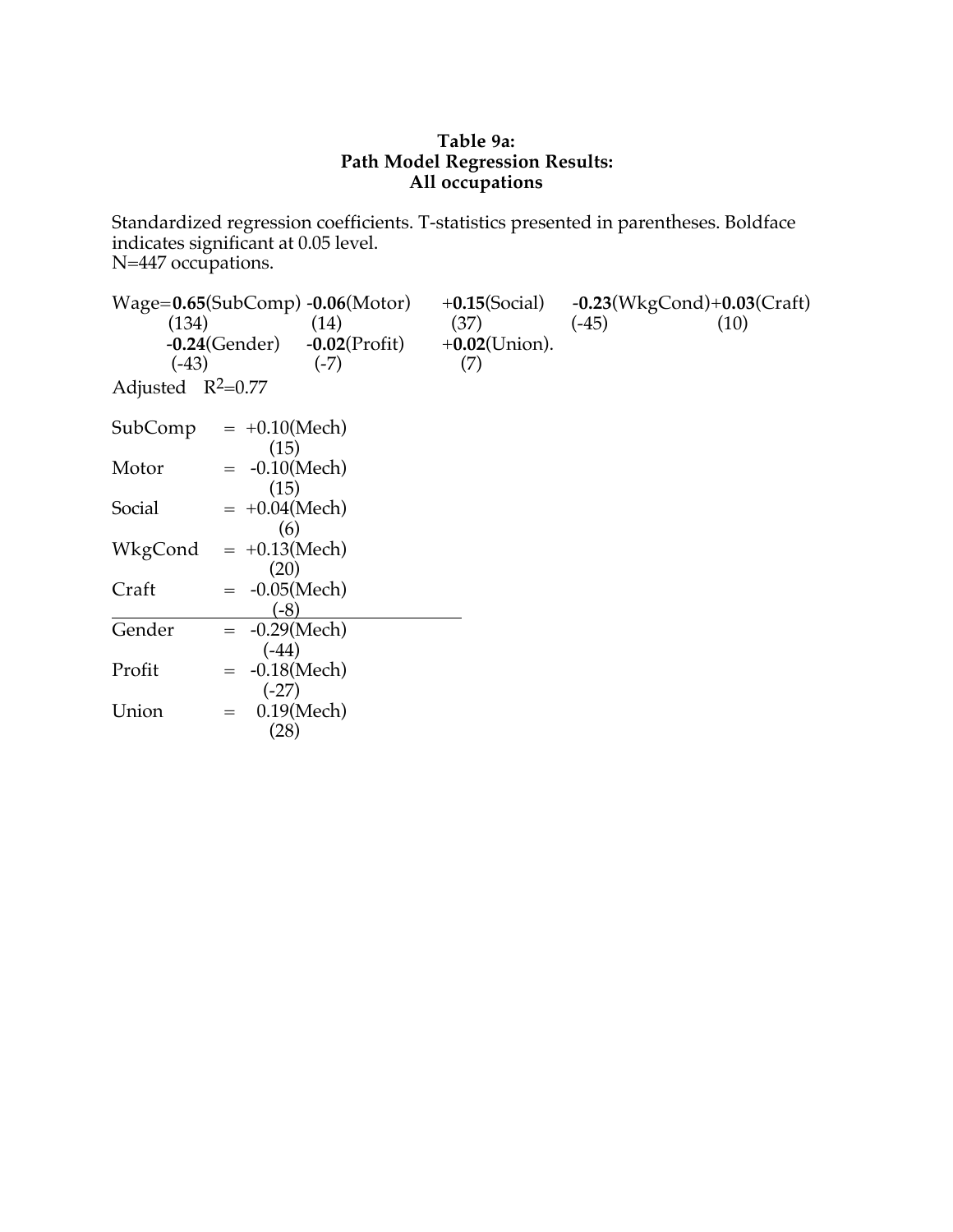#### **Table 9a: Path Model Regression Results: All occupations**

Standardized regression coefficients. T-statistics presented in parentheses. Boldface indicates significant at 0.05 level. N=447 occupations.

| (134)               |                       | $Wage = 0.65(SubComp) - 0.06(Motor)$<br>(14) | $+0.15$ (Social)<br>(37) | $-0.23$ (WkgCond) $+0.03$ (Craft)<br>$(-45)$<br>(10) |
|---------------------|-----------------------|----------------------------------------------|--------------------------|------------------------------------------------------|
|                     |                       |                                              |                          |                                                      |
|                     | $-0.24$ (Gender)      | $-0.02$ (Profit)                             | $+0.02$ (Union).         |                                                      |
| $(-43)$             |                       | $(-7)$                                       | (7)                      |                                                      |
| Adjusted $R^2=0.77$ |                       |                                              |                          |                                                      |
| SubComp             | $= +0.10$ (Mech)      |                                              |                          |                                                      |
|                     | (15)                  |                                              |                          |                                                      |
| Motor               | $= -0.10$ (Mech)      |                                              |                          |                                                      |
|                     | (15)                  |                                              |                          |                                                      |
| Social              | $= +0.04$ (Mech)      |                                              |                          |                                                      |
|                     | (6)                   |                                              |                          |                                                      |
| WkgCond             | $= +0.13$ (Mech)      |                                              |                          |                                                      |
|                     | (20)                  |                                              |                          |                                                      |
|                     |                       |                                              |                          |                                                      |
| Craft               | $-0.05$ (Mech)        |                                              |                          |                                                      |
|                     | $(-8)$                |                                              |                          |                                                      |
| Gender              | $= -0.29$ (Mech)      |                                              |                          |                                                      |
|                     | $(-44)$               |                                              |                          |                                                      |
| Profit              | $-0.18$ (Mech)<br>$=$ |                                              |                          |                                                      |
|                     | $(-27)$               |                                              |                          |                                                      |
| Union               | $0.19$ (Mech)<br>$=$  |                                              |                          |                                                      |
|                     | (28)                  |                                              |                          |                                                      |
|                     |                       |                                              |                          |                                                      |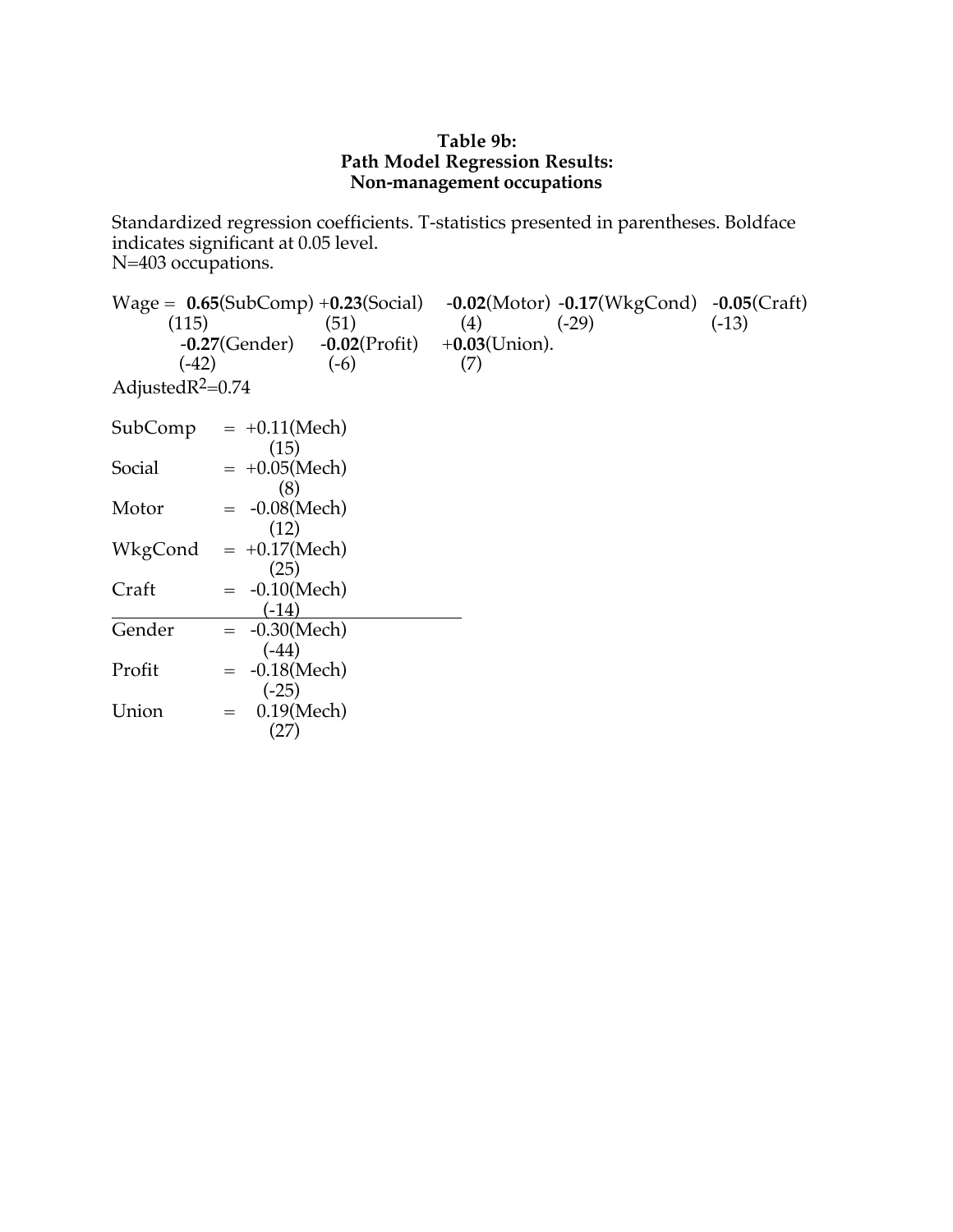#### **Table 9b: Path Model Regression Results: Non-management occupations**

Standardized regression coefficients. T-statistics presented in parentheses. Boldface indicates significant at 0.05 level. N=403 occupations.

Wage = **0.65**(SubComp) +**0.23**(Social) -**0.02**(Motor) -**0.17**(WkgCond) -**0.05**(Craft) (115)  $(51)$   $(4)$   $(-29)$   $(-13)$ -**0.27**(Gender) -**0.02**(Profit) +**0.03**(Union).  $(-42)$   $(-6)$   $(7)$ AdjustedR2=0.74  $SubComp = +0.11(Mech)$ (15)  $Social = +0.05(Mech)$ (8) Motor  $= -0.08$ (Mech) (12)  $WkgCond = +0.17(Mech)$ (25)  $Craff = -0.10(Mech)$ (-14) Gender  $= -0.30$ (Mech) (-44) Profit  $= -0.18$ (Mech) (-25) Union  $= 0.19$ (Mech) (27)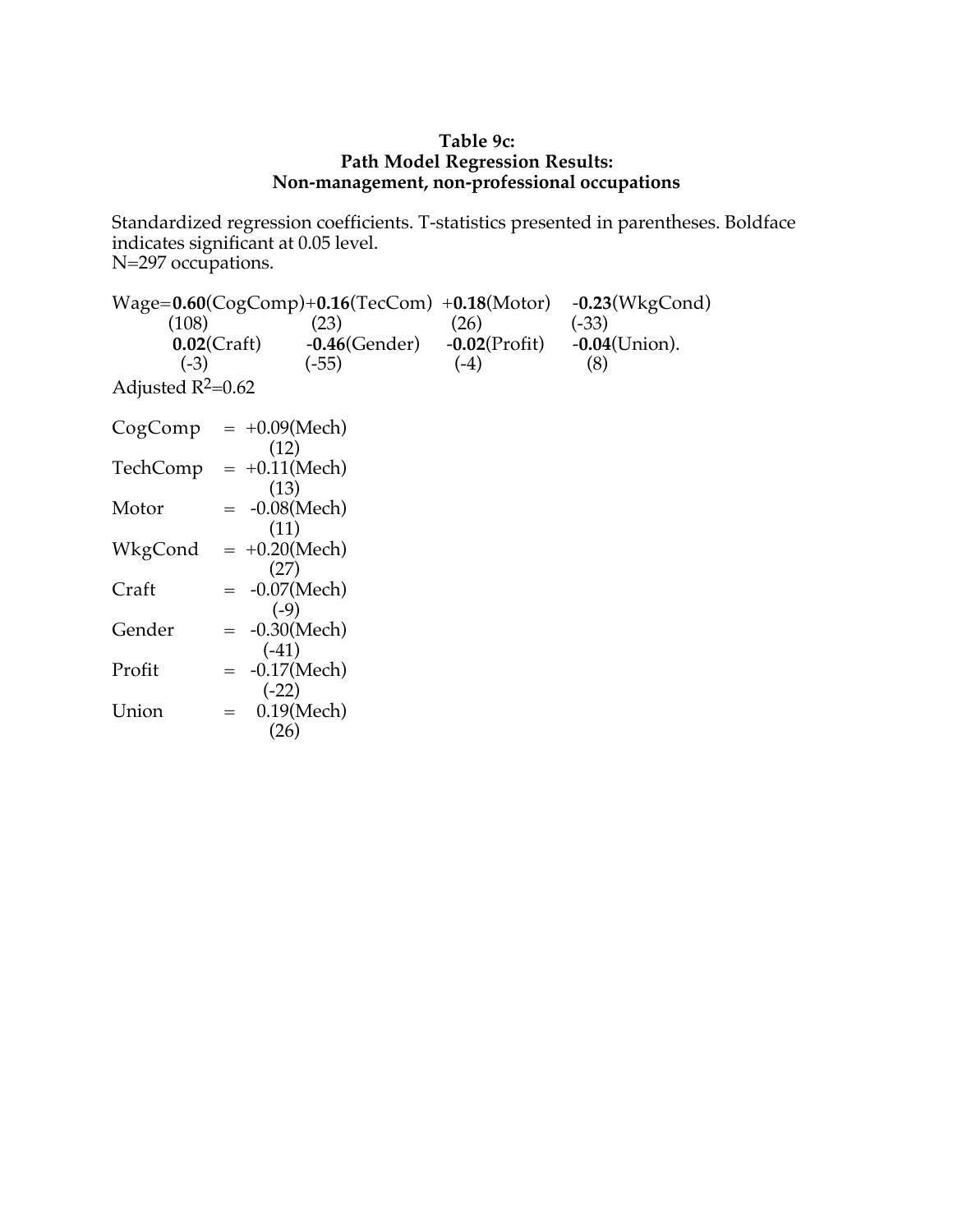#### **Table 9c: Path Model Regression Results: Non-management, non-professional occupations**

Standardized regression coefficients. T-statistics presented in parentheses. Boldface indicates significant at 0.05 level. N=297 occupations.

Wage=**0.60**(CogComp)+**0.16**(TecCom) +**0.18**(Motor) -**0.23**(WkgCond)  $(108)$   $(23)$   $(26)$   $(-33)$ **0.02**(Craft) -**0.46**(Gender) -**0.02**(Profit) -**0.04**(Union).  $(-3)$   $(-55)$   $(-4)$   $(8)$ Adjusted  $R^2=0.62$  $CogComp = +0.09(Mech)$ (12)  $Technomp = +0.11(Mech)$ (13) Motor  $= -0.08$ (Mech) (11)  $WkgCond = +0.20(Mech)$ (27)  $Craff = -0.07(Mech)$ (-9) Gender  $= -0.30$ (Mech) (-41) Profit  $= -0.17$ (Mech) (-22) Union  $= 0.19$ (Mech) (26)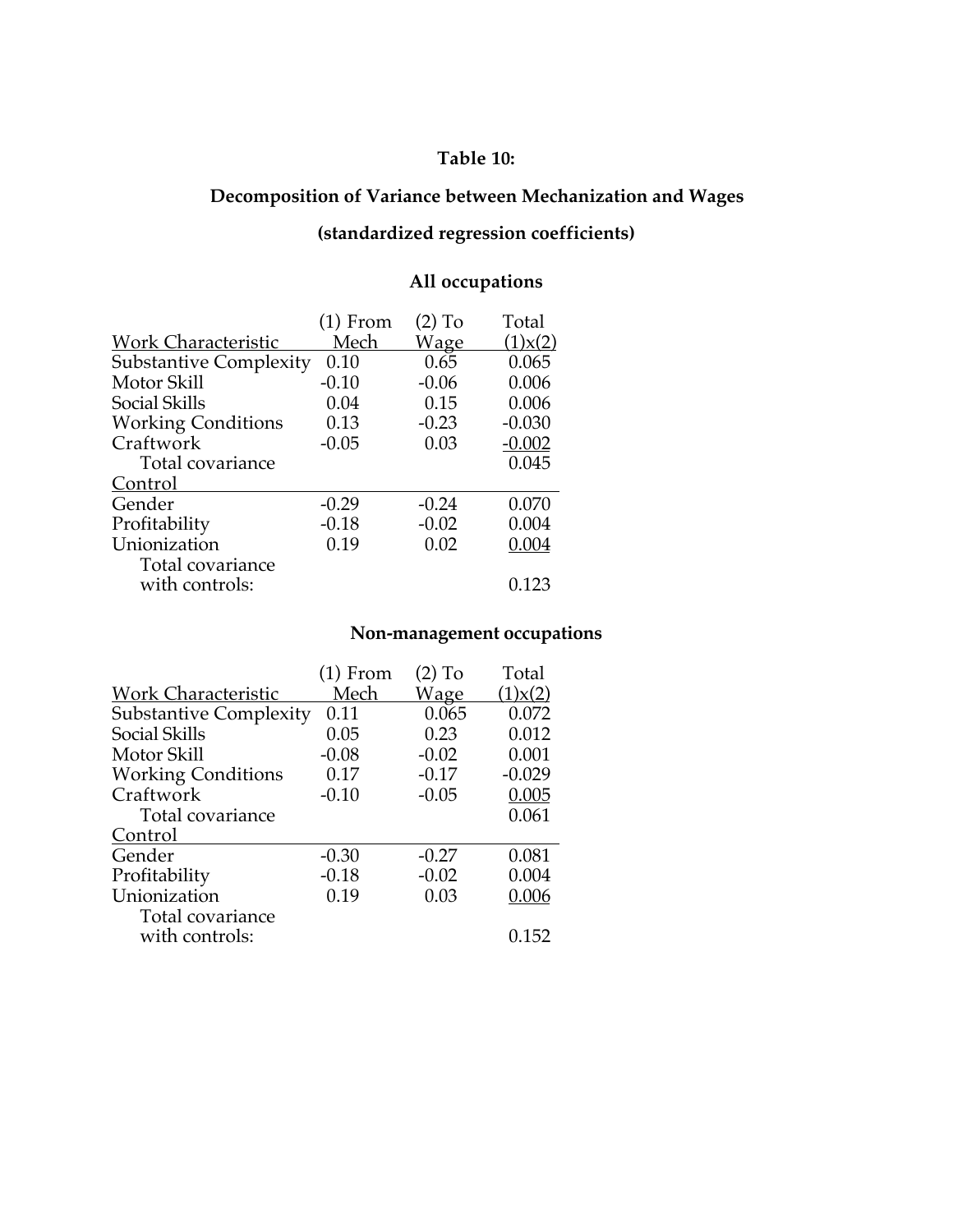# **Table 10:**

# **Decomposition of Variance between Mechanization and Wages**

# **(standardized regression coefficients)**

# **All occupations**

|                                    | $(1)$ From | $(2)$ To    | Total         |
|------------------------------------|------------|-------------|---------------|
| <b>Work Characteristic</b>         | Mech       | <b>Wage</b> | $(1)$ x $(2)$ |
| <b>Substantive Complexity</b>      | 0.10       | 0.65        | 0.065         |
| Motor Skill                        | $-0.10$    | $-0.06$     | 0.006         |
| Social Skills                      | 0.04       | 0.15        | 0.006         |
| <b>Working Conditions</b>          | 0.13       | $-0.23$     | $-0.030$      |
| Craftwork                          | $-0.05$    | 0.03        | $-0.002$      |
| Total covariance                   |            |             | 0.045         |
| Control                            |            |             |               |
| Gender                             | $-0.29$    | $-0.24$     | 0.070         |
| Profitability                      | $-0.18$    | $-0.02$     | 0.004         |
| Unionization                       | 0.19       | 0.02        | 0.004         |
| Total covariance<br>with controls: |            |             | 0.123         |

# **Non-management occupations**

|                               | $(1)$ From | $(2)$ To    | Total         |
|-------------------------------|------------|-------------|---------------|
| <b>Work Characteristic</b>    | Mech       | <b>Wage</b> | $(1)$ x $(2)$ |
| <b>Substantive Complexity</b> | 0.11       | 0.065       | 0.072         |
| Social Skills                 | 0.05       | 0.23        | 0.012         |
| Motor Skill                   | $-0.08$    | $-0.02$     | 0.001         |
| <b>Working Conditions</b>     | 0.17       | $-0.17$     | $-0.029$      |
| Craftwork                     | $-0.10$    | $-0.05$     | 0.005         |
| Total covariance              |            |             | 0.061         |
| Control                       |            |             |               |
| Gender                        | $-0.30$    | $-0.27$     | 0.081         |
| Profitability                 | $-0.18$    | $-0.02$     | 0.004         |
| Unionization                  | 0.19       | 0.03        | 0.006         |
| Total covariance              |            |             |               |
| with controls:                |            |             | 0.152         |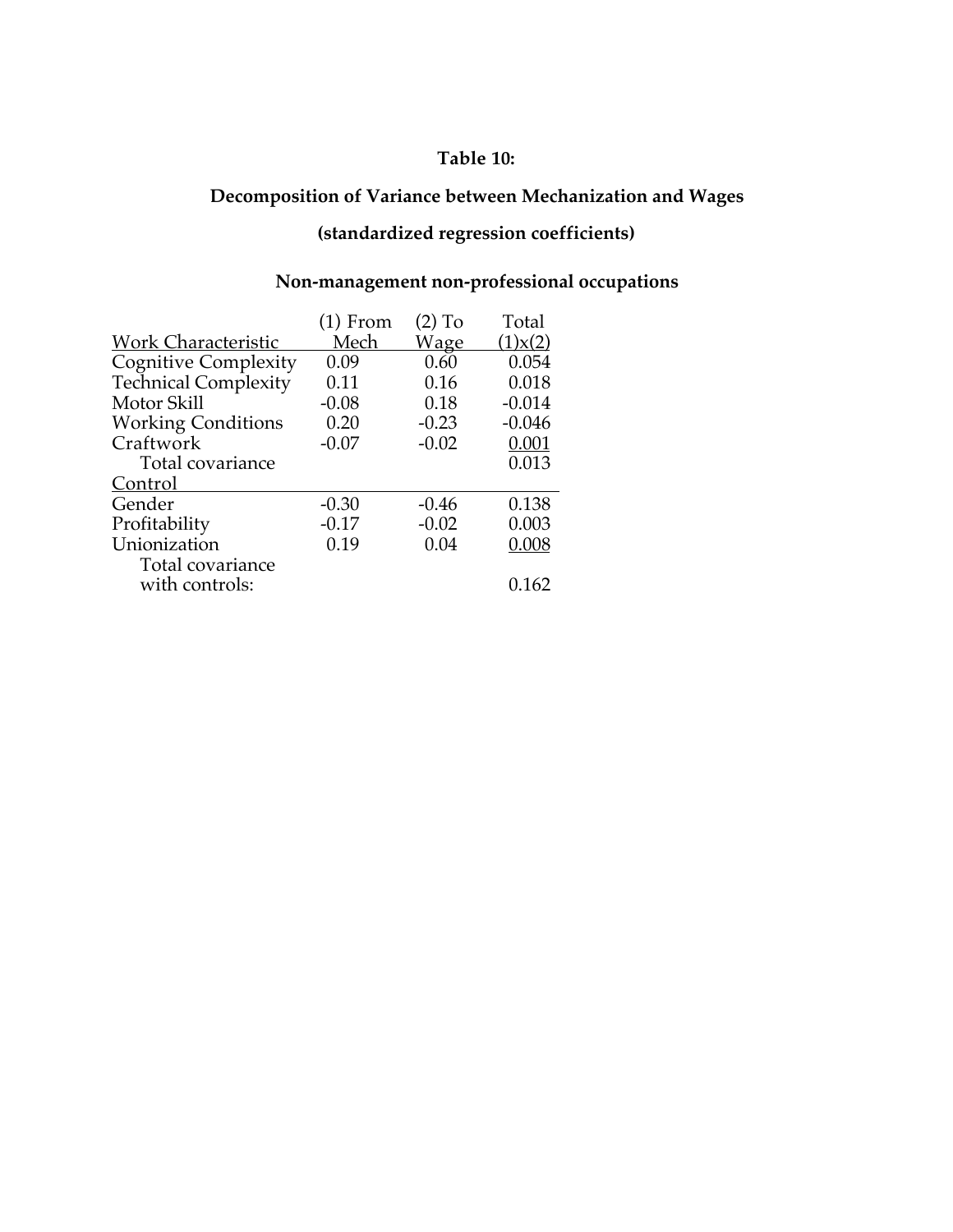# **Table 10:**

# **Decomposition of Variance between Mechanization and Wages**

# **(standardized regression coefficients)**

# **Non-management non-professional occupations**

|                             | $(1)$ From | $(2)$ To    | Total         |
|-----------------------------|------------|-------------|---------------|
| <b>Work Characteristic</b>  | Mech       | <b>Wage</b> | $(1)$ x $(2)$ |
| Cognitive Complexity!       | 0.09       | 0.60        | 0.054         |
| <b>Technical Complexity</b> | 0.11       | 0.16        | 0.018         |
| Motor Skill                 | $-0.08$    | 0.18        | $-0.014$      |
| <b>Working Conditions</b>   | 0.20       | $-0.23$     | $-0.046$      |
| Craftwork                   | $-0.07$    | $-0.02$     | 0.001         |
| Total covariance            |            |             | 0.013         |
| Control                     |            |             |               |
| Gender                      | $-0.30$    | $-0.46$     | 0.138         |
| Profitability               | $-0.17$    | $-0.02$     | 0.003         |
| Unionization                | 0.19       | 0.04        | 0.008         |
| Total covariance            |            |             |               |
| with controls:              |            |             | 0.162         |
|                             |            |             |               |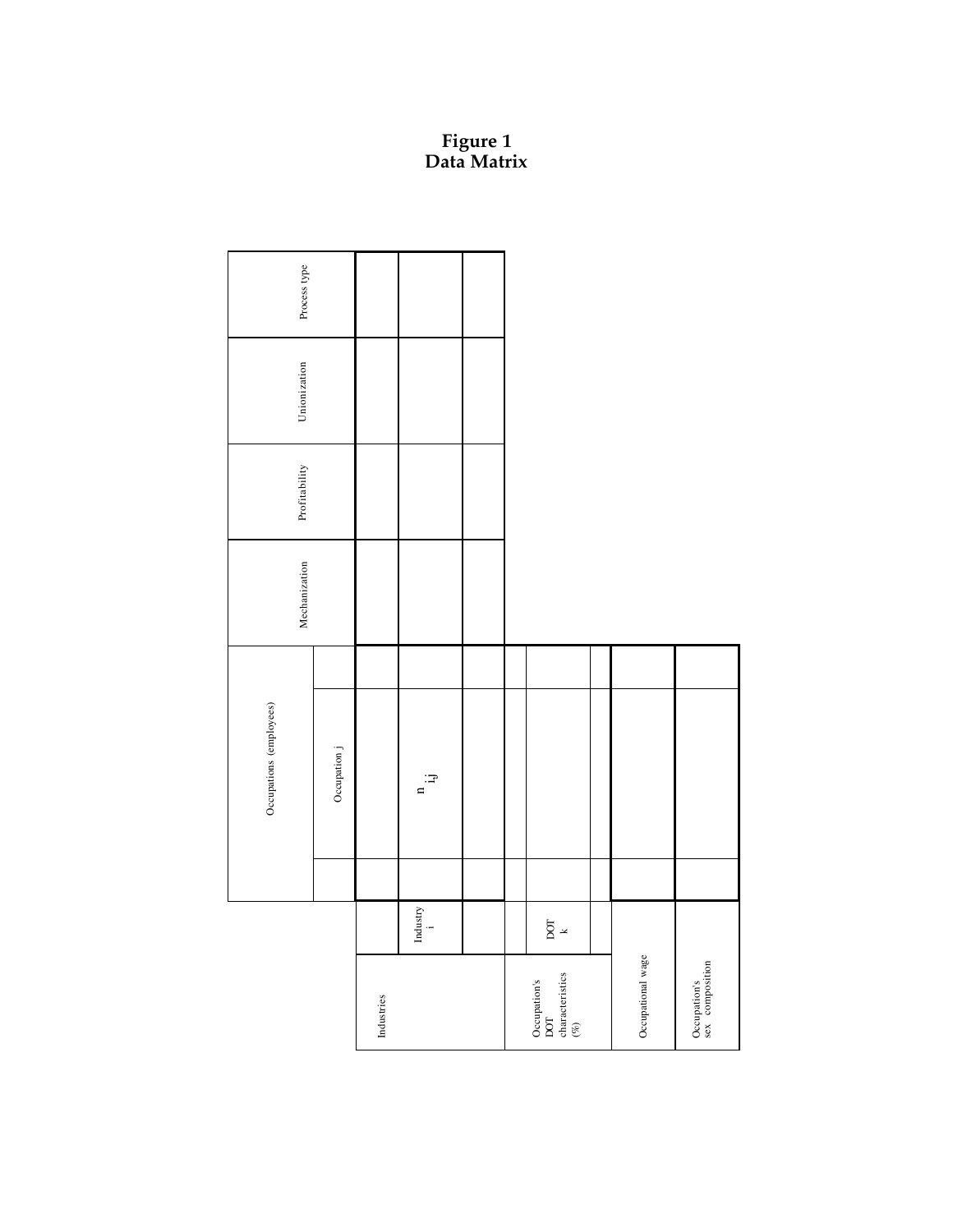#### **Figure 1 Data Matrix**

|                                                   |                                      | Occupations (employees) | Mechanization | Profitability | Unionization | Process type |
|---------------------------------------------------|--------------------------------------|-------------------------|---------------|---------------|--------------|--------------|
|                                                   |                                      | Occupation j            |               |               |              |              |
| Industries                                        |                                      |                         |               |               |              |              |
|                                                   | ${\rm Index}{\rm try} \\ {\rm i} \\$ | $\Xi$                   |               |               |              |              |
|                                                   |                                      |                         |               |               |              |              |
|                                                   |                                      |                         |               |               |              |              |
| Occupation's<br>DOT<br>characteristics<br>$(\%$ ) | $\frac{1}{2}$                        |                         |               |               |              |              |
|                                                   |                                      |                         |               |               |              |              |
| Occupational wage                                 |                                      |                         |               |               |              |              |
| Occupation's<br>sex composition                   |                                      |                         |               |               |              |              |